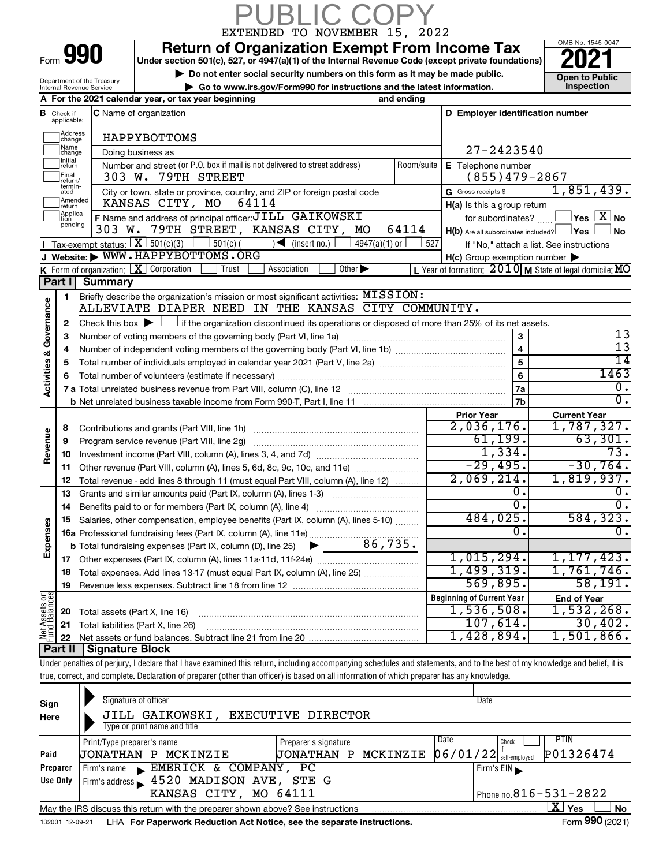|                                       |                                  |                                | <b>JBLIC COF</b><br>EXTENDED TO NOVEMBER 15, 2022                                                                                                                                                                |            |                                                     |                                                                        |
|---------------------------------------|----------------------------------|--------------------------------|------------------------------------------------------------------------------------------------------------------------------------------------------------------------------------------------------------------|------------|-----------------------------------------------------|------------------------------------------------------------------------|
|                                       |                                  |                                | <b>Return of Organization Exempt From Income Tax</b>                                                                                                                                                             |            |                                                     | OMB No. 1545-0047                                                      |
|                                       |                                  | Form 990                       | Under section 501(c), 527, or 4947(a)(1) of the Internal Revenue Code (except private foundations)                                                                                                               |            |                                                     |                                                                        |
|                                       |                                  | Department of the Treasury     | Do not enter social security numbers on this form as it may be made public.                                                                                                                                      |            |                                                     | <b>Open to Public</b>                                                  |
|                                       |                                  | Internal Revenue Service       | Go to www.irs.gov/Form990 for instructions and the latest information.                                                                                                                                           |            |                                                     | Inspection                                                             |
|                                       |                                  |                                | A For the 2021 calendar year, or tax year beginning<br>and ending                                                                                                                                                |            |                                                     |                                                                        |
|                                       | <b>B</b> Check if<br>applicable: |                                | C Name of organization                                                                                                                                                                                           |            | D Employer identification number                    |                                                                        |
|                                       | Address<br>change                |                                | HAPPYBOTTOMS                                                                                                                                                                                                     |            |                                                     |                                                                        |
|                                       | Name<br>change                   |                                | Doing business as                                                                                                                                                                                                |            | $27 - 2423540$                                      |                                                                        |
|                                       | Initial<br>return<br>Final       |                                | Number and street (or P.O. box if mail is not delivered to street address)<br>303 W. 79TH STREET                                                                                                                 | Room/suite | E Telephone number<br>$(855)479 - 2867$             |                                                                        |
|                                       | return/<br>termin-<br>ated       |                                | City or town, state or province, country, and ZIP or foreign postal code                                                                                                                                         |            | G Gross receipts \$                                 | 1,851,439.                                                             |
|                                       | Amended<br>return                |                                | KANSAS CITY, MO<br>64114                                                                                                                                                                                         |            | $H(a)$ is this a group return                       |                                                                        |
|                                       | Applica-<br>tion                 |                                | F Name and address of principal officer: JILL GAIKOWSKI                                                                                                                                                          |            | for subordinates?                                   | $\sqrt{}$ Yes $\sqrt{ \ \overline{\mathrm{X}}}$ No                     |
|                                       | pending                          |                                | 303 W. 79TH STREET, KANSAS CITY, MO<br>64114                                                                                                                                                                     |            | $H(b)$ Are all subordinates included? $\Box$ Yes    | <b>No</b>                                                              |
|                                       |                                  |                                | Tax-exempt status: $X \over 301(c)(3)$<br>$\frac{1}{2}$ 501(c) (<br>$\sqrt{\frac{1}{1}}$ (insert no.)<br>$4947(a)(1)$ or                                                                                         | 527        |                                                     | If "No," attach a list. See instructions                               |
|                                       |                                  |                                | J Website: WWW.HAPPYBOTTOMS.ORG                                                                                                                                                                                  |            | $H(c)$ Group exemption number $\blacktriangleright$ |                                                                        |
|                                       |                                  |                                | $K$ Form of organization: $K$ Corporation<br>Trust<br>Association<br>Other $\blacktriangleright$                                                                                                                 |            |                                                     | L Year of formation: $2010$ M State of legal domicile: $\overline{MO}$ |
|                                       | Part I                           | <b>Summary</b>                 |                                                                                                                                                                                                                  |            |                                                     |                                                                        |
|                                       | $\mathbf{1}$                     |                                | Briefly describe the organization's mission or most significant activities: MISSION:<br>ALLEVIATE DIAPER NEED IN THE KANSAS CITY COMMUNITY.                                                                      |            |                                                     |                                                                        |
| Activities & Governance               | $\mathbf{2}$                     |                                |                                                                                                                                                                                                                  |            |                                                     |                                                                        |
|                                       | З                                |                                | Check this box $\blacktriangleright$ $\Box$ if the organization discontinued its operations or disposed of more than 25% of its net assets.<br>Number of voting members of the governing body (Part VI, line 1a) |            | 3                                                   | 13                                                                     |
|                                       | 4                                |                                |                                                                                                                                                                                                                  |            | $\overline{4}$                                      | $\overline{13}$                                                        |
|                                       | 5                                |                                | Total number of individuals employed in calendar year 2021 (Part V, line 2a) manufacture controller to intervent                                                                                                 |            | $\overline{5}$                                      | 14                                                                     |
|                                       | 6                                |                                |                                                                                                                                                                                                                  |            | 6                                                   | 1463                                                                   |
|                                       |                                  |                                |                                                                                                                                                                                                                  |            | 7a                                                  | 0.                                                                     |
|                                       |                                  |                                |                                                                                                                                                                                                                  |            | 7b                                                  | $\overline{0}$ .                                                       |
|                                       |                                  |                                |                                                                                                                                                                                                                  |            | <b>Prior Year</b>                                   | <b>Current Year</b>                                                    |
|                                       | 8                                |                                | Contributions and grants (Part VIII, line 1h)                                                                                                                                                                    |            | 2,036,176.                                          | 1,787,327.                                                             |
|                                       | 9                                |                                | Program service revenue (Part VIII, line 2g)                                                                                                                                                                     |            | 61, 199.                                            | 63,301.                                                                |
| Revenue                               | 10                               |                                |                                                                                                                                                                                                                  |            | 1,334.                                              | 73.                                                                    |
|                                       | 11                               |                                | Other revenue (Part VIII, column (A), lines 5, 6d, 8c, 9c, 10c, and 11e)                                                                                                                                         |            | $-29,495.$                                          | $-30,764.$                                                             |
|                                       | 12                               |                                | Total revenue - add lines 8 through 11 (must equal Part VIII, column (A), line 12)                                                                                                                               |            | 2,069,214.                                          | 1,819,937.                                                             |
|                                       | 13                               |                                | Grants and similar amounts paid (Part IX, column (A), lines 1-3)                                                                                                                                                 |            | $\overline{0}$ .                                    | $\overline{\mathbf{0}}$ .                                              |
|                                       | 14                               |                                | Benefits paid to or for members (Part IX, column (A), line 4)<br><u> 1986 - Jan Barbarat, martin a</u>                                                                                                           |            | σ.                                                  | $\overline{0}$ .                                                       |
|                                       | 15                               |                                | Salaries, other compensation, employee benefits (Part IX, column (A), lines 5-10)                                                                                                                                |            | 484,025.                                            | 584, 323.                                                              |
| Expenses                              |                                  |                                |                                                                                                                                                                                                                  |            | $\mathbf 0$ .                                       | $\overline{0}$ .                                                       |
|                                       |                                  |                                |                                                                                                                                                                                                                  |            |                                                     |                                                                        |
|                                       | 17                               |                                |                                                                                                                                                                                                                  |            | 1,015,294.                                          | 1, 177, 423.                                                           |
|                                       | 18                               |                                | Total expenses. Add lines 13-17 (must equal Part IX, column (A), line 25)                                                                                                                                        |            | 1,499,319.                                          | 1,761,746.                                                             |
|                                       | 19                               |                                |                                                                                                                                                                                                                  |            | 569,895.                                            | 58, 191.                                                               |
| <b>Net Assets or</b><br>Fund Balances |                                  |                                |                                                                                                                                                                                                                  |            | <b>Beginning of Current Year</b>                    | <b>End of Year</b>                                                     |
|                                       | 20                               | Total assets (Part X, line 16) |                                                                                                                                                                                                                  |            | 1,536,508.                                          | 1,532,268.                                                             |
|                                       | 21                               |                                | Total liabilities (Part X, line 26)                                                                                                                                                                              |            | 107,614.                                            | 30,402.                                                                |
|                                       | 22                               |                                |                                                                                                                                                                                                                  |            | 1,428,894.                                          | 1,501,866.                                                             |
|                                       | <b>Part II</b>                   | <b>Signature Block</b>         |                                                                                                                                                                                                                  |            |                                                     |                                                                        |
|                                       |                                  |                                | Under penalties of perjury, I declare that I have examined this return, including accompanying schedules and statements, and to the best of my knowledge and belief, it is                                       |            |                                                     |                                                                        |
|                                       |                                  |                                | true, correct, and complete. Declaration of preparer (other than officer) is based on all information of which preparer has any knowledge.                                                                       |            |                                                     |                                                                        |
|                                       |                                  |                                |                                                                                                                                                                                                                  |            |                                                     |                                                                        |

| Sign<br>Here | Signature of officer<br>Date<br>JILL GAIKOWSKI,<br><b>EXECUTIVE DIRECTOR</b><br>Type or print name and title |                       |                                       |  |  |  |  |  |  |  |  |  |
|--------------|--------------------------------------------------------------------------------------------------------------|-----------------------|---------------------------------------|--|--|--|--|--|--|--|--|--|
|              | Print/Type preparer's name                                                                                   | PTIN<br>Date<br>Check |                                       |  |  |  |  |  |  |  |  |  |
| Paid         | UONATHAN P MCKINZIE                                                                                          | JONATHAN P MCKINZIE   | P01326474<br>$06/01/22$ self-employed |  |  |  |  |  |  |  |  |  |
| Preparer     | EMERICK & COMPANY,<br>Firm's name                                                                            | PC.                   | Firm's $EIN$                          |  |  |  |  |  |  |  |  |  |
| Use Only     | Firm's address 1520 MADISON AVE, STE G                                                                       |                       |                                       |  |  |  |  |  |  |  |  |  |
|              | Phone no. $816 - 531 - 2822$<br>KANSAS CITY, MO 64111                                                        |                       |                                       |  |  |  |  |  |  |  |  |  |
|              | X.<br>Yes<br>No<br>May the IRS discuss this return with the preparer shown above? See instructions           |                       |                                       |  |  |  |  |  |  |  |  |  |
|              | $0.00 \div 0.00$                                                                                             |                       |                                       |  |  |  |  |  |  |  |  |  |

132001 12-09-21 LHA **For Paperwork Reduction Act Notice, see the separate instructions.** The manuscription of the Separate instructions.

Form **990** (2021)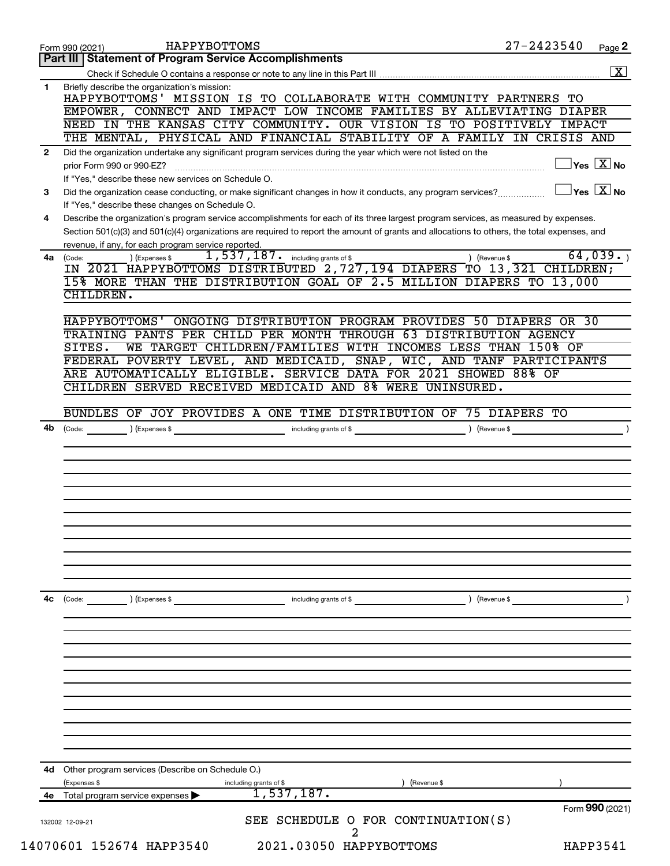|              | HAPPYBOTTOMS<br>Form 990 (2021)                                                                                                              | $27 - 2423540$  | Page 2                                           |
|--------------|----------------------------------------------------------------------------------------------------------------------------------------------|-----------------|--------------------------------------------------|
|              | Part III   Statement of Program Service Accomplishments                                                                                      |                 |                                                  |
|              |                                                                                                                                              |                 | $\boxed{\textbf{X}}$                             |
| 1            | Briefly describe the organization's mission:<br>HAPPYBOTTOMS' MISSION IS TO COLLABORATE WITH COMMUNITY PARTNERS TO                           |                 |                                                  |
|              | EMPOWER, CONNECT AND IMPACT LOW INCOME FAMILIES BY ALLEVIATING DIAPER                                                                        |                 |                                                  |
|              | NEED IN THE KANSAS CITY COMMUNITY. OUR VISION IS TO POSITIVELY IMPACT                                                                        |                 |                                                  |
|              | THE MENTAL, PHYSICAL AND FINANCIAL STABILITY OF A FAMILY IN CRISIS AND                                                                       |                 |                                                  |
| $\mathbf{2}$ | Did the organization undertake any significant program services during the year which were not listed on the                                 |                 |                                                  |
|              | prior Form 990 or 990-EZ?                                                                                                                    |                 | $\overline{X}$ Yes $\overline{X}$ No             |
|              | If "Yes," describe these new services on Schedule O.                                                                                         |                 |                                                  |
| 3            | Did the organization cease conducting, or make significant changes in how it conducts, any program services?                                 |                 | $\overline{\ }$ Yes $\overline{\phantom{a}X}$ No |
|              | If "Yes," describe these changes on Schedule O.                                                                                              |                 |                                                  |
| 4            | Describe the organization's program service accomplishments for each of its three largest program services, as measured by expenses.         |                 |                                                  |
|              | Section 501(c)(3) and 501(c)(4) organizations are required to report the amount of grants and allocations to others, the total expenses, and |                 |                                                  |
|              | revenue, if any, for each program service reported.                                                                                          |                 |                                                  |
| 4a           | 1,537,187. including grants of \$<br>) (Expenses \$<br>(Code:                                                                                | ) (Revenue \$   | 64,039.                                          |
|              | IN 2021 HAPPYBOTTOMS DISTRIBUTED 2, 727, 194 DIAPERS TO 13, 321 CHILDREN;                                                                    |                 |                                                  |
|              | 15% MORE THAN THE DISTRIBUTION GOAL OF 2.5 MILLION DIAPERS TO 13,000<br>CHILDREN.                                                            |                 |                                                  |
|              |                                                                                                                                              |                 |                                                  |
|              | HAPPYBOTTOMS' ONGOING DISTRIBUTION PROGRAM PROVIDES 50 DIAPERS OR 30                                                                         |                 |                                                  |
|              | TRAINING PANTS PER CHILD PER MONTH THROUGH 63 DISTRIBUTION AGENCY                                                                            |                 |                                                  |
|              | WE TARGET CHILDREN/FAMILIES WITH INCOMES LESS THAN 150% OF<br>SITES.                                                                         |                 |                                                  |
|              | FEDERAL POVERTY LEVEL, AND MEDICAID, SNAP, WIC, AND TANF PARTICIPANTS                                                                        |                 |                                                  |
|              | ARE AUTOMATICALLY ELIGIBLE. SERVICE DATA FOR 2021 SHOWED 88% OF                                                                              |                 |                                                  |
|              | CHILDREN SERVED RECEIVED MEDICAID AND 8% WERE UNINSURED.                                                                                     |                 |                                                  |
|              |                                                                                                                                              |                 |                                                  |
|              | BUNDLES OF JOY PROVIDES A ONE TIME DISTRIBUTION OF 75 DIAPERS TO                                                                             |                 |                                                  |
|              |                                                                                                                                              |                 |                                                  |
|              |                                                                                                                                              |                 |                                                  |
|              |                                                                                                                                              |                 |                                                  |
|              |                                                                                                                                              |                 |                                                  |
|              |                                                                                                                                              |                 |                                                  |
|              |                                                                                                                                              |                 |                                                  |
| 4с           | including grants of \$<br>(Code:<br>) (Expenses \$                                                                                           | ) (Revenue \$   |                                                  |
|              |                                                                                                                                              |                 |                                                  |
|              |                                                                                                                                              |                 |                                                  |
|              |                                                                                                                                              |                 |                                                  |
|              |                                                                                                                                              |                 |                                                  |
|              |                                                                                                                                              |                 |                                                  |
|              |                                                                                                                                              |                 |                                                  |
|              |                                                                                                                                              |                 |                                                  |
|              |                                                                                                                                              |                 |                                                  |
|              |                                                                                                                                              |                 |                                                  |
|              |                                                                                                                                              |                 |                                                  |
|              |                                                                                                                                              |                 |                                                  |
| 4d           | Other program services (Describe on Schedule O.)                                                                                             |                 |                                                  |
|              | (Expenses \$<br>including grants of \$<br>(Revenue \$                                                                                        |                 |                                                  |
| 4е           | 1,537,187.<br>Total program service expenses                                                                                                 |                 |                                                  |
|              |                                                                                                                                              | Form 990 (2021) |                                                  |
|              | SEE SCHEDULE O FOR CONTINUATION(S)<br>132002 12-09-21                                                                                        |                 |                                                  |
|              | 2                                                                                                                                            |                 |                                                  |
|              | 14070601 152674 HAPP3540<br>2021.03050 HAPPYBOTTOMS                                                                                          | HAPP3541        |                                                  |
|              |                                                                                                                                              |                 |                                                  |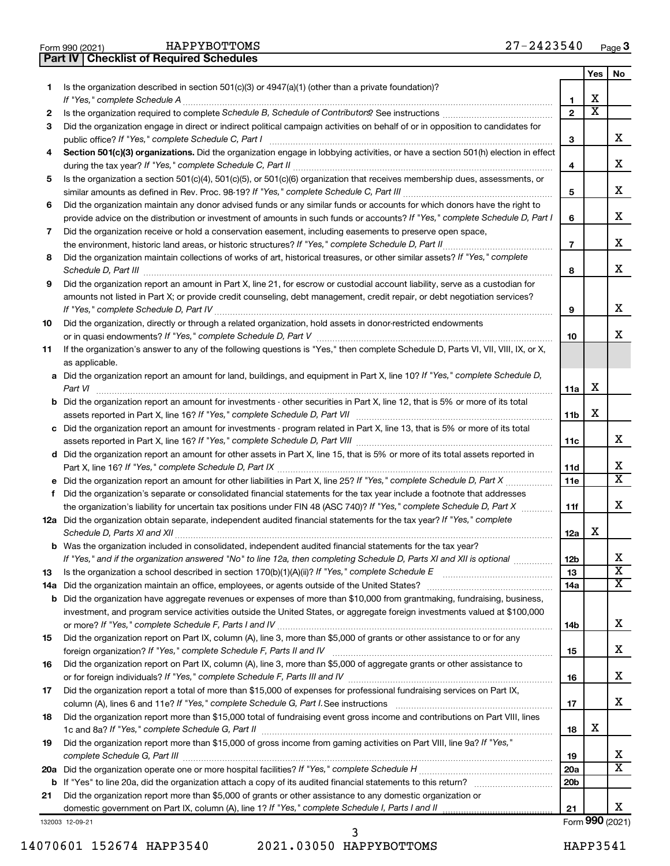|  | Form 990 (2021) |
|--|-----------------|

**Part IV Checklist of Required Schedules**

|         |                                                                                                                                                                                          |                   | Yes                     | No                           |
|---------|------------------------------------------------------------------------------------------------------------------------------------------------------------------------------------------|-------------------|-------------------------|------------------------------|
| 1.      | Is the organization described in section $501(c)(3)$ or $4947(a)(1)$ (other than a private foundation)?                                                                                  |                   |                         |                              |
|         | If "Yes," complete Schedule A                                                                                                                                                            | 1                 | х                       |                              |
| 2       |                                                                                                                                                                                          | $\mathbf{2}$      | $\overline{\textbf{x}}$ |                              |
| 3       | Did the organization engage in direct or indirect political campaign activities on behalf of or in opposition to candidates for                                                          |                   |                         | x                            |
|         | public office? If "Yes," complete Schedule C, Part I<br>Section 501(c)(3) organizations. Did the organization engage in lobbying activities, or have a section 501(h) election in effect | 3                 |                         |                              |
| 4       |                                                                                                                                                                                          | 4                 |                         | x                            |
| 5       | Is the organization a section 501(c)(4), 501(c)(5), or 501(c)(6) organization that receives membership dues, assessments, or                                                             |                   |                         |                              |
|         |                                                                                                                                                                                          | 5                 |                         | x                            |
| 6       | Did the organization maintain any donor advised funds or any similar funds or accounts for which donors have the right to                                                                |                   |                         |                              |
|         | provide advice on the distribution or investment of amounts in such funds or accounts? If "Yes," complete Schedule D, Part I                                                             | 6                 |                         | x                            |
| 7       | Did the organization receive or hold a conservation easement, including easements to preserve open space,                                                                                |                   |                         |                              |
|         | the environment, historic land areas, or historic structures? If "Yes," complete Schedule D, Part II                                                                                     | $\overline{7}$    |                         | x                            |
| 8       | Did the organization maintain collections of works of art, historical treasures, or other similar assets? If "Yes," complete                                                             |                   |                         |                              |
|         | Schedule D, Part III                                                                                                                                                                     | 8                 |                         | x                            |
| 9       | Did the organization report an amount in Part X, line 21, for escrow or custodial account liability, serve as a custodian for                                                            |                   |                         |                              |
|         | amounts not listed in Part X; or provide credit counseling, debt management, credit repair, or debt negotiation services?                                                                |                   |                         |                              |
|         |                                                                                                                                                                                          | 9                 |                         | x                            |
| 10      | Did the organization, directly or through a related organization, hold assets in donor-restricted endowments                                                                             |                   |                         | x                            |
| 11      | If the organization's answer to any of the following questions is "Yes," then complete Schedule D, Parts VI, VII, VIII, IX, or X,                                                        | 10                |                         |                              |
|         | as applicable.                                                                                                                                                                           |                   |                         |                              |
|         | a Did the organization report an amount for land, buildings, and equipment in Part X, line 10? If "Yes," complete Schedule D,                                                            |                   |                         |                              |
|         | Part VI                                                                                                                                                                                  | 11a               | х                       |                              |
|         | <b>b</b> Did the organization report an amount for investments - other securities in Part X, line 12, that is 5% or more of its total                                                    |                   |                         |                              |
|         |                                                                                                                                                                                          | 11b               | х                       |                              |
|         | c Did the organization report an amount for investments - program related in Part X, line 13, that is 5% or more of its total                                                            |                   |                         |                              |
|         |                                                                                                                                                                                          | 11c               |                         | x                            |
|         | d Did the organization report an amount for other assets in Part X, line 15, that is 5% or more of its total assets reported in                                                          |                   |                         | x                            |
|         |                                                                                                                                                                                          | 11d               |                         | $\overline{\mathbf{X}}$      |
| f       | Did the organization's separate or consolidated financial statements for the tax year include a footnote that addresses                                                                  | 11e               |                         |                              |
|         | the organization's liability for uncertain tax positions under FIN 48 (ASC 740)? If "Yes," complete Schedule D, Part X                                                                   | 11f               |                         | x                            |
|         | 12a Did the organization obtain separate, independent audited financial statements for the tax year? If "Yes," complete                                                                  |                   |                         |                              |
|         | Schedule D, Parts XI and XII                                                                                                                                                             | 12a               | x                       |                              |
|         | <b>b</b> Was the organization included in consolidated, independent audited financial statements for the tax year?                                                                       |                   |                         |                              |
|         | If "Yes," and if the organization answered "No" to line 12a, then completing Schedule D, Parts XI and XII is optional                                                                    | 12 <sub>b</sub>   |                         | Χ                            |
| 13      |                                                                                                                                                                                          | 13                |                         | $\overline{\mathbf{x}}$      |
| 14a     |                                                                                                                                                                                          | 14a               |                         | $\overline{X}$               |
| b       | Did the organization have aggregate revenues or expenses of more than \$10,000 from grantmaking, fundraising, business,                                                                  |                   |                         |                              |
|         | investment, and program service activities outside the United States, or aggregate foreign investments valued at \$100,000                                                               |                   |                         | x                            |
| 15      | Did the organization report on Part IX, column (A), line 3, more than \$5,000 of grants or other assistance to or for any                                                                | 14b               |                         |                              |
|         |                                                                                                                                                                                          | 15                |                         | x                            |
| 16      | Did the organization report on Part IX, column (A), line 3, more than \$5,000 of aggregate grants or other assistance to                                                                 |                   |                         |                              |
|         |                                                                                                                                                                                          | 16                |                         | x                            |
| 17      | Did the organization report a total of more than \$15,000 of expenses for professional fundraising services on Part IX,                                                                  |                   |                         |                              |
|         |                                                                                                                                                                                          | 17                |                         | x                            |
| 18      | Did the organization report more than \$15,000 total of fundraising event gross income and contributions on Part VIII, lines                                                             |                   |                         |                              |
|         |                                                                                                                                                                                          | 18                | х                       |                              |
| 19      | Did the organization report more than \$15,000 of gross income from gaming activities on Part VIII, line 9a? If "Yes,"                                                                   |                   |                         |                              |
|         |                                                                                                                                                                                          | 19                |                         | X<br>$\overline{\mathbf{X}}$ |
| 20a     |                                                                                                                                                                                          | 20a<br><b>20b</b> |                         |                              |
| b<br>21 | Did the organization report more than \$5,000 of grants or other assistance to any domestic organization or                                                                              |                   |                         |                              |
|         |                                                                                                                                                                                          | 21                |                         | x                            |
|         | 132003 12-09-21                                                                                                                                                                          |                   |                         | Form 990 (2021)              |

14070601 152674 HAPP3540 2021.03050 HAPPYBOTTOMS HAPP3541 3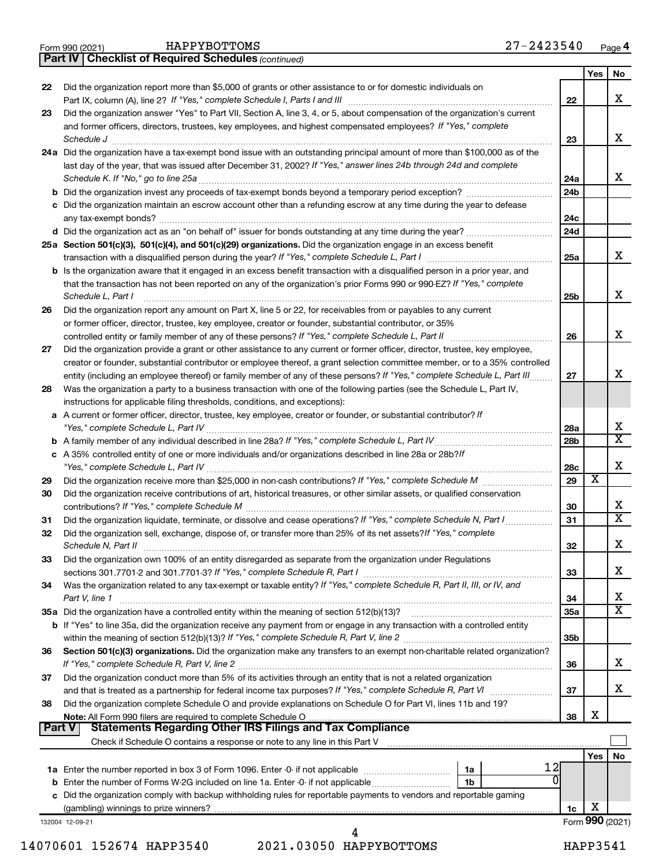|  | Form 990 (2021) |
|--|-----------------|
|  |                 |

*(continued)* **Part IV Checklist of Required Schedules**

|               |                                                                                                                                     |                 | Yes | No                      |
|---------------|-------------------------------------------------------------------------------------------------------------------------------------|-----------------|-----|-------------------------|
| 22            | Did the organization report more than \$5,000 of grants or other assistance to or for domestic individuals on                       |                 |     |                         |
|               | Part IX, column (A), line 2? If "Yes," complete Schedule I, Parts I and III                                                         | 22              |     | x                       |
| 23            | Did the organization answer "Yes" to Part VII, Section A, line 3, 4, or 5, about compensation of the organization's current         |                 |     |                         |
|               | and former officers, directors, trustees, key employees, and highest compensated employees? If "Yes," complete                      |                 |     |                         |
|               | Schedule J                                                                                                                          | 23              |     | x                       |
|               | 24a Did the organization have a tax-exempt bond issue with an outstanding principal amount of more than \$100,000 as of the         |                 |     |                         |
|               | last day of the year, that was issued after December 31, 2002? If "Yes," answer lines 24b through 24d and complete                  |                 |     |                         |
|               | Schedule K. If "No," go to line 25a                                                                                                 | 24a             |     | x                       |
|               | <b>b</b> Did the organization invest any proceeds of tax-exempt bonds beyond a temporary period exception?                          | 24b             |     |                         |
|               | c Did the organization maintain an escrow account other than a refunding escrow at any time during the year to defease              |                 |     |                         |
|               | any tax-exempt bonds?                                                                                                               | 24c             |     |                         |
|               | d Did the organization act as an "on behalf of" issuer for bonds outstanding at any time during the year?                           | 24 <sub>d</sub> |     |                         |
|               | 25a Section 501(c)(3), 501(c)(4), and 501(c)(29) organizations. Did the organization engage in an excess benefit                    | 25a             |     | x                       |
|               | <b>b</b> Is the organization aware that it engaged in an excess benefit transaction with a disqualified person in a prior year, and |                 |     |                         |
|               | that the transaction has not been reported on any of the organization's prior Forms 990 or 990-EZ? If "Yes," complete               |                 |     |                         |
|               | Schedule L, Part I                                                                                                                  | 25b             |     | x                       |
| 26            | Did the organization report any amount on Part X, line 5 or 22, for receivables from or payables to any current                     |                 |     |                         |
|               | or former officer, director, trustee, key employee, creator or founder, substantial contributor, or 35%                             |                 |     |                         |
|               | controlled entity or family member of any of these persons? If "Yes," complete Schedule L, Part II                                  | 26              |     | x                       |
| 27            | Did the organization provide a grant or other assistance to any current or former officer, director, trustee, key employee,         |                 |     |                         |
|               | creator or founder, substantial contributor or employee thereof, a grant selection committee member, or to a 35% controlled         |                 |     |                         |
|               | entity (including an employee thereof) or family member of any of these persons? If "Yes," complete Schedule L, Part III            | 27              |     | x                       |
| 28            | Was the organization a party to a business transaction with one of the following parties (see the Schedule L, Part IV,              |                 |     |                         |
|               | instructions for applicable filing thresholds, conditions, and exceptions):                                                         |                 |     |                         |
|               | a A current or former officer, director, trustee, key employee, creator or founder, or substantial contributor? If                  |                 |     |                         |
|               |                                                                                                                                     | 28a             |     | х                       |
|               |                                                                                                                                     | 28b             |     | $\overline{\mathtt{x}}$ |
|               | c A 35% controlled entity of one or more individuals and/or organizations described in line 28a or 28b? If                          |                 |     |                         |
|               |                                                                                                                                     | 28c             |     | х                       |
| 29            |                                                                                                                                     | 29              | X   |                         |
| 30            | Did the organization receive contributions of art, historical treasures, or other similar assets, or qualified conservation         |                 |     |                         |
|               |                                                                                                                                     | 30              |     | x                       |
| 31            | Did the organization liquidate, terminate, or dissolve and cease operations? If "Yes," complete Schedule N, Part I                  | 31              |     | $\overline{\mathtt{x}}$ |
| 32            | Did the organization sell, exchange, dispose of, or transfer more than 25% of its net assets? If "Yes," complete                    |                 |     |                         |
|               | Schedule N, Part II                                                                                                                 | 32              |     | X                       |
| 33            | Did the organization own 100% of an entity disregarded as separate from the organization under Regulations                          |                 |     |                         |
|               |                                                                                                                                     | 33              |     | х                       |
| 34            | Was the organization related to any tax-exempt or taxable entity? If "Yes," complete Schedule R, Part II, III, or IV, and           |                 |     | x                       |
|               | Part V, line 1                                                                                                                      | 34              |     | $\overline{\mathtt{x}}$ |
|               |                                                                                                                                     | 35a             |     |                         |
|               | <b>b</b> If "Yes" to line 35a, did the organization receive any payment from or engage in any transaction with a controlled entity  | 35b             |     |                         |
| 36            | Section 501(c)(3) organizations. Did the organization make any transfers to an exempt non-charitable related organization?          |                 |     |                         |
|               |                                                                                                                                     | 36              |     | x                       |
| 37            | Did the organization conduct more than 5% of its activities through an entity that is not a related organization                    |                 |     |                         |
|               |                                                                                                                                     | 37              |     | x                       |
| 38            | Did the organization complete Schedule O and provide explanations on Schedule O for Part VI, lines 11b and 19?                      |                 |     |                         |
|               |                                                                                                                                     | 38              | х   |                         |
| <b>Part V</b> | <b>Statements Regarding Other IRS Filings and Tax Compliance</b>                                                                    |                 |     |                         |
|               |                                                                                                                                     |                 |     |                         |
|               |                                                                                                                                     |                 | Yes | No                      |
|               | 12<br>1a                                                                                                                            |                 |     |                         |
|               | $\Omega$<br><b>b</b> Enter the number of Forms W-2G included on line 1a. Enter -0- if not applicable<br>1b                          |                 |     |                         |
|               | c Did the organization comply with backup withholding rules for reportable payments to vendors and reportable gaming                |                 |     |                         |
|               |                                                                                                                                     | 1c              | х   |                         |
|               | 132004 12-09-21                                                                                                                     |                 |     | Form 990 (2021)         |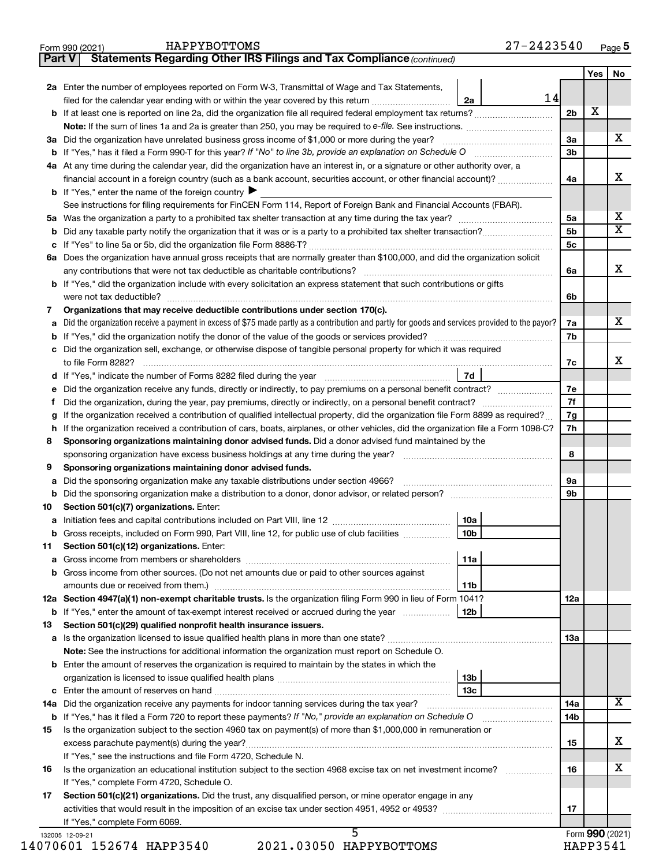| HAPPYBOTTOMS |  |  |  |  |  |
|--------------|--|--|--|--|--|
|--------------|--|--|--|--|--|

**Part V Statements Regarding Other IRS Filings and Tax Compliance**

*(continued)*

|     | 2a Enter the number of employees reported on Form W-3, Transmittal of Wage and Tax Statements,                                                  |                | Yes             | No                      |
|-----|-------------------------------------------------------------------------------------------------------------------------------------------------|----------------|-----------------|-------------------------|
|     | 14<br>filed for the calendar year ending with or within the year covered by this return <i>manumumumum</i><br>2a                                |                |                 |                         |
|     |                                                                                                                                                 | 2 <sub>b</sub> | X               |                         |
|     |                                                                                                                                                 |                |                 |                         |
|     | 3a Did the organization have unrelated business gross income of \$1,000 or more during the year?                                                | 3a             |                 | х                       |
|     |                                                                                                                                                 | 3 <sub>b</sub> |                 |                         |
|     | 4a At any time during the calendar year, did the organization have an interest in, or a signature or other authority over, a                    |                |                 |                         |
|     | financial account in a foreign country (such as a bank account, securities account, or other financial account)?                                | 4a             |                 | х                       |
|     | <b>b</b> If "Yes," enter the name of the foreign country $\blacktriangleright$                                                                  |                |                 |                         |
|     | See instructions for filing requirements for FinCEN Form 114, Report of Foreign Bank and Financial Accounts (FBAR).                             |                |                 |                         |
|     |                                                                                                                                                 | 5a             |                 | х                       |
|     |                                                                                                                                                 | 5b             |                 | $\overline{\textbf{X}}$ |
|     |                                                                                                                                                 | 5 <sub>c</sub> |                 |                         |
|     | 6a Does the organization have annual gross receipts that are normally greater than \$100,000, and did the organization solicit                  |                |                 |                         |
|     | any contributions that were not tax deductible as charitable contributions?                                                                     | 6a             |                 | х                       |
|     | b If "Yes," did the organization include with every solicitation an express statement that such contributions or gifts                          |                |                 |                         |
|     |                                                                                                                                                 | 6b             |                 |                         |
| 7   | Organizations that may receive deductible contributions under section 170(c).                                                                   |                |                 |                         |
| а   | Did the organization receive a payment in excess of \$75 made partly as a contribution and partly for goods and services provided to the payor? | 7a             |                 | х                       |
|     |                                                                                                                                                 | 7b             |                 |                         |
|     | c Did the organization sell, exchange, or otherwise dispose of tangible personal property for which it was required                             |                |                 |                         |
|     | to file Form 8282?                                                                                                                              | 7c             |                 | х                       |
|     | 7d<br>d If "Yes," indicate the number of Forms 8282 filed during the year www.www.www.www.www.                                                  |                |                 |                         |
| е   | Did the organization receive any funds, directly or indirectly, to pay premiums on a personal benefit contract?                                 | 7e             |                 |                         |
| f   |                                                                                                                                                 | 7f             |                 |                         |
| g   | If the organization received a contribution of qualified intellectual property, did the organization file Form 8899 as required?                | 7g             |                 |                         |
|     | h If the organization received a contribution of cars, boats, airplanes, or other vehicles, did the organization file a Form 1098-C?            | 7h             |                 |                         |
| 8   | Sponsoring organizations maintaining donor advised funds. Did a donor advised fund maintained by the                                            |                |                 |                         |
|     | sponsoring organization have excess business holdings at any time during the year?                                                              | 8              |                 |                         |
| 9   | Sponsoring organizations maintaining donor advised funds.                                                                                       |                |                 |                         |
| а   | Did the sponsoring organization make any taxable distributions under section 4966?                                                              | 9а             |                 |                         |
|     | b Did the sponsoring organization make a distribution to a donor, donor advisor, or related person? [111] [12]                                  | 9b             |                 |                         |
| 10  | Section 501(c)(7) organizations. Enter:                                                                                                         |                |                 |                         |
| a   | 10a                                                                                                                                             |                |                 |                         |
| b   | Gross receipts, included on Form 990, Part VIII, line 12, for public use of club facilities<br>10 <sub>b</sub>                                  |                |                 |                         |
| 11  | Section 501(c)(12) organizations. Enter:                                                                                                        |                |                 |                         |
|     | 11a                                                                                                                                             |                |                 |                         |
|     | <b>b</b> Gross income from other sources. (Do not net amounts due or paid to other sources against                                              |                |                 |                         |
|     | 11b                                                                                                                                             |                |                 |                         |
|     | 12a Section 4947(a)(1) non-exempt charitable trusts. Is the organization filing Form 990 in lieu of Form 1041?                                  | <b>12a</b>     |                 |                         |
|     | <b>b</b> If "Yes," enter the amount of tax-exempt interest received or accrued during the year<br>12b                                           |                |                 |                         |
| 13  | Section 501(c)(29) qualified nonprofit health insurance issuers.                                                                                |                |                 |                         |
| a   | Note: See the instructions for additional information the organization must report on Schedule O.                                               | 13a            |                 |                         |
|     |                                                                                                                                                 |                |                 |                         |
|     | <b>b</b> Enter the amount of reserves the organization is required to maintain by the states in which the                                       |                |                 |                         |
|     | 13b                                                                                                                                             |                |                 |                         |
|     | 13с                                                                                                                                             |                |                 | x                       |
| 14a | Did the organization receive any payments for indoor tanning services during the tax year?                                                      | 14a            |                 |                         |
|     | Is the organization subject to the section 4960 tax on payment(s) of more than \$1,000,000 in remuneration or                                   | 14b            |                 |                         |
| 15  |                                                                                                                                                 | 15             |                 | х                       |
|     |                                                                                                                                                 |                |                 |                         |
|     | If "Yes," see the instructions and file Form 4720, Schedule N.                                                                                  | 16             |                 | х                       |
| 16  | Is the organization an educational institution subject to the section 4968 excise tax on net investment income?                                 |                |                 |                         |
|     | If "Yes," complete Form 4720, Schedule O.                                                                                                       |                |                 |                         |
| 17  | Section 501(c)(21) organizations. Did the trust, any disqualified person, or mine operator engage in any                                        |                |                 |                         |
|     |                                                                                                                                                 | 17             |                 |                         |
|     | If "Yes," complete Form 6069.                                                                                                                   |                | Form 990 (2021) |                         |
|     | 132005 12-09-21<br>2021.03050 HAPPYBOTTOMS<br>14070601 152674 HAPP3540                                                                          |                | HAPP3541        |                         |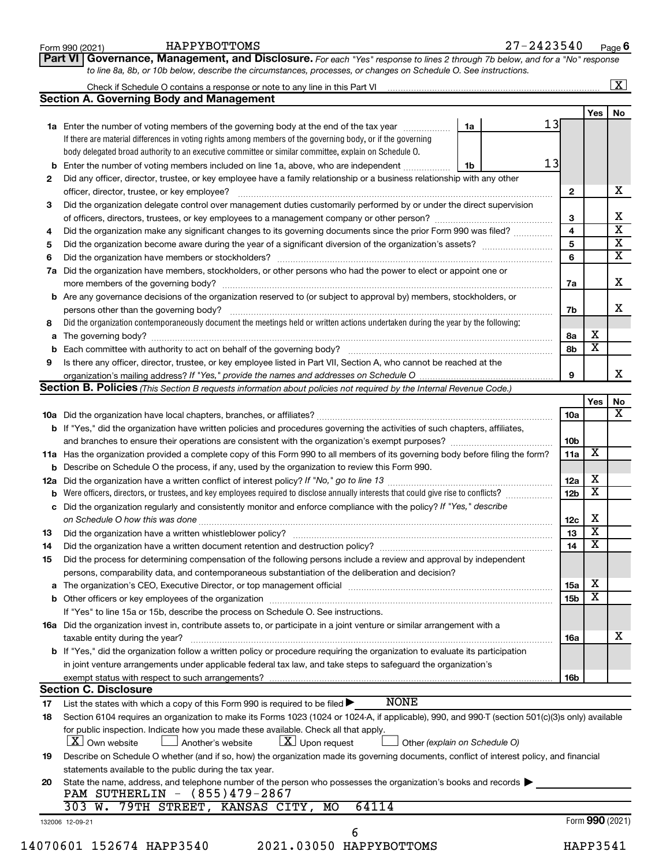| <b>Section A. Governing Body and Management</b><br>Yes  <br>13<br>1a Enter the number of voting members of the governing body at the end of the tax year <i>manumum</i><br>1a<br>If there are material differences in voting rights among members of the governing body, or if the governing<br>body delegated broad authority to an executive committee or similar committee, explain on Schedule O.<br>13<br><b>b</b> Enter the number of voting members included on line 1a, above, who are independent<br>1b<br>Did any officer, director, trustee, or key employee have a family relationship or a business relationship with any other<br>2<br>officer, director, trustee, or key employee?<br>$\mathbf{2}$<br>Did the organization delegate control over management duties customarily performed by or under the direct supervision<br>3<br>3<br>4<br>Did the organization make any significant changes to its governing documents since the prior Form 990 was filed?<br>4<br>5<br>5<br>6<br>6<br>Did the organization have members, stockholders, or other persons who had the power to elect or appoint one or<br>7a<br>7a<br><b>b</b> Are any governance decisions of the organization reserved to (or subject to approval by) members, stockholders, or<br>persons other than the governing body?<br>7b<br>Did the organization contemporaneously document the meetings held or written actions undertaken during the year by the following:<br>8<br>8а<br>a<br>8b<br>Is there any officer, director, trustee, or key employee listed in Part VII, Section A, who cannot be reached at the<br>9<br>9<br>Section B. Policies (This Section B requests information about policies not required by the Internal Revenue Code.)<br>10a<br>b If "Yes," did the organization have written policies and procedures governing the activities of such chapters, affiliates,<br>10b<br>X<br>11a Has the organization provided a complete copy of this Form 990 to all members of its governing body before filing the form?<br>11a<br><b>b</b> Describe on Schedule O the process, if any, used by the organization to review this Form 990.<br>х<br>12a<br>$\overline{\mathbf{x}}$<br>Were officers, directors, or trustees, and key employees required to disclose annually interests that could give rise to conflicts?<br>12 <sub>b</sub><br>b<br>c Did the organization regularly and consistently monitor and enforce compliance with the policy? If "Yes," describe<br>Х<br>12c<br>$\overline{\mathbf{X}}$<br>13<br>13<br>$\overline{\mathtt{x}}$<br>14<br>Did the organization have a written document retention and destruction policy? [111] [12] manument contains an<br>14<br>Did the process for determining compensation of the following persons include a review and approval by independent<br>15<br>persons, comparability data, and contemporaneous substantiation of the deliberation and decision?<br>х<br>15a<br>a<br>X<br>15 <sub>b</sub><br>If "Yes" to line 15a or 15b, describe the process on Schedule O. See instructions.<br>16a Did the organization invest in, contribute assets to, or participate in a joint venture or similar arrangement with a<br>taxable entity during the year?<br>16a<br>b If "Yes," did the organization follow a written policy or procedure requiring the organization to evaluate its participation<br>in joint venture arrangements under applicable federal tax law, and take steps to safeguard the organization's<br>exempt status with respect to such arrangements?<br>16b<br><b>Section C. Disclosure</b><br><b>NONE</b><br>List the states with which a copy of this Form 990 is required to be filed $\blacktriangleright$<br>17<br>Section 6104 requires an organization to make its Forms 1023 (1024 or 1024-A, if applicable), 990, and 990-T (section 501(c)(3)s only) available<br>18<br>for public inspection. Indicate how you made these available. Check all that apply.<br>$\lfloor x \rfloor$ Upon request<br>  X   Own website<br>Another's website<br>Other (explain on Schedule O)<br>Describe on Schedule O whether (and if so, how) the organization made its governing documents, conflict of interest policy, and financial<br>19<br>statements available to the public during the tax year.<br>State the name, address, and telephone number of the person who possesses the organization's books and records $\blacktriangleright$<br>20<br>PAM SUTHERLIN - (855)479-2867<br>303 W. 79TH STREET, KANSAS CITY, MO<br>64114<br>Form 990 (2021)<br>132006 12-09-21<br>6 |                                                     |  |  |  |                         | $\sqrt{X}$              |  |
|-----------------------------------------------------------------------------------------------------------------------------------------------------------------------------------------------------------------------------------------------------------------------------------------------------------------------------------------------------------------------------------------------------------------------------------------------------------------------------------------------------------------------------------------------------------------------------------------------------------------------------------------------------------------------------------------------------------------------------------------------------------------------------------------------------------------------------------------------------------------------------------------------------------------------------------------------------------------------------------------------------------------------------------------------------------------------------------------------------------------------------------------------------------------------------------------------------------------------------------------------------------------------------------------------------------------------------------------------------------------------------------------------------------------------------------------------------------------------------------------------------------------------------------------------------------------------------------------------------------------------------------------------------------------------------------------------------------------------------------------------------------------------------------------------------------------------------------------------------------------------------------------------------------------------------------------------------------------------------------------------------------------------------------------------------------------------------------------------------------------------------------------------------------------------------------------------------------------------------------------------------------------------------------------------------------------------------------------------------------------------------------------------------------------------------------------------------------------------------------------------------------------------------------------------------------------------------------------------------------------------------------------------------------------------------------------------------------------------------------------------------------------------------------------------------------------------------------------------------------------------------------------------------------------------------------------------------------------------------------------------------------------------------------------------------------------------------------------------------------------------------------------------------------------------------------------------------------------------------------------------------------------------------------------------------------------------------------------------------------------------------------------------------------------------------------------------------------------------------------------------------------------------------------------------------------------------------------------------------------------------------------------------------------------------------------------------------------------------------------------------------------------------------------------------------------------------------------------------------------------------------------------------------------------------------------------------------------------------------------------------------------------------------------------------------------------------------------------------------------------------------------------------------------------------------------------------------------------------------------------------------------------------------------------------------------------------------------------------------------------------------------------------------------------------------------------------------------------------------------------------------------------------------------------------------------------|-----------------------------------------------------|--|--|--|-------------------------|-------------------------|--|
|                                                                                                                                                                                                                                                                                                                                                                                                                                                                                                                                                                                                                                                                                                                                                                                                                                                                                                                                                                                                                                                                                                                                                                                                                                                                                                                                                                                                                                                                                                                                                                                                                                                                                                                                                                                                                                                                                                                                                                                                                                                                                                                                                                                                                                                                                                                                                                                                                                                                                                                                                                                                                                                                                                                                                                                                                                                                                                                                                                                                                                                                                                                                                                                                                                                                                                                                                                                                                                                                                                                                                                                                                                                                                                                                                                                                                                                                                                                                                                                                                                                                                                                                                                                                                                                                                                                                                                                                                                                                                                                                                                 |                                                     |  |  |  |                         | No                      |  |
|                                                                                                                                                                                                                                                                                                                                                                                                                                                                                                                                                                                                                                                                                                                                                                                                                                                                                                                                                                                                                                                                                                                                                                                                                                                                                                                                                                                                                                                                                                                                                                                                                                                                                                                                                                                                                                                                                                                                                                                                                                                                                                                                                                                                                                                                                                                                                                                                                                                                                                                                                                                                                                                                                                                                                                                                                                                                                                                                                                                                                                                                                                                                                                                                                                                                                                                                                                                                                                                                                                                                                                                                                                                                                                                                                                                                                                                                                                                                                                                                                                                                                                                                                                                                                                                                                                                                                                                                                                                                                                                                                                 |                                                     |  |  |  |                         |                         |  |
|                                                                                                                                                                                                                                                                                                                                                                                                                                                                                                                                                                                                                                                                                                                                                                                                                                                                                                                                                                                                                                                                                                                                                                                                                                                                                                                                                                                                                                                                                                                                                                                                                                                                                                                                                                                                                                                                                                                                                                                                                                                                                                                                                                                                                                                                                                                                                                                                                                                                                                                                                                                                                                                                                                                                                                                                                                                                                                                                                                                                                                                                                                                                                                                                                                                                                                                                                                                                                                                                                                                                                                                                                                                                                                                                                                                                                                                                                                                                                                                                                                                                                                                                                                                                                                                                                                                                                                                                                                                                                                                                                                 |                                                     |  |  |  |                         |                         |  |
|                                                                                                                                                                                                                                                                                                                                                                                                                                                                                                                                                                                                                                                                                                                                                                                                                                                                                                                                                                                                                                                                                                                                                                                                                                                                                                                                                                                                                                                                                                                                                                                                                                                                                                                                                                                                                                                                                                                                                                                                                                                                                                                                                                                                                                                                                                                                                                                                                                                                                                                                                                                                                                                                                                                                                                                                                                                                                                                                                                                                                                                                                                                                                                                                                                                                                                                                                                                                                                                                                                                                                                                                                                                                                                                                                                                                                                                                                                                                                                                                                                                                                                                                                                                                                                                                                                                                                                                                                                                                                                                                                                 |                                                     |  |  |  |                         |                         |  |
|                                                                                                                                                                                                                                                                                                                                                                                                                                                                                                                                                                                                                                                                                                                                                                                                                                                                                                                                                                                                                                                                                                                                                                                                                                                                                                                                                                                                                                                                                                                                                                                                                                                                                                                                                                                                                                                                                                                                                                                                                                                                                                                                                                                                                                                                                                                                                                                                                                                                                                                                                                                                                                                                                                                                                                                                                                                                                                                                                                                                                                                                                                                                                                                                                                                                                                                                                                                                                                                                                                                                                                                                                                                                                                                                                                                                                                                                                                                                                                                                                                                                                                                                                                                                                                                                                                                                                                                                                                                                                                                                                                 |                                                     |  |  |  |                         |                         |  |
|                                                                                                                                                                                                                                                                                                                                                                                                                                                                                                                                                                                                                                                                                                                                                                                                                                                                                                                                                                                                                                                                                                                                                                                                                                                                                                                                                                                                                                                                                                                                                                                                                                                                                                                                                                                                                                                                                                                                                                                                                                                                                                                                                                                                                                                                                                                                                                                                                                                                                                                                                                                                                                                                                                                                                                                                                                                                                                                                                                                                                                                                                                                                                                                                                                                                                                                                                                                                                                                                                                                                                                                                                                                                                                                                                                                                                                                                                                                                                                                                                                                                                                                                                                                                                                                                                                                                                                                                                                                                                                                                                                 |                                                     |  |  |  |                         |                         |  |
|                                                                                                                                                                                                                                                                                                                                                                                                                                                                                                                                                                                                                                                                                                                                                                                                                                                                                                                                                                                                                                                                                                                                                                                                                                                                                                                                                                                                                                                                                                                                                                                                                                                                                                                                                                                                                                                                                                                                                                                                                                                                                                                                                                                                                                                                                                                                                                                                                                                                                                                                                                                                                                                                                                                                                                                                                                                                                                                                                                                                                                                                                                                                                                                                                                                                                                                                                                                                                                                                                                                                                                                                                                                                                                                                                                                                                                                                                                                                                                                                                                                                                                                                                                                                                                                                                                                                                                                                                                                                                                                                                                 |                                                     |  |  |  |                         | Х                       |  |
|                                                                                                                                                                                                                                                                                                                                                                                                                                                                                                                                                                                                                                                                                                                                                                                                                                                                                                                                                                                                                                                                                                                                                                                                                                                                                                                                                                                                                                                                                                                                                                                                                                                                                                                                                                                                                                                                                                                                                                                                                                                                                                                                                                                                                                                                                                                                                                                                                                                                                                                                                                                                                                                                                                                                                                                                                                                                                                                                                                                                                                                                                                                                                                                                                                                                                                                                                                                                                                                                                                                                                                                                                                                                                                                                                                                                                                                                                                                                                                                                                                                                                                                                                                                                                                                                                                                                                                                                                                                                                                                                                                 |                                                     |  |  |  |                         |                         |  |
|                                                                                                                                                                                                                                                                                                                                                                                                                                                                                                                                                                                                                                                                                                                                                                                                                                                                                                                                                                                                                                                                                                                                                                                                                                                                                                                                                                                                                                                                                                                                                                                                                                                                                                                                                                                                                                                                                                                                                                                                                                                                                                                                                                                                                                                                                                                                                                                                                                                                                                                                                                                                                                                                                                                                                                                                                                                                                                                                                                                                                                                                                                                                                                                                                                                                                                                                                                                                                                                                                                                                                                                                                                                                                                                                                                                                                                                                                                                                                                                                                                                                                                                                                                                                                                                                                                                                                                                                                                                                                                                                                                 |                                                     |  |  |  |                         | Х                       |  |
|                                                                                                                                                                                                                                                                                                                                                                                                                                                                                                                                                                                                                                                                                                                                                                                                                                                                                                                                                                                                                                                                                                                                                                                                                                                                                                                                                                                                                                                                                                                                                                                                                                                                                                                                                                                                                                                                                                                                                                                                                                                                                                                                                                                                                                                                                                                                                                                                                                                                                                                                                                                                                                                                                                                                                                                                                                                                                                                                                                                                                                                                                                                                                                                                                                                                                                                                                                                                                                                                                                                                                                                                                                                                                                                                                                                                                                                                                                                                                                                                                                                                                                                                                                                                                                                                                                                                                                                                                                                                                                                                                                 |                                                     |  |  |  |                         | $\overline{\textbf{x}}$ |  |
|                                                                                                                                                                                                                                                                                                                                                                                                                                                                                                                                                                                                                                                                                                                                                                                                                                                                                                                                                                                                                                                                                                                                                                                                                                                                                                                                                                                                                                                                                                                                                                                                                                                                                                                                                                                                                                                                                                                                                                                                                                                                                                                                                                                                                                                                                                                                                                                                                                                                                                                                                                                                                                                                                                                                                                                                                                                                                                                                                                                                                                                                                                                                                                                                                                                                                                                                                                                                                                                                                                                                                                                                                                                                                                                                                                                                                                                                                                                                                                                                                                                                                                                                                                                                                                                                                                                                                                                                                                                                                                                                                                 |                                                     |  |  |  |                         | $\overline{\mathbf{X}}$ |  |
|                                                                                                                                                                                                                                                                                                                                                                                                                                                                                                                                                                                                                                                                                                                                                                                                                                                                                                                                                                                                                                                                                                                                                                                                                                                                                                                                                                                                                                                                                                                                                                                                                                                                                                                                                                                                                                                                                                                                                                                                                                                                                                                                                                                                                                                                                                                                                                                                                                                                                                                                                                                                                                                                                                                                                                                                                                                                                                                                                                                                                                                                                                                                                                                                                                                                                                                                                                                                                                                                                                                                                                                                                                                                                                                                                                                                                                                                                                                                                                                                                                                                                                                                                                                                                                                                                                                                                                                                                                                                                                                                                                 |                                                     |  |  |  |                         | $\overline{\mathbf{X}}$ |  |
|                                                                                                                                                                                                                                                                                                                                                                                                                                                                                                                                                                                                                                                                                                                                                                                                                                                                                                                                                                                                                                                                                                                                                                                                                                                                                                                                                                                                                                                                                                                                                                                                                                                                                                                                                                                                                                                                                                                                                                                                                                                                                                                                                                                                                                                                                                                                                                                                                                                                                                                                                                                                                                                                                                                                                                                                                                                                                                                                                                                                                                                                                                                                                                                                                                                                                                                                                                                                                                                                                                                                                                                                                                                                                                                                                                                                                                                                                                                                                                                                                                                                                                                                                                                                                                                                                                                                                                                                                                                                                                                                                                 |                                                     |  |  |  |                         |                         |  |
|                                                                                                                                                                                                                                                                                                                                                                                                                                                                                                                                                                                                                                                                                                                                                                                                                                                                                                                                                                                                                                                                                                                                                                                                                                                                                                                                                                                                                                                                                                                                                                                                                                                                                                                                                                                                                                                                                                                                                                                                                                                                                                                                                                                                                                                                                                                                                                                                                                                                                                                                                                                                                                                                                                                                                                                                                                                                                                                                                                                                                                                                                                                                                                                                                                                                                                                                                                                                                                                                                                                                                                                                                                                                                                                                                                                                                                                                                                                                                                                                                                                                                                                                                                                                                                                                                                                                                                                                                                                                                                                                                                 |                                                     |  |  |  |                         | Χ                       |  |
|                                                                                                                                                                                                                                                                                                                                                                                                                                                                                                                                                                                                                                                                                                                                                                                                                                                                                                                                                                                                                                                                                                                                                                                                                                                                                                                                                                                                                                                                                                                                                                                                                                                                                                                                                                                                                                                                                                                                                                                                                                                                                                                                                                                                                                                                                                                                                                                                                                                                                                                                                                                                                                                                                                                                                                                                                                                                                                                                                                                                                                                                                                                                                                                                                                                                                                                                                                                                                                                                                                                                                                                                                                                                                                                                                                                                                                                                                                                                                                                                                                                                                                                                                                                                                                                                                                                                                                                                                                                                                                                                                                 |                                                     |  |  |  |                         |                         |  |
|                                                                                                                                                                                                                                                                                                                                                                                                                                                                                                                                                                                                                                                                                                                                                                                                                                                                                                                                                                                                                                                                                                                                                                                                                                                                                                                                                                                                                                                                                                                                                                                                                                                                                                                                                                                                                                                                                                                                                                                                                                                                                                                                                                                                                                                                                                                                                                                                                                                                                                                                                                                                                                                                                                                                                                                                                                                                                                                                                                                                                                                                                                                                                                                                                                                                                                                                                                                                                                                                                                                                                                                                                                                                                                                                                                                                                                                                                                                                                                                                                                                                                                                                                                                                                                                                                                                                                                                                                                                                                                                                                                 |                                                     |  |  |  |                         | X                       |  |
|                                                                                                                                                                                                                                                                                                                                                                                                                                                                                                                                                                                                                                                                                                                                                                                                                                                                                                                                                                                                                                                                                                                                                                                                                                                                                                                                                                                                                                                                                                                                                                                                                                                                                                                                                                                                                                                                                                                                                                                                                                                                                                                                                                                                                                                                                                                                                                                                                                                                                                                                                                                                                                                                                                                                                                                                                                                                                                                                                                                                                                                                                                                                                                                                                                                                                                                                                                                                                                                                                                                                                                                                                                                                                                                                                                                                                                                                                                                                                                                                                                                                                                                                                                                                                                                                                                                                                                                                                                                                                                                                                                 |                                                     |  |  |  |                         |                         |  |
|                                                                                                                                                                                                                                                                                                                                                                                                                                                                                                                                                                                                                                                                                                                                                                                                                                                                                                                                                                                                                                                                                                                                                                                                                                                                                                                                                                                                                                                                                                                                                                                                                                                                                                                                                                                                                                                                                                                                                                                                                                                                                                                                                                                                                                                                                                                                                                                                                                                                                                                                                                                                                                                                                                                                                                                                                                                                                                                                                                                                                                                                                                                                                                                                                                                                                                                                                                                                                                                                                                                                                                                                                                                                                                                                                                                                                                                                                                                                                                                                                                                                                                                                                                                                                                                                                                                                                                                                                                                                                                                                                                 |                                                     |  |  |  | х                       |                         |  |
|                                                                                                                                                                                                                                                                                                                                                                                                                                                                                                                                                                                                                                                                                                                                                                                                                                                                                                                                                                                                                                                                                                                                                                                                                                                                                                                                                                                                                                                                                                                                                                                                                                                                                                                                                                                                                                                                                                                                                                                                                                                                                                                                                                                                                                                                                                                                                                                                                                                                                                                                                                                                                                                                                                                                                                                                                                                                                                                                                                                                                                                                                                                                                                                                                                                                                                                                                                                                                                                                                                                                                                                                                                                                                                                                                                                                                                                                                                                                                                                                                                                                                                                                                                                                                                                                                                                                                                                                                                                                                                                                                                 |                                                     |  |  |  | $\overline{\textbf{x}}$ |                         |  |
|                                                                                                                                                                                                                                                                                                                                                                                                                                                                                                                                                                                                                                                                                                                                                                                                                                                                                                                                                                                                                                                                                                                                                                                                                                                                                                                                                                                                                                                                                                                                                                                                                                                                                                                                                                                                                                                                                                                                                                                                                                                                                                                                                                                                                                                                                                                                                                                                                                                                                                                                                                                                                                                                                                                                                                                                                                                                                                                                                                                                                                                                                                                                                                                                                                                                                                                                                                                                                                                                                                                                                                                                                                                                                                                                                                                                                                                                                                                                                                                                                                                                                                                                                                                                                                                                                                                                                                                                                                                                                                                                                                 |                                                     |  |  |  |                         |                         |  |
|                                                                                                                                                                                                                                                                                                                                                                                                                                                                                                                                                                                                                                                                                                                                                                                                                                                                                                                                                                                                                                                                                                                                                                                                                                                                                                                                                                                                                                                                                                                                                                                                                                                                                                                                                                                                                                                                                                                                                                                                                                                                                                                                                                                                                                                                                                                                                                                                                                                                                                                                                                                                                                                                                                                                                                                                                                                                                                                                                                                                                                                                                                                                                                                                                                                                                                                                                                                                                                                                                                                                                                                                                                                                                                                                                                                                                                                                                                                                                                                                                                                                                                                                                                                                                                                                                                                                                                                                                                                                                                                                                                 |                                                     |  |  |  |                         | x                       |  |
|                                                                                                                                                                                                                                                                                                                                                                                                                                                                                                                                                                                                                                                                                                                                                                                                                                                                                                                                                                                                                                                                                                                                                                                                                                                                                                                                                                                                                                                                                                                                                                                                                                                                                                                                                                                                                                                                                                                                                                                                                                                                                                                                                                                                                                                                                                                                                                                                                                                                                                                                                                                                                                                                                                                                                                                                                                                                                                                                                                                                                                                                                                                                                                                                                                                                                                                                                                                                                                                                                                                                                                                                                                                                                                                                                                                                                                                                                                                                                                                                                                                                                                                                                                                                                                                                                                                                                                                                                                                                                                                                                                 |                                                     |  |  |  |                         |                         |  |
|                                                                                                                                                                                                                                                                                                                                                                                                                                                                                                                                                                                                                                                                                                                                                                                                                                                                                                                                                                                                                                                                                                                                                                                                                                                                                                                                                                                                                                                                                                                                                                                                                                                                                                                                                                                                                                                                                                                                                                                                                                                                                                                                                                                                                                                                                                                                                                                                                                                                                                                                                                                                                                                                                                                                                                                                                                                                                                                                                                                                                                                                                                                                                                                                                                                                                                                                                                                                                                                                                                                                                                                                                                                                                                                                                                                                                                                                                                                                                                                                                                                                                                                                                                                                                                                                                                                                                                                                                                                                                                                                                                 |                                                     |  |  |  | Yes                     | No                      |  |
|                                                                                                                                                                                                                                                                                                                                                                                                                                                                                                                                                                                                                                                                                                                                                                                                                                                                                                                                                                                                                                                                                                                                                                                                                                                                                                                                                                                                                                                                                                                                                                                                                                                                                                                                                                                                                                                                                                                                                                                                                                                                                                                                                                                                                                                                                                                                                                                                                                                                                                                                                                                                                                                                                                                                                                                                                                                                                                                                                                                                                                                                                                                                                                                                                                                                                                                                                                                                                                                                                                                                                                                                                                                                                                                                                                                                                                                                                                                                                                                                                                                                                                                                                                                                                                                                                                                                                                                                                                                                                                                                                                 |                                                     |  |  |  |                         | х                       |  |
|                                                                                                                                                                                                                                                                                                                                                                                                                                                                                                                                                                                                                                                                                                                                                                                                                                                                                                                                                                                                                                                                                                                                                                                                                                                                                                                                                                                                                                                                                                                                                                                                                                                                                                                                                                                                                                                                                                                                                                                                                                                                                                                                                                                                                                                                                                                                                                                                                                                                                                                                                                                                                                                                                                                                                                                                                                                                                                                                                                                                                                                                                                                                                                                                                                                                                                                                                                                                                                                                                                                                                                                                                                                                                                                                                                                                                                                                                                                                                                                                                                                                                                                                                                                                                                                                                                                                                                                                                                                                                                                                                                 |                                                     |  |  |  |                         |                         |  |
|                                                                                                                                                                                                                                                                                                                                                                                                                                                                                                                                                                                                                                                                                                                                                                                                                                                                                                                                                                                                                                                                                                                                                                                                                                                                                                                                                                                                                                                                                                                                                                                                                                                                                                                                                                                                                                                                                                                                                                                                                                                                                                                                                                                                                                                                                                                                                                                                                                                                                                                                                                                                                                                                                                                                                                                                                                                                                                                                                                                                                                                                                                                                                                                                                                                                                                                                                                                                                                                                                                                                                                                                                                                                                                                                                                                                                                                                                                                                                                                                                                                                                                                                                                                                                                                                                                                                                                                                                                                                                                                                                                 |                                                     |  |  |  |                         |                         |  |
|                                                                                                                                                                                                                                                                                                                                                                                                                                                                                                                                                                                                                                                                                                                                                                                                                                                                                                                                                                                                                                                                                                                                                                                                                                                                                                                                                                                                                                                                                                                                                                                                                                                                                                                                                                                                                                                                                                                                                                                                                                                                                                                                                                                                                                                                                                                                                                                                                                                                                                                                                                                                                                                                                                                                                                                                                                                                                                                                                                                                                                                                                                                                                                                                                                                                                                                                                                                                                                                                                                                                                                                                                                                                                                                                                                                                                                                                                                                                                                                                                                                                                                                                                                                                                                                                                                                                                                                                                                                                                                                                                                 |                                                     |  |  |  |                         |                         |  |
|                                                                                                                                                                                                                                                                                                                                                                                                                                                                                                                                                                                                                                                                                                                                                                                                                                                                                                                                                                                                                                                                                                                                                                                                                                                                                                                                                                                                                                                                                                                                                                                                                                                                                                                                                                                                                                                                                                                                                                                                                                                                                                                                                                                                                                                                                                                                                                                                                                                                                                                                                                                                                                                                                                                                                                                                                                                                                                                                                                                                                                                                                                                                                                                                                                                                                                                                                                                                                                                                                                                                                                                                                                                                                                                                                                                                                                                                                                                                                                                                                                                                                                                                                                                                                                                                                                                                                                                                                                                                                                                                                                 |                                                     |  |  |  |                         |                         |  |
|                                                                                                                                                                                                                                                                                                                                                                                                                                                                                                                                                                                                                                                                                                                                                                                                                                                                                                                                                                                                                                                                                                                                                                                                                                                                                                                                                                                                                                                                                                                                                                                                                                                                                                                                                                                                                                                                                                                                                                                                                                                                                                                                                                                                                                                                                                                                                                                                                                                                                                                                                                                                                                                                                                                                                                                                                                                                                                                                                                                                                                                                                                                                                                                                                                                                                                                                                                                                                                                                                                                                                                                                                                                                                                                                                                                                                                                                                                                                                                                                                                                                                                                                                                                                                                                                                                                                                                                                                                                                                                                                                                 |                                                     |  |  |  |                         |                         |  |
|                                                                                                                                                                                                                                                                                                                                                                                                                                                                                                                                                                                                                                                                                                                                                                                                                                                                                                                                                                                                                                                                                                                                                                                                                                                                                                                                                                                                                                                                                                                                                                                                                                                                                                                                                                                                                                                                                                                                                                                                                                                                                                                                                                                                                                                                                                                                                                                                                                                                                                                                                                                                                                                                                                                                                                                                                                                                                                                                                                                                                                                                                                                                                                                                                                                                                                                                                                                                                                                                                                                                                                                                                                                                                                                                                                                                                                                                                                                                                                                                                                                                                                                                                                                                                                                                                                                                                                                                                                                                                                                                                                 |                                                     |  |  |  |                         |                         |  |
|                                                                                                                                                                                                                                                                                                                                                                                                                                                                                                                                                                                                                                                                                                                                                                                                                                                                                                                                                                                                                                                                                                                                                                                                                                                                                                                                                                                                                                                                                                                                                                                                                                                                                                                                                                                                                                                                                                                                                                                                                                                                                                                                                                                                                                                                                                                                                                                                                                                                                                                                                                                                                                                                                                                                                                                                                                                                                                                                                                                                                                                                                                                                                                                                                                                                                                                                                                                                                                                                                                                                                                                                                                                                                                                                                                                                                                                                                                                                                                                                                                                                                                                                                                                                                                                                                                                                                                                                                                                                                                                                                                 |                                                     |  |  |  |                         |                         |  |
|                                                                                                                                                                                                                                                                                                                                                                                                                                                                                                                                                                                                                                                                                                                                                                                                                                                                                                                                                                                                                                                                                                                                                                                                                                                                                                                                                                                                                                                                                                                                                                                                                                                                                                                                                                                                                                                                                                                                                                                                                                                                                                                                                                                                                                                                                                                                                                                                                                                                                                                                                                                                                                                                                                                                                                                                                                                                                                                                                                                                                                                                                                                                                                                                                                                                                                                                                                                                                                                                                                                                                                                                                                                                                                                                                                                                                                                                                                                                                                                                                                                                                                                                                                                                                                                                                                                                                                                                                                                                                                                                                                 |                                                     |  |  |  |                         |                         |  |
|                                                                                                                                                                                                                                                                                                                                                                                                                                                                                                                                                                                                                                                                                                                                                                                                                                                                                                                                                                                                                                                                                                                                                                                                                                                                                                                                                                                                                                                                                                                                                                                                                                                                                                                                                                                                                                                                                                                                                                                                                                                                                                                                                                                                                                                                                                                                                                                                                                                                                                                                                                                                                                                                                                                                                                                                                                                                                                                                                                                                                                                                                                                                                                                                                                                                                                                                                                                                                                                                                                                                                                                                                                                                                                                                                                                                                                                                                                                                                                                                                                                                                                                                                                                                                                                                                                                                                                                                                                                                                                                                                                 |                                                     |  |  |  |                         |                         |  |
|                                                                                                                                                                                                                                                                                                                                                                                                                                                                                                                                                                                                                                                                                                                                                                                                                                                                                                                                                                                                                                                                                                                                                                                                                                                                                                                                                                                                                                                                                                                                                                                                                                                                                                                                                                                                                                                                                                                                                                                                                                                                                                                                                                                                                                                                                                                                                                                                                                                                                                                                                                                                                                                                                                                                                                                                                                                                                                                                                                                                                                                                                                                                                                                                                                                                                                                                                                                                                                                                                                                                                                                                                                                                                                                                                                                                                                                                                                                                                                                                                                                                                                                                                                                                                                                                                                                                                                                                                                                                                                                                                                 |                                                     |  |  |  |                         |                         |  |
|                                                                                                                                                                                                                                                                                                                                                                                                                                                                                                                                                                                                                                                                                                                                                                                                                                                                                                                                                                                                                                                                                                                                                                                                                                                                                                                                                                                                                                                                                                                                                                                                                                                                                                                                                                                                                                                                                                                                                                                                                                                                                                                                                                                                                                                                                                                                                                                                                                                                                                                                                                                                                                                                                                                                                                                                                                                                                                                                                                                                                                                                                                                                                                                                                                                                                                                                                                                                                                                                                                                                                                                                                                                                                                                                                                                                                                                                                                                                                                                                                                                                                                                                                                                                                                                                                                                                                                                                                                                                                                                                                                 |                                                     |  |  |  |                         |                         |  |
|                                                                                                                                                                                                                                                                                                                                                                                                                                                                                                                                                                                                                                                                                                                                                                                                                                                                                                                                                                                                                                                                                                                                                                                                                                                                                                                                                                                                                                                                                                                                                                                                                                                                                                                                                                                                                                                                                                                                                                                                                                                                                                                                                                                                                                                                                                                                                                                                                                                                                                                                                                                                                                                                                                                                                                                                                                                                                                                                                                                                                                                                                                                                                                                                                                                                                                                                                                                                                                                                                                                                                                                                                                                                                                                                                                                                                                                                                                                                                                                                                                                                                                                                                                                                                                                                                                                                                                                                                                                                                                                                                                 |                                                     |  |  |  |                         |                         |  |
|                                                                                                                                                                                                                                                                                                                                                                                                                                                                                                                                                                                                                                                                                                                                                                                                                                                                                                                                                                                                                                                                                                                                                                                                                                                                                                                                                                                                                                                                                                                                                                                                                                                                                                                                                                                                                                                                                                                                                                                                                                                                                                                                                                                                                                                                                                                                                                                                                                                                                                                                                                                                                                                                                                                                                                                                                                                                                                                                                                                                                                                                                                                                                                                                                                                                                                                                                                                                                                                                                                                                                                                                                                                                                                                                                                                                                                                                                                                                                                                                                                                                                                                                                                                                                                                                                                                                                                                                                                                                                                                                                                 |                                                     |  |  |  |                         |                         |  |
|                                                                                                                                                                                                                                                                                                                                                                                                                                                                                                                                                                                                                                                                                                                                                                                                                                                                                                                                                                                                                                                                                                                                                                                                                                                                                                                                                                                                                                                                                                                                                                                                                                                                                                                                                                                                                                                                                                                                                                                                                                                                                                                                                                                                                                                                                                                                                                                                                                                                                                                                                                                                                                                                                                                                                                                                                                                                                                                                                                                                                                                                                                                                                                                                                                                                                                                                                                                                                                                                                                                                                                                                                                                                                                                                                                                                                                                                                                                                                                                                                                                                                                                                                                                                                                                                                                                                                                                                                                                                                                                                                                 |                                                     |  |  |  |                         |                         |  |
|                                                                                                                                                                                                                                                                                                                                                                                                                                                                                                                                                                                                                                                                                                                                                                                                                                                                                                                                                                                                                                                                                                                                                                                                                                                                                                                                                                                                                                                                                                                                                                                                                                                                                                                                                                                                                                                                                                                                                                                                                                                                                                                                                                                                                                                                                                                                                                                                                                                                                                                                                                                                                                                                                                                                                                                                                                                                                                                                                                                                                                                                                                                                                                                                                                                                                                                                                                                                                                                                                                                                                                                                                                                                                                                                                                                                                                                                                                                                                                                                                                                                                                                                                                                                                                                                                                                                                                                                                                                                                                                                                                 |                                                     |  |  |  |                         |                         |  |
|                                                                                                                                                                                                                                                                                                                                                                                                                                                                                                                                                                                                                                                                                                                                                                                                                                                                                                                                                                                                                                                                                                                                                                                                                                                                                                                                                                                                                                                                                                                                                                                                                                                                                                                                                                                                                                                                                                                                                                                                                                                                                                                                                                                                                                                                                                                                                                                                                                                                                                                                                                                                                                                                                                                                                                                                                                                                                                                                                                                                                                                                                                                                                                                                                                                                                                                                                                                                                                                                                                                                                                                                                                                                                                                                                                                                                                                                                                                                                                                                                                                                                                                                                                                                                                                                                                                                                                                                                                                                                                                                                                 |                                                     |  |  |  |                         |                         |  |
|                                                                                                                                                                                                                                                                                                                                                                                                                                                                                                                                                                                                                                                                                                                                                                                                                                                                                                                                                                                                                                                                                                                                                                                                                                                                                                                                                                                                                                                                                                                                                                                                                                                                                                                                                                                                                                                                                                                                                                                                                                                                                                                                                                                                                                                                                                                                                                                                                                                                                                                                                                                                                                                                                                                                                                                                                                                                                                                                                                                                                                                                                                                                                                                                                                                                                                                                                                                                                                                                                                                                                                                                                                                                                                                                                                                                                                                                                                                                                                                                                                                                                                                                                                                                                                                                                                                                                                                                                                                                                                                                                                 |                                                     |  |  |  |                         | х                       |  |
|                                                                                                                                                                                                                                                                                                                                                                                                                                                                                                                                                                                                                                                                                                                                                                                                                                                                                                                                                                                                                                                                                                                                                                                                                                                                                                                                                                                                                                                                                                                                                                                                                                                                                                                                                                                                                                                                                                                                                                                                                                                                                                                                                                                                                                                                                                                                                                                                                                                                                                                                                                                                                                                                                                                                                                                                                                                                                                                                                                                                                                                                                                                                                                                                                                                                                                                                                                                                                                                                                                                                                                                                                                                                                                                                                                                                                                                                                                                                                                                                                                                                                                                                                                                                                                                                                                                                                                                                                                                                                                                                                                 |                                                     |  |  |  |                         |                         |  |
|                                                                                                                                                                                                                                                                                                                                                                                                                                                                                                                                                                                                                                                                                                                                                                                                                                                                                                                                                                                                                                                                                                                                                                                                                                                                                                                                                                                                                                                                                                                                                                                                                                                                                                                                                                                                                                                                                                                                                                                                                                                                                                                                                                                                                                                                                                                                                                                                                                                                                                                                                                                                                                                                                                                                                                                                                                                                                                                                                                                                                                                                                                                                                                                                                                                                                                                                                                                                                                                                                                                                                                                                                                                                                                                                                                                                                                                                                                                                                                                                                                                                                                                                                                                                                                                                                                                                                                                                                                                                                                                                                                 |                                                     |  |  |  |                         |                         |  |
|                                                                                                                                                                                                                                                                                                                                                                                                                                                                                                                                                                                                                                                                                                                                                                                                                                                                                                                                                                                                                                                                                                                                                                                                                                                                                                                                                                                                                                                                                                                                                                                                                                                                                                                                                                                                                                                                                                                                                                                                                                                                                                                                                                                                                                                                                                                                                                                                                                                                                                                                                                                                                                                                                                                                                                                                                                                                                                                                                                                                                                                                                                                                                                                                                                                                                                                                                                                                                                                                                                                                                                                                                                                                                                                                                                                                                                                                                                                                                                                                                                                                                                                                                                                                                                                                                                                                                                                                                                                                                                                                                                 |                                                     |  |  |  |                         |                         |  |
|                                                                                                                                                                                                                                                                                                                                                                                                                                                                                                                                                                                                                                                                                                                                                                                                                                                                                                                                                                                                                                                                                                                                                                                                                                                                                                                                                                                                                                                                                                                                                                                                                                                                                                                                                                                                                                                                                                                                                                                                                                                                                                                                                                                                                                                                                                                                                                                                                                                                                                                                                                                                                                                                                                                                                                                                                                                                                                                                                                                                                                                                                                                                                                                                                                                                                                                                                                                                                                                                                                                                                                                                                                                                                                                                                                                                                                                                                                                                                                                                                                                                                                                                                                                                                                                                                                                                                                                                                                                                                                                                                                 |                                                     |  |  |  |                         |                         |  |
|                                                                                                                                                                                                                                                                                                                                                                                                                                                                                                                                                                                                                                                                                                                                                                                                                                                                                                                                                                                                                                                                                                                                                                                                                                                                                                                                                                                                                                                                                                                                                                                                                                                                                                                                                                                                                                                                                                                                                                                                                                                                                                                                                                                                                                                                                                                                                                                                                                                                                                                                                                                                                                                                                                                                                                                                                                                                                                                                                                                                                                                                                                                                                                                                                                                                                                                                                                                                                                                                                                                                                                                                                                                                                                                                                                                                                                                                                                                                                                                                                                                                                                                                                                                                                                                                                                                                                                                                                                                                                                                                                                 |                                                     |  |  |  |                         |                         |  |
|                                                                                                                                                                                                                                                                                                                                                                                                                                                                                                                                                                                                                                                                                                                                                                                                                                                                                                                                                                                                                                                                                                                                                                                                                                                                                                                                                                                                                                                                                                                                                                                                                                                                                                                                                                                                                                                                                                                                                                                                                                                                                                                                                                                                                                                                                                                                                                                                                                                                                                                                                                                                                                                                                                                                                                                                                                                                                                                                                                                                                                                                                                                                                                                                                                                                                                                                                                                                                                                                                                                                                                                                                                                                                                                                                                                                                                                                                                                                                                                                                                                                                                                                                                                                                                                                                                                                                                                                                                                                                                                                                                 |                                                     |  |  |  |                         |                         |  |
|                                                                                                                                                                                                                                                                                                                                                                                                                                                                                                                                                                                                                                                                                                                                                                                                                                                                                                                                                                                                                                                                                                                                                                                                                                                                                                                                                                                                                                                                                                                                                                                                                                                                                                                                                                                                                                                                                                                                                                                                                                                                                                                                                                                                                                                                                                                                                                                                                                                                                                                                                                                                                                                                                                                                                                                                                                                                                                                                                                                                                                                                                                                                                                                                                                                                                                                                                                                                                                                                                                                                                                                                                                                                                                                                                                                                                                                                                                                                                                                                                                                                                                                                                                                                                                                                                                                                                                                                                                                                                                                                                                 |                                                     |  |  |  |                         |                         |  |
|                                                                                                                                                                                                                                                                                                                                                                                                                                                                                                                                                                                                                                                                                                                                                                                                                                                                                                                                                                                                                                                                                                                                                                                                                                                                                                                                                                                                                                                                                                                                                                                                                                                                                                                                                                                                                                                                                                                                                                                                                                                                                                                                                                                                                                                                                                                                                                                                                                                                                                                                                                                                                                                                                                                                                                                                                                                                                                                                                                                                                                                                                                                                                                                                                                                                                                                                                                                                                                                                                                                                                                                                                                                                                                                                                                                                                                                                                                                                                                                                                                                                                                                                                                                                                                                                                                                                                                                                                                                                                                                                                                 |                                                     |  |  |  |                         |                         |  |
|                                                                                                                                                                                                                                                                                                                                                                                                                                                                                                                                                                                                                                                                                                                                                                                                                                                                                                                                                                                                                                                                                                                                                                                                                                                                                                                                                                                                                                                                                                                                                                                                                                                                                                                                                                                                                                                                                                                                                                                                                                                                                                                                                                                                                                                                                                                                                                                                                                                                                                                                                                                                                                                                                                                                                                                                                                                                                                                                                                                                                                                                                                                                                                                                                                                                                                                                                                                                                                                                                                                                                                                                                                                                                                                                                                                                                                                                                                                                                                                                                                                                                                                                                                                                                                                                                                                                                                                                                                                                                                                                                                 |                                                     |  |  |  |                         |                         |  |
|                                                                                                                                                                                                                                                                                                                                                                                                                                                                                                                                                                                                                                                                                                                                                                                                                                                                                                                                                                                                                                                                                                                                                                                                                                                                                                                                                                                                                                                                                                                                                                                                                                                                                                                                                                                                                                                                                                                                                                                                                                                                                                                                                                                                                                                                                                                                                                                                                                                                                                                                                                                                                                                                                                                                                                                                                                                                                                                                                                                                                                                                                                                                                                                                                                                                                                                                                                                                                                                                                                                                                                                                                                                                                                                                                                                                                                                                                                                                                                                                                                                                                                                                                                                                                                                                                                                                                                                                                                                                                                                                                                 |                                                     |  |  |  |                         |                         |  |
|                                                                                                                                                                                                                                                                                                                                                                                                                                                                                                                                                                                                                                                                                                                                                                                                                                                                                                                                                                                                                                                                                                                                                                                                                                                                                                                                                                                                                                                                                                                                                                                                                                                                                                                                                                                                                                                                                                                                                                                                                                                                                                                                                                                                                                                                                                                                                                                                                                                                                                                                                                                                                                                                                                                                                                                                                                                                                                                                                                                                                                                                                                                                                                                                                                                                                                                                                                                                                                                                                                                                                                                                                                                                                                                                                                                                                                                                                                                                                                                                                                                                                                                                                                                                                                                                                                                                                                                                                                                                                                                                                                 |                                                     |  |  |  |                         |                         |  |
|                                                                                                                                                                                                                                                                                                                                                                                                                                                                                                                                                                                                                                                                                                                                                                                                                                                                                                                                                                                                                                                                                                                                                                                                                                                                                                                                                                                                                                                                                                                                                                                                                                                                                                                                                                                                                                                                                                                                                                                                                                                                                                                                                                                                                                                                                                                                                                                                                                                                                                                                                                                                                                                                                                                                                                                                                                                                                                                                                                                                                                                                                                                                                                                                                                                                                                                                                                                                                                                                                                                                                                                                                                                                                                                                                                                                                                                                                                                                                                                                                                                                                                                                                                                                                                                                                                                                                                                                                                                                                                                                                                 |                                                     |  |  |  |                         |                         |  |
|                                                                                                                                                                                                                                                                                                                                                                                                                                                                                                                                                                                                                                                                                                                                                                                                                                                                                                                                                                                                                                                                                                                                                                                                                                                                                                                                                                                                                                                                                                                                                                                                                                                                                                                                                                                                                                                                                                                                                                                                                                                                                                                                                                                                                                                                                                                                                                                                                                                                                                                                                                                                                                                                                                                                                                                                                                                                                                                                                                                                                                                                                                                                                                                                                                                                                                                                                                                                                                                                                                                                                                                                                                                                                                                                                                                                                                                                                                                                                                                                                                                                                                                                                                                                                                                                                                                                                                                                                                                                                                                                                                 |                                                     |  |  |  |                         |                         |  |
|                                                                                                                                                                                                                                                                                                                                                                                                                                                                                                                                                                                                                                                                                                                                                                                                                                                                                                                                                                                                                                                                                                                                                                                                                                                                                                                                                                                                                                                                                                                                                                                                                                                                                                                                                                                                                                                                                                                                                                                                                                                                                                                                                                                                                                                                                                                                                                                                                                                                                                                                                                                                                                                                                                                                                                                                                                                                                                                                                                                                                                                                                                                                                                                                                                                                                                                                                                                                                                                                                                                                                                                                                                                                                                                                                                                                                                                                                                                                                                                                                                                                                                                                                                                                                                                                                                                                                                                                                                                                                                                                                                 |                                                     |  |  |  |                         |                         |  |
| <b>HAPP3541</b>                                                                                                                                                                                                                                                                                                                                                                                                                                                                                                                                                                                                                                                                                                                                                                                                                                                                                                                                                                                                                                                                                                                                                                                                                                                                                                                                                                                                                                                                                                                                                                                                                                                                                                                                                                                                                                                                                                                                                                                                                                                                                                                                                                                                                                                                                                                                                                                                                                                                                                                                                                                                                                                                                                                                                                                                                                                                                                                                                                                                                                                                                                                                                                                                                                                                                                                                                                                                                                                                                                                                                                                                                                                                                                                                                                                                                                                                                                                                                                                                                                                                                                                                                                                                                                                                                                                                                                                                                                                                                                                                                 | 14070601 152674 HAPP3540<br>2021.03050 HAPPYBOTTOMS |  |  |  |                         |                         |  |

Form 990 (2021) Page **6** HAPPYBOTTOMS 27-2423540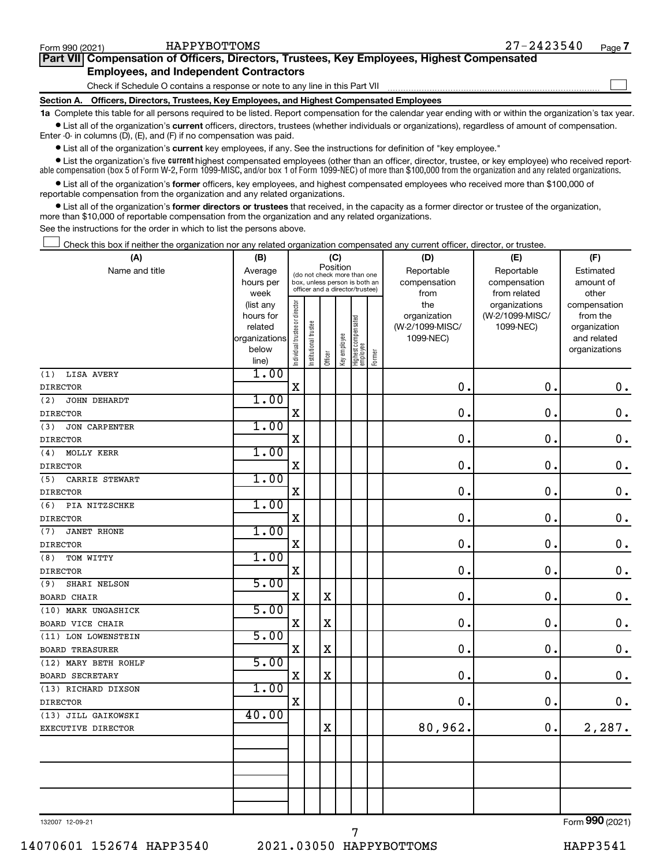| Form 990 (2021) | HAPPYBOTTOMS                                                                               | $27 - 2423540$ | Page . |
|-----------------|--------------------------------------------------------------------------------------------|----------------|--------|
|                 | Part VII Compensation of Officers, Directors, Trustees, Key Employees, Highest Compensated |                |        |
|                 | <b>Employees, and Independent Contractors</b>                                              |                |        |
|                 | Check if Schedule O contains a response or note to any line in this Part VII               |                |        |
|                 | Section A. Officers, Directors, Trustees, Key Employees, and Highest Compensated Employees |                |        |

**1a**  Complete this table for all persons required to be listed. Report compensation for the calendar year ending with or within the organization's tax year.  $\bullet$  List all of the organization's current officers, directors, trustees (whether individuals or organizations), regardless of amount of compensation.

Enter -0- in columns (D), (E), and (F) if no compensation was paid.

**•** List all of the organization's **current** key employees, if any. See the instructions for definition of "key employee."

• List the organization's five *current* highest compensated employees (other than an officer, director, trustee, or key employee) who received reportable compensation (box 5 of Form W-2, Form 1099-MISC, and/or box 1 of Form 1099-NEC) of more than \$100,000 from the organization and any related organizations.

 $\bullet$  List all of the organization's former officers, key employees, and highest compensated employees who received more than \$100,000 of reportable compensation from the organization and any related organizations.

**•** List all of the organization's former directors or trustees that received, in the capacity as a former director or trustee of the organization, more than \$10,000 of reportable compensation from the organization and any related organizations.

See the instructions for the order in which to list the persons above.

Check this box if neither the organization nor any related organization compensated any current officer, director, or trustee.  $\Box$ 

| (A)                         | (B)                                                                                 |                                |                       | (C)     |                                 |                                 |        | (D)             | (E)              | (F)           |
|-----------------------------|-------------------------------------------------------------------------------------|--------------------------------|-----------------------|---------|---------------------------------|---------------------------------|--------|-----------------|------------------|---------------|
| Name and title              | Position<br>Average<br>(do not check more than one<br>box, unless person is both an |                                |                       |         |                                 |                                 |        | Reportable      | Reportable       | Estimated     |
|                             | hours per                                                                           |                                |                       |         | officer and a director/trustee) |                                 |        | compensation    | compensation     | amount of     |
|                             | week                                                                                |                                |                       |         |                                 |                                 |        | from            | from related     | other         |
|                             | (list any                                                                           |                                |                       |         |                                 |                                 |        | the             | organizations    | compensation  |
|                             | hours for                                                                           |                                |                       |         |                                 |                                 |        | organization    | (W-2/1099-MISC/  | from the      |
|                             | related                                                                             |                                |                       |         |                                 |                                 |        | (W-2/1099-MISC/ | 1099-NEC)        | organization  |
|                             | organizations                                                                       |                                |                       |         |                                 |                                 |        | 1099-NEC)       |                  | and related   |
|                             | below<br>line)                                                                      | Individual trustee or director | Institutional trustee | Officer | Key employee                    | Highest compensated<br>employee | Former |                 |                  | organizations |
| <b>LISA AVERY</b><br>(1)    | 1.00                                                                                |                                |                       |         |                                 |                                 |        |                 |                  |               |
| <b>DIRECTOR</b>             |                                                                                     | $\mathbf X$                    |                       |         |                                 |                                 |        | 0.              | $\mathbf 0$      | $\mathbf 0$ . |
| (2)<br>JOHN DEHARDT         | 1.00                                                                                |                                |                       |         |                                 |                                 |        |                 |                  |               |
| <b>DIRECTOR</b>             |                                                                                     | X                              |                       |         |                                 |                                 |        | $\mathbf 0$ .   | $\mathbf 0$      | $\mathbf 0$ . |
| (3)<br><b>JON CARPENTER</b> | 1.00                                                                                |                                |                       |         |                                 |                                 |        |                 |                  |               |
| <b>DIRECTOR</b>             |                                                                                     | $\mathbf X$                    |                       |         |                                 |                                 |        | $\mathbf 0$ .   | $\mathbf 0$      | $\mathbf 0$ . |
|                             | 1.00                                                                                |                                |                       |         |                                 |                                 |        |                 |                  |               |
| MOLLY KERR<br>(4)           |                                                                                     | $\mathbf X$                    |                       |         |                                 |                                 |        | 0.              | $\pmb{0}$        | $\mathbf 0$ . |
| <b>DIRECTOR</b>             | 1.00                                                                                |                                |                       |         |                                 |                                 |        |                 |                  |               |
| CARRIE STEWART<br>(5)       |                                                                                     | $\mathbf X$                    |                       |         |                                 |                                 |        | 0.              | $\mathbf 0$      | $\mathbf 0$ . |
| <b>DIRECTOR</b>             | 1.00                                                                                |                                |                       |         |                                 |                                 |        |                 |                  |               |
| (6)<br>PIA NITZSCHKE        |                                                                                     | X                              |                       |         |                                 |                                 |        | $\mathbf 0$ .   | $\boldsymbol{0}$ | $\mathbf 0$ . |
| <b>DIRECTOR</b>             | 1.00                                                                                |                                |                       |         |                                 |                                 |        |                 |                  |               |
| <b>JANET RHONE</b><br>(7)   |                                                                                     |                                |                       |         |                                 |                                 |        | 0.              | $\mathbf 0$      |               |
| <b>DIRECTOR</b>             |                                                                                     | $\mathbf X$                    |                       |         |                                 |                                 |        |                 |                  | $\mathbf 0$ . |
| (8)<br>TOM WITTY            | 1.00                                                                                |                                |                       |         |                                 |                                 |        |                 |                  |               |
| <b>DIRECTOR</b>             |                                                                                     | X                              |                       |         |                                 |                                 |        | 0.              | $\mathbf 0$      | $\mathbf 0$ . |
| SHARI NELSON<br>(9)         | 5.00                                                                                |                                |                       |         |                                 |                                 |        |                 | $\mathbf 0$      |               |
| <b>BOARD CHAIR</b>          |                                                                                     | $\mathbf X$                    |                       | X       |                                 |                                 |        | 0.              |                  | $\mathbf 0$ . |
| (10) MARK UNGASHICK         | 5.00                                                                                |                                |                       |         |                                 |                                 |        |                 |                  |               |
| BOARD VICE CHAIR            |                                                                                     | X                              |                       | X       |                                 |                                 |        | 0.              | 0.               | $\mathbf 0$ . |
| (11) LON LOWENSTEIN         | 5.00                                                                                |                                |                       |         |                                 |                                 |        |                 |                  |               |
| <b>BOARD TREASURER</b>      |                                                                                     | X                              |                       | X       |                                 |                                 |        | 0.              | $\mathbf 0$      | $\mathbf 0$ . |
| (12) MARY BETH ROHLF        | 5.00                                                                                |                                |                       |         |                                 |                                 |        |                 |                  |               |
| <b>BOARD SECRETARY</b>      |                                                                                     | X                              |                       | X       |                                 |                                 |        | 0.              | $\mathbf 0$      | $\mathbf 0$ . |
| (13) RICHARD DIXSON         | 1.00                                                                                |                                |                       |         |                                 |                                 |        |                 |                  |               |
| <b>DIRECTOR</b>             |                                                                                     | $\mathbf X$                    |                       |         |                                 |                                 |        | 0.              | $\mathbf 0$ .    | $\mathbf 0$ . |
| (13) JILL GAIKOWSKI         | 40.00                                                                               |                                |                       |         |                                 |                                 |        |                 |                  |               |
| EXECUTIVE DIRECTOR          |                                                                                     |                                |                       | X       |                                 |                                 |        | 80,962.         | 0.               | 2,287.        |
|                             |                                                                                     |                                |                       |         |                                 |                                 |        |                 |                  |               |
|                             |                                                                                     |                                |                       |         |                                 |                                 |        |                 |                  |               |
|                             |                                                                                     |                                |                       |         |                                 |                                 |        |                 |                  |               |
|                             |                                                                                     |                                |                       |         |                                 |                                 |        |                 |                  |               |
|                             |                                                                                     |                                |                       |         |                                 |                                 |        |                 |                  |               |
|                             |                                                                                     |                                |                       |         |                                 |                                 |        |                 |                  |               |

132007 12-09-21

7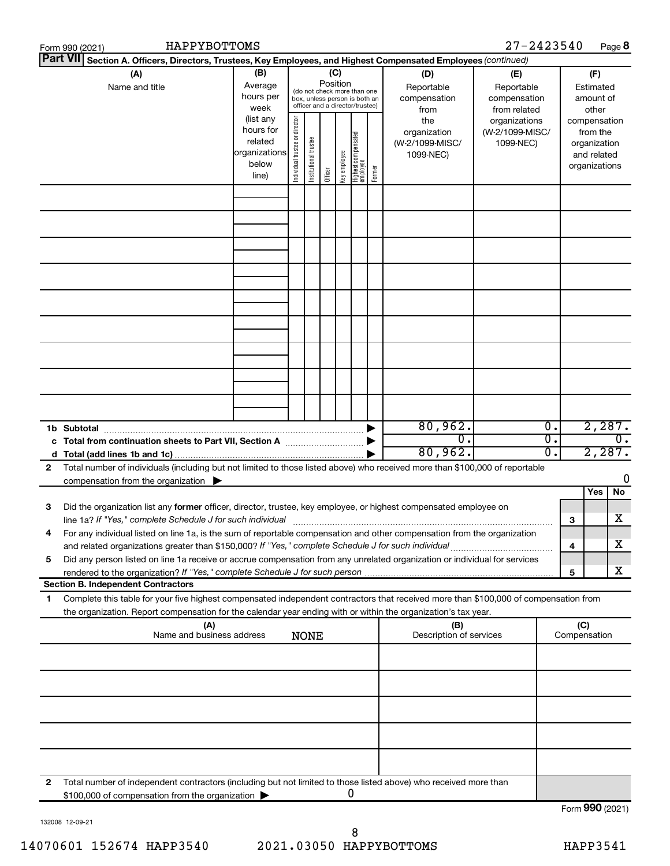|    | Form 990 (2021)                                                                                                                                                                                                                 | HAPPYBOTTOMS                                                         |                                                                                                                                                          |                       |         |              |                                 |        |                                                     | $27 - 2423540$                                    |                                                                          | Page 8                     |
|----|---------------------------------------------------------------------------------------------------------------------------------------------------------------------------------------------------------------------------------|----------------------------------------------------------------------|----------------------------------------------------------------------------------------------------------------------------------------------------------|-----------------------|---------|--------------|---------------------------------|--------|-----------------------------------------------------|---------------------------------------------------|--------------------------------------------------------------------------|----------------------------|
|    | <b>Part VII</b><br>Section A. Officers, Directors, Trustees, Key Employees, and Highest Compensated Employees (continued)                                                                                                       |                                                                      |                                                                                                                                                          |                       |         |              |                                 |        |                                                     |                                                   |                                                                          |                            |
|    | (A)<br>Name and title                                                                                                                                                                                                           | (B)<br>Average<br>hours per<br>week                                  | (C)<br>Position<br>Reportable<br>(do not check more than one<br>compensation<br>box, unless person is both an<br>officer and a director/trustee)<br>from |                       |         |              |                                 |        | (D)                                                 | (E)<br>Reportable<br>compensation<br>from related | (F)<br>Estimated<br>amount of<br>other                                   |                            |
|    |                                                                                                                                                                                                                                 | (list any<br>hours for<br>related<br>organizations<br>below<br>line) | Individual trustee or director                                                                                                                           | Institutional trustee | Officer | Key employee | Highest compensated<br>employee | Former | the<br>organization<br>(W-2/1099-MISC/<br>1099-NEC) | organizations<br>(W-2/1099-MISC/<br>1099-NEC)     | compensation<br>from the<br>organization<br>and related<br>organizations |                            |
|    |                                                                                                                                                                                                                                 |                                                                      |                                                                                                                                                          |                       |         |              |                                 |        |                                                     |                                                   |                                                                          |                            |
|    |                                                                                                                                                                                                                                 |                                                                      |                                                                                                                                                          |                       |         |              |                                 |        |                                                     |                                                   |                                                                          |                            |
|    |                                                                                                                                                                                                                                 |                                                                      |                                                                                                                                                          |                       |         |              |                                 |        |                                                     |                                                   |                                                                          |                            |
|    |                                                                                                                                                                                                                                 |                                                                      |                                                                                                                                                          |                       |         |              |                                 |        |                                                     |                                                   |                                                                          |                            |
|    | 1b Subtotal                                                                                                                                                                                                                     |                                                                      |                                                                                                                                                          |                       |         |              |                                 |        | 80,962.                                             | $\overline{0}$ .                                  |                                                                          | 2,287.                     |
| 2  | c Total from continuation sheets to Part VII, Section A manuscription<br>Total number of individuals (including but not limited to those listed above) who received more than \$100,000 of reportable                           |                                                                      |                                                                                                                                                          |                       |         |              |                                 |        | $\overline{0}$ .<br>80,962.                         | $\overline{0}$ .<br>$\overline{0}$ .              |                                                                          | $\overline{0}$ .<br>2,287. |
| 3  | compensation from the organization $\blacktriangleright$<br>Did the organization list any former officer, director, trustee, key employee, or highest compensated employee on                                                   |                                                                      |                                                                                                                                                          |                       |         |              |                                 |        |                                                     |                                                   | <b>Yes</b>                                                               | 0<br>No                    |
|    | For any individual listed on line 1a, is the sum of reportable compensation and other compensation from the organization<br>and related organizations greater than \$150,000? If "Yes," complete Schedule J for such individual |                                                                      |                                                                                                                                                          |                       |         |              |                                 |        |                                                     |                                                   | 3<br>4                                                                   | х<br>х                     |
| 5  | Did any person listed on line 1a receive or accrue compensation from any unrelated organization or individual for services<br><b>Section B. Independent Contractors</b>                                                         |                                                                      |                                                                                                                                                          |                       |         |              |                                 |        |                                                     |                                                   | 5                                                                        | х                          |
| 1. | Complete this table for your five highest compensated independent contractors that received more than \$100,000 of compensation from                                                                                            |                                                                      |                                                                                                                                                          |                       |         |              |                                 |        |                                                     |                                                   |                                                                          |                            |
|    | the organization. Report compensation for the calendar year ending with or within the organization's tax year.                                                                                                                  |                                                                      |                                                                                                                                                          |                       |         |              |                                 |        |                                                     |                                                   |                                                                          |                            |
|    |                                                                                                                                                                                                                                 | (A)<br>Name and business address                                     |                                                                                                                                                          | <b>NONE</b>           |         |              |                                 |        | (B)<br>Description of services                      |                                                   | (C)<br>Compensation                                                      |                            |
|    |                                                                                                                                                                                                                                 |                                                                      |                                                                                                                                                          |                       |         |              |                                 |        |                                                     |                                                   |                                                                          |                            |
|    |                                                                                                                                                                                                                                 |                                                                      |                                                                                                                                                          |                       |         |              |                                 |        |                                                     |                                                   |                                                                          |                            |
|    |                                                                                                                                                                                                                                 |                                                                      |                                                                                                                                                          |                       |         |              |                                 |        |                                                     |                                                   |                                                                          |                            |
| 2  | Total number of independent contractors (including but not limited to those listed above) who received more than<br>\$100,000 of compensation from the organization                                                             |                                                                      |                                                                                                                                                          |                       |         |              | 0                               |        |                                                     |                                                   | Form 990 (2021)                                                          |                            |

132008 12-09-21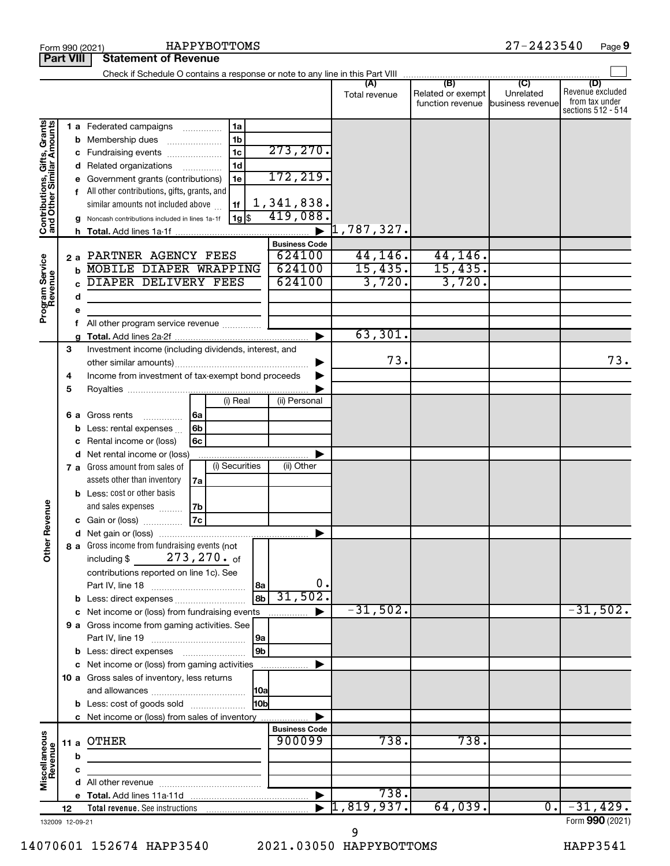| $27 - 2423540$<br>HAPPYBOTTOMS<br>Page 9<br>Form 990 (2021) |                 |                                                                           |                       |                          |                                       |                               |                                                                 |  |  |
|-------------------------------------------------------------|-----------------|---------------------------------------------------------------------------|-----------------------|--------------------------|---------------------------------------|-------------------------------|-----------------------------------------------------------------|--|--|
| <b>Part VIII</b><br><b>Statement of Revenue</b>             |                 |                                                                           |                       |                          |                                       |                               |                                                                 |  |  |
|                                                             |                 |                                                                           |                       |                          |                                       |                               |                                                                 |  |  |
|                                                             |                 |                                                                           |                       | Total revenue            | Related or exempt<br>function revenue | Unrelated<br>business revenue | (D)<br>Revenue excluded<br>from tax under<br>sections 512 - 514 |  |  |
|                                                             |                 | 1a<br>1 a Federated campaigns                                             |                       |                          |                                       |                               |                                                                 |  |  |
| Contributions, Gifts, Grants<br>and Other Similar Amounts   | b               | 1 <sub>b</sub><br>Membership dues<br>$\ldots \ldots \ldots \ldots \ldots$ |                       |                          |                                       |                               |                                                                 |  |  |
|                                                             |                 | 1 <sub>c</sub><br>c Fundraising events                                    | 273, 270.             |                          |                                       |                               |                                                                 |  |  |
|                                                             | d               | 1 <sub>d</sub><br>Related organizations <i>manument</i>                   |                       |                          |                                       |                               |                                                                 |  |  |
|                                                             | е               | Government grants (contributions)<br>1e                                   | 172,219.              |                          |                                       |                               |                                                                 |  |  |
|                                                             |                 | f All other contributions, gifts, grants, and                             |                       |                          |                                       |                               |                                                                 |  |  |
|                                                             |                 | similar amounts not included above<br>l 1f                                | 1,341,838.            |                          |                                       |                               |                                                                 |  |  |
|                                                             | g               | $ 1g $ \$<br>Noncash contributions included in lines 1a-1f                | 419,088.              |                          |                                       |                               |                                                                 |  |  |
|                                                             | h               |                                                                           | $\blacktriangleright$ | $\mathfrak{1}$ ,787,327. |                                       |                               |                                                                 |  |  |
|                                                             |                 |                                                                           | <b>Business Code</b>  |                          |                                       |                               |                                                                 |  |  |
|                                                             | 2a              | PARTNER AGENCY FEES                                                       | 624100                | 44, 146.                 | 44, 146.                              |                               |                                                                 |  |  |
|                                                             | b               | MOBILE DIAPER WRAPPING                                                    | 624100                | 15,435.                  | 15,435.                               |                               |                                                                 |  |  |
|                                                             | C               | DIAPER DELIVERY FEES                                                      | 624100                | 3,720.                   | 3,720.                                |                               |                                                                 |  |  |
| Program Service<br>Revenue                                  | d               |                                                                           |                       |                          |                                       |                               |                                                                 |  |  |
|                                                             | е               |                                                                           |                       |                          |                                       |                               |                                                                 |  |  |
|                                                             | f               | All other program service revenue                                         |                       |                          |                                       |                               |                                                                 |  |  |
|                                                             | a               |                                                                           | ▶                     | 63,301.                  |                                       |                               |                                                                 |  |  |
|                                                             | 3               | Investment income (including dividends, interest, and                     |                       |                          |                                       |                               |                                                                 |  |  |
|                                                             |                 |                                                                           | ▶                     | 73.                      |                                       |                               | 73.                                                             |  |  |
|                                                             | 4               | Income from investment of tax-exempt bond proceeds                        |                       |                          |                                       |                               |                                                                 |  |  |
|                                                             | 5               |                                                                           |                       |                          |                                       |                               |                                                                 |  |  |
|                                                             |                 | (i) Real                                                                  | (ii) Personal         |                          |                                       |                               |                                                                 |  |  |
|                                                             |                 | 6a<br>6 a Gross rents                                                     |                       |                          |                                       |                               |                                                                 |  |  |
|                                                             | b               | .<br>6b<br>Less: rental expenses                                          |                       |                          |                                       |                               |                                                                 |  |  |
|                                                             | с               | 6c<br>Rental income or (loss)                                             |                       |                          |                                       |                               |                                                                 |  |  |
|                                                             | d               | Net rental income or (loss)                                               | Þ                     |                          |                                       |                               |                                                                 |  |  |
|                                                             |                 | (i) Securities<br>7 a Gross amount from sales of                          | (ii) Other            |                          |                                       |                               |                                                                 |  |  |
|                                                             |                 | assets other than inventory<br>7a                                         |                       |                          |                                       |                               |                                                                 |  |  |
|                                                             |                 | <b>b</b> Less: cost or other basis                                        |                       |                          |                                       |                               |                                                                 |  |  |
|                                                             |                 | and sales expenses<br>7b                                                  |                       |                          |                                       |                               |                                                                 |  |  |
| evenue                                                      |                 | 7c<br>c Gain or (loss)                                                    |                       |                          |                                       |                               |                                                                 |  |  |
|                                                             |                 |                                                                           |                       |                          |                                       |                               |                                                                 |  |  |
| Other <sub>R</sub>                                          |                 | 8 a Gross income from fundraising events (not                             |                       |                          |                                       |                               |                                                                 |  |  |
|                                                             |                 | including \$ $273, 270 \cdot \text{of}$                                   |                       |                          |                                       |                               |                                                                 |  |  |
|                                                             |                 | contributions reported on line 1c). See                                   |                       |                          |                                       |                               |                                                                 |  |  |
|                                                             |                 | 8a                                                                        | 0.                    |                          |                                       |                               |                                                                 |  |  |
|                                                             | b               | 8 <sub>b</sub>                                                            | 31,502.               |                          |                                       |                               |                                                                 |  |  |
|                                                             | с               | Net income or (loss) from fundraising events                              | ▶                     | $-31,502.$               |                                       |                               | $-31,502.$                                                      |  |  |
|                                                             |                 | 9 a Gross income from gaming activities. See                              |                       |                          |                                       |                               |                                                                 |  |  |
|                                                             |                 | 9a                                                                        |                       |                          |                                       |                               |                                                                 |  |  |
|                                                             |                 | 9b                                                                        |                       |                          |                                       |                               |                                                                 |  |  |
|                                                             |                 | c Net income or (loss) from gaming activities                             | ▶                     |                          |                                       |                               |                                                                 |  |  |
|                                                             |                 | 10 a Gross sales of inventory, less returns                               |                       |                          |                                       |                               |                                                                 |  |  |
|                                                             |                 | 10a                                                                       |                       |                          |                                       |                               |                                                                 |  |  |
|                                                             |                 | 10bl<br><b>b</b> Less: cost of goods sold                                 |                       |                          |                                       |                               |                                                                 |  |  |
|                                                             |                 | c Net income or (loss) from sales of inventory                            | ▶                     |                          |                                       |                               |                                                                 |  |  |
|                                                             |                 |                                                                           | <b>Business Code</b>  |                          |                                       |                               |                                                                 |  |  |
| Miscellaneous<br>Revenue                                    |                 | 11 a OTHER                                                                | 900099                | 738.                     | 738.                                  |                               |                                                                 |  |  |
|                                                             | b               |                                                                           |                       |                          |                                       |                               |                                                                 |  |  |
|                                                             | c               |                                                                           |                       |                          |                                       |                               |                                                                 |  |  |
|                                                             | d               |                                                                           |                       |                          |                                       |                               |                                                                 |  |  |
|                                                             |                 |                                                                           |                       | 738.                     |                                       |                               |                                                                 |  |  |
|                                                             | 12              |                                                                           |                       | 1,819,937.               | 64,039.                               | $\overline{0}$ .              | $-31,429.$                                                      |  |  |
|                                                             | 132009 12-09-21 |                                                                           |                       |                          |                                       |                               | Form 990 (2021)                                                 |  |  |

132009 12-09-21

HAPPYBOTTOMS 27-2423540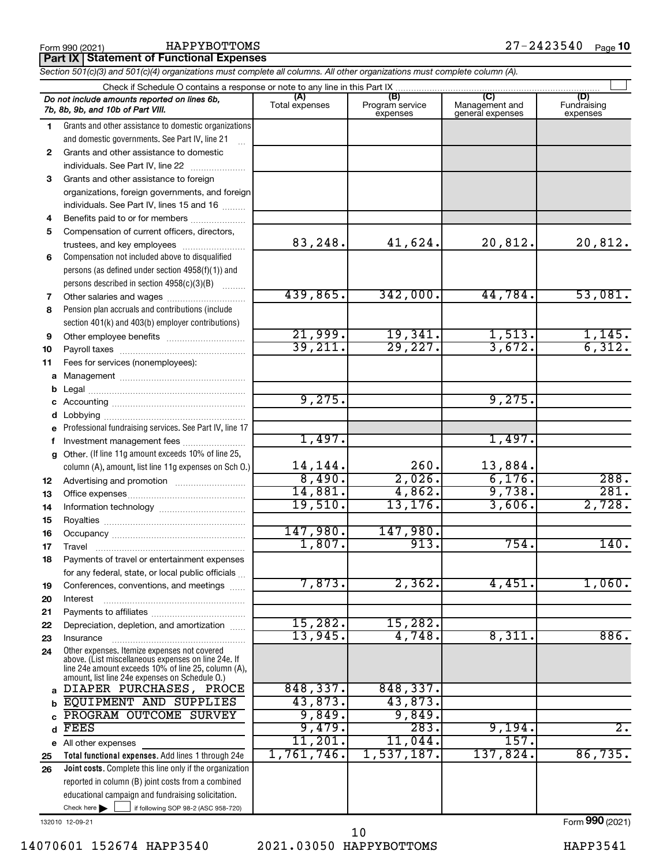**Part IX Statement of Functional Expenses**

*Section 501(c)(3) and 501(c)(4) organizations must complete all columns. All other organizations must complete column (A).*

| (A)<br>(B)<br>(C)<br>(D)<br>Do not include amounts reported on lines 6b,<br>Management and<br>Program service<br>Fundraising<br>Total expenses<br>7b, 8b, 9b, and 10b of Part VIII.<br>general expenses<br>expenses<br>expenses<br>Grants and other assistance to domestic organizations<br>1.<br>and domestic governments. See Part IV, line 21<br>Grants and other assistance to domestic<br>$\mathbf{2}$<br>individuals. See Part IV, line 22<br>3<br>Grants and other assistance to foreign<br>organizations, foreign governments, and foreign<br>individuals. See Part IV, lines 15 and 16<br>Benefits paid to or for members<br>4<br>Compensation of current officers, directors,<br>5<br>83,248.<br>41,624.<br>20,812.<br>20,812.<br>trustees, and key employees<br>Compensation not included above to disqualified<br>6<br>persons (as defined under section 4958(f)(1)) and<br>persons described in section 4958(c)(3)(B)<br>439,865.<br>342,000.<br>44,784.<br>53,081.<br>Other salaries and wages<br>7<br>Pension plan accruals and contributions (include<br>8<br>section 401(k) and 403(b) employer contributions)<br>21,999.<br>19,341.<br>1,513.<br>$\frac{1,145.}{6,312.}$<br>9<br>39,211.<br>29,227.<br>3,672.<br>10<br>Fees for services (nonemployees):<br>11<br>b<br>9,275.<br>9,275.<br>c<br>d<br>Professional fundraising services. See Part IV, line 17<br>е<br>1,497.<br>1,497.<br>Investment management fees<br>f<br>Other. (If line 11g amount exceeds 10% of line 25,<br>g<br>14,144.<br>260.<br>13,884.<br>column (A), amount, list line 11g expenses on Sch 0.)<br>8,490.<br>2,026.<br>6,176.<br>288.<br>12<br>281.<br>9,738.<br>14,881.<br>4,862.<br>13<br>2,728.<br>19,510.<br>13, 176.<br>3,606.<br>14<br>15<br>147,980.<br>147,980.<br>16<br>1,807.<br>913.<br>754.<br>140.<br>17<br>Travel<br>Payments of travel or entertainment expenses<br>18<br>for any federal, state, or local public officials<br>7,873.<br>2,362.<br>4,451.<br>1,060.<br>Conferences, conventions, and meetings<br>19<br>Interest<br>15,282.<br>15,282.<br>Depreciation, depletion, and amortization<br>13,945.<br>4,748.<br>886.<br>8,311.<br>Insurance<br>Other expenses. Itemize expenses not covered<br>24<br>above. (List miscellaneous expenses on line 24e. If<br>line 24e amount exceeds 10% of line 25, column (A),<br>amount, list line 24e expenses on Schedule O.)<br>848,337.<br>848, 337.<br>DIAPER PURCHASES, PROCE<br>a<br>43,873.<br>43,873.<br>EQUIPMENT AND SUPPLIES<br>9,849.<br>9,849.<br>PROGRAM OUTCOME SURVEY<br>283.<br>$\overline{2}$ .<br>9,479.<br>9,194.<br>FEES<br>d<br>157.<br>11,201.<br>11,044.<br>All other expenses<br>е<br>1,761,746.<br>137,824.<br>86,735.<br>1,537,187.<br>Total functional expenses. Add lines 1 through 24e<br>Joint costs. Complete this line only if the organization<br>reported in column (B) joint costs from a combined<br>educational campaign and fundraising solicitation.<br>Check here<br>if following SOP 98-2 (ASC 958-720) |    | Check if Schedule O contains a response or note to any line in this Part IX |  |  |  |  |  |
|-------------------------------------------------------------------------------------------------------------------------------------------------------------------------------------------------------------------------------------------------------------------------------------------------------------------------------------------------------------------------------------------------------------------------------------------------------------------------------------------------------------------------------------------------------------------------------------------------------------------------------------------------------------------------------------------------------------------------------------------------------------------------------------------------------------------------------------------------------------------------------------------------------------------------------------------------------------------------------------------------------------------------------------------------------------------------------------------------------------------------------------------------------------------------------------------------------------------------------------------------------------------------------------------------------------------------------------------------------------------------------------------------------------------------------------------------------------------------------------------------------------------------------------------------------------------------------------------------------------------------------------------------------------------------------------------------------------------------------------------------------------------------------------------------------------------------------------------------------------------------------------------------------------------------------------------------------------------------------------------------------------------------------------------------------------------------------------------------------------------------------------------------------------------------------------------------------------------------------------------------------------------------------------------------------------------------------------------------------------------------------------------------------------------------------------------------------------------------------------------------------------------------------------------------------------------------------------------------------------------------------------------------------------------------------------------------------------------------------------------------------------------------------------------------------------------------------------------------------------------------------------------------------------------------------------------------------------------------------------------------------------|----|-----------------------------------------------------------------------------|--|--|--|--|--|
|                                                                                                                                                                                                                                                                                                                                                                                                                                                                                                                                                                                                                                                                                                                                                                                                                                                                                                                                                                                                                                                                                                                                                                                                                                                                                                                                                                                                                                                                                                                                                                                                                                                                                                                                                                                                                                                                                                                                                                                                                                                                                                                                                                                                                                                                                                                                                                                                                                                                                                                                                                                                                                                                                                                                                                                                                                                                                                                                                                                                             |    |                                                                             |  |  |  |  |  |
|                                                                                                                                                                                                                                                                                                                                                                                                                                                                                                                                                                                                                                                                                                                                                                                                                                                                                                                                                                                                                                                                                                                                                                                                                                                                                                                                                                                                                                                                                                                                                                                                                                                                                                                                                                                                                                                                                                                                                                                                                                                                                                                                                                                                                                                                                                                                                                                                                                                                                                                                                                                                                                                                                                                                                                                                                                                                                                                                                                                                             |    |                                                                             |  |  |  |  |  |
|                                                                                                                                                                                                                                                                                                                                                                                                                                                                                                                                                                                                                                                                                                                                                                                                                                                                                                                                                                                                                                                                                                                                                                                                                                                                                                                                                                                                                                                                                                                                                                                                                                                                                                                                                                                                                                                                                                                                                                                                                                                                                                                                                                                                                                                                                                                                                                                                                                                                                                                                                                                                                                                                                                                                                                                                                                                                                                                                                                                                             |    |                                                                             |  |  |  |  |  |
|                                                                                                                                                                                                                                                                                                                                                                                                                                                                                                                                                                                                                                                                                                                                                                                                                                                                                                                                                                                                                                                                                                                                                                                                                                                                                                                                                                                                                                                                                                                                                                                                                                                                                                                                                                                                                                                                                                                                                                                                                                                                                                                                                                                                                                                                                                                                                                                                                                                                                                                                                                                                                                                                                                                                                                                                                                                                                                                                                                                                             |    |                                                                             |  |  |  |  |  |
|                                                                                                                                                                                                                                                                                                                                                                                                                                                                                                                                                                                                                                                                                                                                                                                                                                                                                                                                                                                                                                                                                                                                                                                                                                                                                                                                                                                                                                                                                                                                                                                                                                                                                                                                                                                                                                                                                                                                                                                                                                                                                                                                                                                                                                                                                                                                                                                                                                                                                                                                                                                                                                                                                                                                                                                                                                                                                                                                                                                                             |    |                                                                             |  |  |  |  |  |
|                                                                                                                                                                                                                                                                                                                                                                                                                                                                                                                                                                                                                                                                                                                                                                                                                                                                                                                                                                                                                                                                                                                                                                                                                                                                                                                                                                                                                                                                                                                                                                                                                                                                                                                                                                                                                                                                                                                                                                                                                                                                                                                                                                                                                                                                                                                                                                                                                                                                                                                                                                                                                                                                                                                                                                                                                                                                                                                                                                                                             |    |                                                                             |  |  |  |  |  |
|                                                                                                                                                                                                                                                                                                                                                                                                                                                                                                                                                                                                                                                                                                                                                                                                                                                                                                                                                                                                                                                                                                                                                                                                                                                                                                                                                                                                                                                                                                                                                                                                                                                                                                                                                                                                                                                                                                                                                                                                                                                                                                                                                                                                                                                                                                                                                                                                                                                                                                                                                                                                                                                                                                                                                                                                                                                                                                                                                                                                             |    |                                                                             |  |  |  |  |  |
|                                                                                                                                                                                                                                                                                                                                                                                                                                                                                                                                                                                                                                                                                                                                                                                                                                                                                                                                                                                                                                                                                                                                                                                                                                                                                                                                                                                                                                                                                                                                                                                                                                                                                                                                                                                                                                                                                                                                                                                                                                                                                                                                                                                                                                                                                                                                                                                                                                                                                                                                                                                                                                                                                                                                                                                                                                                                                                                                                                                                             |    |                                                                             |  |  |  |  |  |
|                                                                                                                                                                                                                                                                                                                                                                                                                                                                                                                                                                                                                                                                                                                                                                                                                                                                                                                                                                                                                                                                                                                                                                                                                                                                                                                                                                                                                                                                                                                                                                                                                                                                                                                                                                                                                                                                                                                                                                                                                                                                                                                                                                                                                                                                                                                                                                                                                                                                                                                                                                                                                                                                                                                                                                                                                                                                                                                                                                                                             |    |                                                                             |  |  |  |  |  |
|                                                                                                                                                                                                                                                                                                                                                                                                                                                                                                                                                                                                                                                                                                                                                                                                                                                                                                                                                                                                                                                                                                                                                                                                                                                                                                                                                                                                                                                                                                                                                                                                                                                                                                                                                                                                                                                                                                                                                                                                                                                                                                                                                                                                                                                                                                                                                                                                                                                                                                                                                                                                                                                                                                                                                                                                                                                                                                                                                                                                             |    |                                                                             |  |  |  |  |  |
|                                                                                                                                                                                                                                                                                                                                                                                                                                                                                                                                                                                                                                                                                                                                                                                                                                                                                                                                                                                                                                                                                                                                                                                                                                                                                                                                                                                                                                                                                                                                                                                                                                                                                                                                                                                                                                                                                                                                                                                                                                                                                                                                                                                                                                                                                                                                                                                                                                                                                                                                                                                                                                                                                                                                                                                                                                                                                                                                                                                                             |    |                                                                             |  |  |  |  |  |
|                                                                                                                                                                                                                                                                                                                                                                                                                                                                                                                                                                                                                                                                                                                                                                                                                                                                                                                                                                                                                                                                                                                                                                                                                                                                                                                                                                                                                                                                                                                                                                                                                                                                                                                                                                                                                                                                                                                                                                                                                                                                                                                                                                                                                                                                                                                                                                                                                                                                                                                                                                                                                                                                                                                                                                                                                                                                                                                                                                                                             |    |                                                                             |  |  |  |  |  |
|                                                                                                                                                                                                                                                                                                                                                                                                                                                                                                                                                                                                                                                                                                                                                                                                                                                                                                                                                                                                                                                                                                                                                                                                                                                                                                                                                                                                                                                                                                                                                                                                                                                                                                                                                                                                                                                                                                                                                                                                                                                                                                                                                                                                                                                                                                                                                                                                                                                                                                                                                                                                                                                                                                                                                                                                                                                                                                                                                                                                             |    |                                                                             |  |  |  |  |  |
|                                                                                                                                                                                                                                                                                                                                                                                                                                                                                                                                                                                                                                                                                                                                                                                                                                                                                                                                                                                                                                                                                                                                                                                                                                                                                                                                                                                                                                                                                                                                                                                                                                                                                                                                                                                                                                                                                                                                                                                                                                                                                                                                                                                                                                                                                                                                                                                                                                                                                                                                                                                                                                                                                                                                                                                                                                                                                                                                                                                                             |    |                                                                             |  |  |  |  |  |
|                                                                                                                                                                                                                                                                                                                                                                                                                                                                                                                                                                                                                                                                                                                                                                                                                                                                                                                                                                                                                                                                                                                                                                                                                                                                                                                                                                                                                                                                                                                                                                                                                                                                                                                                                                                                                                                                                                                                                                                                                                                                                                                                                                                                                                                                                                                                                                                                                                                                                                                                                                                                                                                                                                                                                                                                                                                                                                                                                                                                             |    |                                                                             |  |  |  |  |  |
|                                                                                                                                                                                                                                                                                                                                                                                                                                                                                                                                                                                                                                                                                                                                                                                                                                                                                                                                                                                                                                                                                                                                                                                                                                                                                                                                                                                                                                                                                                                                                                                                                                                                                                                                                                                                                                                                                                                                                                                                                                                                                                                                                                                                                                                                                                                                                                                                                                                                                                                                                                                                                                                                                                                                                                                                                                                                                                                                                                                                             |    |                                                                             |  |  |  |  |  |
|                                                                                                                                                                                                                                                                                                                                                                                                                                                                                                                                                                                                                                                                                                                                                                                                                                                                                                                                                                                                                                                                                                                                                                                                                                                                                                                                                                                                                                                                                                                                                                                                                                                                                                                                                                                                                                                                                                                                                                                                                                                                                                                                                                                                                                                                                                                                                                                                                                                                                                                                                                                                                                                                                                                                                                                                                                                                                                                                                                                                             |    |                                                                             |  |  |  |  |  |
|                                                                                                                                                                                                                                                                                                                                                                                                                                                                                                                                                                                                                                                                                                                                                                                                                                                                                                                                                                                                                                                                                                                                                                                                                                                                                                                                                                                                                                                                                                                                                                                                                                                                                                                                                                                                                                                                                                                                                                                                                                                                                                                                                                                                                                                                                                                                                                                                                                                                                                                                                                                                                                                                                                                                                                                                                                                                                                                                                                                                             |    |                                                                             |  |  |  |  |  |
|                                                                                                                                                                                                                                                                                                                                                                                                                                                                                                                                                                                                                                                                                                                                                                                                                                                                                                                                                                                                                                                                                                                                                                                                                                                                                                                                                                                                                                                                                                                                                                                                                                                                                                                                                                                                                                                                                                                                                                                                                                                                                                                                                                                                                                                                                                                                                                                                                                                                                                                                                                                                                                                                                                                                                                                                                                                                                                                                                                                                             |    |                                                                             |  |  |  |  |  |
|                                                                                                                                                                                                                                                                                                                                                                                                                                                                                                                                                                                                                                                                                                                                                                                                                                                                                                                                                                                                                                                                                                                                                                                                                                                                                                                                                                                                                                                                                                                                                                                                                                                                                                                                                                                                                                                                                                                                                                                                                                                                                                                                                                                                                                                                                                                                                                                                                                                                                                                                                                                                                                                                                                                                                                                                                                                                                                                                                                                                             |    |                                                                             |  |  |  |  |  |
|                                                                                                                                                                                                                                                                                                                                                                                                                                                                                                                                                                                                                                                                                                                                                                                                                                                                                                                                                                                                                                                                                                                                                                                                                                                                                                                                                                                                                                                                                                                                                                                                                                                                                                                                                                                                                                                                                                                                                                                                                                                                                                                                                                                                                                                                                                                                                                                                                                                                                                                                                                                                                                                                                                                                                                                                                                                                                                                                                                                                             |    |                                                                             |  |  |  |  |  |
|                                                                                                                                                                                                                                                                                                                                                                                                                                                                                                                                                                                                                                                                                                                                                                                                                                                                                                                                                                                                                                                                                                                                                                                                                                                                                                                                                                                                                                                                                                                                                                                                                                                                                                                                                                                                                                                                                                                                                                                                                                                                                                                                                                                                                                                                                                                                                                                                                                                                                                                                                                                                                                                                                                                                                                                                                                                                                                                                                                                                             |    |                                                                             |  |  |  |  |  |
|                                                                                                                                                                                                                                                                                                                                                                                                                                                                                                                                                                                                                                                                                                                                                                                                                                                                                                                                                                                                                                                                                                                                                                                                                                                                                                                                                                                                                                                                                                                                                                                                                                                                                                                                                                                                                                                                                                                                                                                                                                                                                                                                                                                                                                                                                                                                                                                                                                                                                                                                                                                                                                                                                                                                                                                                                                                                                                                                                                                                             |    |                                                                             |  |  |  |  |  |
|                                                                                                                                                                                                                                                                                                                                                                                                                                                                                                                                                                                                                                                                                                                                                                                                                                                                                                                                                                                                                                                                                                                                                                                                                                                                                                                                                                                                                                                                                                                                                                                                                                                                                                                                                                                                                                                                                                                                                                                                                                                                                                                                                                                                                                                                                                                                                                                                                                                                                                                                                                                                                                                                                                                                                                                                                                                                                                                                                                                                             |    |                                                                             |  |  |  |  |  |
|                                                                                                                                                                                                                                                                                                                                                                                                                                                                                                                                                                                                                                                                                                                                                                                                                                                                                                                                                                                                                                                                                                                                                                                                                                                                                                                                                                                                                                                                                                                                                                                                                                                                                                                                                                                                                                                                                                                                                                                                                                                                                                                                                                                                                                                                                                                                                                                                                                                                                                                                                                                                                                                                                                                                                                                                                                                                                                                                                                                                             |    |                                                                             |  |  |  |  |  |
|                                                                                                                                                                                                                                                                                                                                                                                                                                                                                                                                                                                                                                                                                                                                                                                                                                                                                                                                                                                                                                                                                                                                                                                                                                                                                                                                                                                                                                                                                                                                                                                                                                                                                                                                                                                                                                                                                                                                                                                                                                                                                                                                                                                                                                                                                                                                                                                                                                                                                                                                                                                                                                                                                                                                                                                                                                                                                                                                                                                                             |    |                                                                             |  |  |  |  |  |
|                                                                                                                                                                                                                                                                                                                                                                                                                                                                                                                                                                                                                                                                                                                                                                                                                                                                                                                                                                                                                                                                                                                                                                                                                                                                                                                                                                                                                                                                                                                                                                                                                                                                                                                                                                                                                                                                                                                                                                                                                                                                                                                                                                                                                                                                                                                                                                                                                                                                                                                                                                                                                                                                                                                                                                                                                                                                                                                                                                                                             |    |                                                                             |  |  |  |  |  |
|                                                                                                                                                                                                                                                                                                                                                                                                                                                                                                                                                                                                                                                                                                                                                                                                                                                                                                                                                                                                                                                                                                                                                                                                                                                                                                                                                                                                                                                                                                                                                                                                                                                                                                                                                                                                                                                                                                                                                                                                                                                                                                                                                                                                                                                                                                                                                                                                                                                                                                                                                                                                                                                                                                                                                                                                                                                                                                                                                                                                             |    |                                                                             |  |  |  |  |  |
|                                                                                                                                                                                                                                                                                                                                                                                                                                                                                                                                                                                                                                                                                                                                                                                                                                                                                                                                                                                                                                                                                                                                                                                                                                                                                                                                                                                                                                                                                                                                                                                                                                                                                                                                                                                                                                                                                                                                                                                                                                                                                                                                                                                                                                                                                                                                                                                                                                                                                                                                                                                                                                                                                                                                                                                                                                                                                                                                                                                                             |    |                                                                             |  |  |  |  |  |
|                                                                                                                                                                                                                                                                                                                                                                                                                                                                                                                                                                                                                                                                                                                                                                                                                                                                                                                                                                                                                                                                                                                                                                                                                                                                                                                                                                                                                                                                                                                                                                                                                                                                                                                                                                                                                                                                                                                                                                                                                                                                                                                                                                                                                                                                                                                                                                                                                                                                                                                                                                                                                                                                                                                                                                                                                                                                                                                                                                                                             |    |                                                                             |  |  |  |  |  |
|                                                                                                                                                                                                                                                                                                                                                                                                                                                                                                                                                                                                                                                                                                                                                                                                                                                                                                                                                                                                                                                                                                                                                                                                                                                                                                                                                                                                                                                                                                                                                                                                                                                                                                                                                                                                                                                                                                                                                                                                                                                                                                                                                                                                                                                                                                                                                                                                                                                                                                                                                                                                                                                                                                                                                                                                                                                                                                                                                                                                             |    |                                                                             |  |  |  |  |  |
|                                                                                                                                                                                                                                                                                                                                                                                                                                                                                                                                                                                                                                                                                                                                                                                                                                                                                                                                                                                                                                                                                                                                                                                                                                                                                                                                                                                                                                                                                                                                                                                                                                                                                                                                                                                                                                                                                                                                                                                                                                                                                                                                                                                                                                                                                                                                                                                                                                                                                                                                                                                                                                                                                                                                                                                                                                                                                                                                                                                                             |    |                                                                             |  |  |  |  |  |
|                                                                                                                                                                                                                                                                                                                                                                                                                                                                                                                                                                                                                                                                                                                                                                                                                                                                                                                                                                                                                                                                                                                                                                                                                                                                                                                                                                                                                                                                                                                                                                                                                                                                                                                                                                                                                                                                                                                                                                                                                                                                                                                                                                                                                                                                                                                                                                                                                                                                                                                                                                                                                                                                                                                                                                                                                                                                                                                                                                                                             |    |                                                                             |  |  |  |  |  |
|                                                                                                                                                                                                                                                                                                                                                                                                                                                                                                                                                                                                                                                                                                                                                                                                                                                                                                                                                                                                                                                                                                                                                                                                                                                                                                                                                                                                                                                                                                                                                                                                                                                                                                                                                                                                                                                                                                                                                                                                                                                                                                                                                                                                                                                                                                                                                                                                                                                                                                                                                                                                                                                                                                                                                                                                                                                                                                                                                                                                             |    |                                                                             |  |  |  |  |  |
|                                                                                                                                                                                                                                                                                                                                                                                                                                                                                                                                                                                                                                                                                                                                                                                                                                                                                                                                                                                                                                                                                                                                                                                                                                                                                                                                                                                                                                                                                                                                                                                                                                                                                                                                                                                                                                                                                                                                                                                                                                                                                                                                                                                                                                                                                                                                                                                                                                                                                                                                                                                                                                                                                                                                                                                                                                                                                                                                                                                                             |    |                                                                             |  |  |  |  |  |
|                                                                                                                                                                                                                                                                                                                                                                                                                                                                                                                                                                                                                                                                                                                                                                                                                                                                                                                                                                                                                                                                                                                                                                                                                                                                                                                                                                                                                                                                                                                                                                                                                                                                                                                                                                                                                                                                                                                                                                                                                                                                                                                                                                                                                                                                                                                                                                                                                                                                                                                                                                                                                                                                                                                                                                                                                                                                                                                                                                                                             |    |                                                                             |  |  |  |  |  |
|                                                                                                                                                                                                                                                                                                                                                                                                                                                                                                                                                                                                                                                                                                                                                                                                                                                                                                                                                                                                                                                                                                                                                                                                                                                                                                                                                                                                                                                                                                                                                                                                                                                                                                                                                                                                                                                                                                                                                                                                                                                                                                                                                                                                                                                                                                                                                                                                                                                                                                                                                                                                                                                                                                                                                                                                                                                                                                                                                                                                             | 20 |                                                                             |  |  |  |  |  |
|                                                                                                                                                                                                                                                                                                                                                                                                                                                                                                                                                                                                                                                                                                                                                                                                                                                                                                                                                                                                                                                                                                                                                                                                                                                                                                                                                                                                                                                                                                                                                                                                                                                                                                                                                                                                                                                                                                                                                                                                                                                                                                                                                                                                                                                                                                                                                                                                                                                                                                                                                                                                                                                                                                                                                                                                                                                                                                                                                                                                             | 21 |                                                                             |  |  |  |  |  |
|                                                                                                                                                                                                                                                                                                                                                                                                                                                                                                                                                                                                                                                                                                                                                                                                                                                                                                                                                                                                                                                                                                                                                                                                                                                                                                                                                                                                                                                                                                                                                                                                                                                                                                                                                                                                                                                                                                                                                                                                                                                                                                                                                                                                                                                                                                                                                                                                                                                                                                                                                                                                                                                                                                                                                                                                                                                                                                                                                                                                             | 22 |                                                                             |  |  |  |  |  |
|                                                                                                                                                                                                                                                                                                                                                                                                                                                                                                                                                                                                                                                                                                                                                                                                                                                                                                                                                                                                                                                                                                                                                                                                                                                                                                                                                                                                                                                                                                                                                                                                                                                                                                                                                                                                                                                                                                                                                                                                                                                                                                                                                                                                                                                                                                                                                                                                                                                                                                                                                                                                                                                                                                                                                                                                                                                                                                                                                                                                             | 23 |                                                                             |  |  |  |  |  |
|                                                                                                                                                                                                                                                                                                                                                                                                                                                                                                                                                                                                                                                                                                                                                                                                                                                                                                                                                                                                                                                                                                                                                                                                                                                                                                                                                                                                                                                                                                                                                                                                                                                                                                                                                                                                                                                                                                                                                                                                                                                                                                                                                                                                                                                                                                                                                                                                                                                                                                                                                                                                                                                                                                                                                                                                                                                                                                                                                                                                             |    |                                                                             |  |  |  |  |  |
|                                                                                                                                                                                                                                                                                                                                                                                                                                                                                                                                                                                                                                                                                                                                                                                                                                                                                                                                                                                                                                                                                                                                                                                                                                                                                                                                                                                                                                                                                                                                                                                                                                                                                                                                                                                                                                                                                                                                                                                                                                                                                                                                                                                                                                                                                                                                                                                                                                                                                                                                                                                                                                                                                                                                                                                                                                                                                                                                                                                                             |    |                                                                             |  |  |  |  |  |
|                                                                                                                                                                                                                                                                                                                                                                                                                                                                                                                                                                                                                                                                                                                                                                                                                                                                                                                                                                                                                                                                                                                                                                                                                                                                                                                                                                                                                                                                                                                                                                                                                                                                                                                                                                                                                                                                                                                                                                                                                                                                                                                                                                                                                                                                                                                                                                                                                                                                                                                                                                                                                                                                                                                                                                                                                                                                                                                                                                                                             |    |                                                                             |  |  |  |  |  |
|                                                                                                                                                                                                                                                                                                                                                                                                                                                                                                                                                                                                                                                                                                                                                                                                                                                                                                                                                                                                                                                                                                                                                                                                                                                                                                                                                                                                                                                                                                                                                                                                                                                                                                                                                                                                                                                                                                                                                                                                                                                                                                                                                                                                                                                                                                                                                                                                                                                                                                                                                                                                                                                                                                                                                                                                                                                                                                                                                                                                             |    |                                                                             |  |  |  |  |  |
|                                                                                                                                                                                                                                                                                                                                                                                                                                                                                                                                                                                                                                                                                                                                                                                                                                                                                                                                                                                                                                                                                                                                                                                                                                                                                                                                                                                                                                                                                                                                                                                                                                                                                                                                                                                                                                                                                                                                                                                                                                                                                                                                                                                                                                                                                                                                                                                                                                                                                                                                                                                                                                                                                                                                                                                                                                                                                                                                                                                                             |    |                                                                             |  |  |  |  |  |
|                                                                                                                                                                                                                                                                                                                                                                                                                                                                                                                                                                                                                                                                                                                                                                                                                                                                                                                                                                                                                                                                                                                                                                                                                                                                                                                                                                                                                                                                                                                                                                                                                                                                                                                                                                                                                                                                                                                                                                                                                                                                                                                                                                                                                                                                                                                                                                                                                                                                                                                                                                                                                                                                                                                                                                                                                                                                                                                                                                                                             |    |                                                                             |  |  |  |  |  |
|                                                                                                                                                                                                                                                                                                                                                                                                                                                                                                                                                                                                                                                                                                                                                                                                                                                                                                                                                                                                                                                                                                                                                                                                                                                                                                                                                                                                                                                                                                                                                                                                                                                                                                                                                                                                                                                                                                                                                                                                                                                                                                                                                                                                                                                                                                                                                                                                                                                                                                                                                                                                                                                                                                                                                                                                                                                                                                                                                                                                             | 25 |                                                                             |  |  |  |  |  |
|                                                                                                                                                                                                                                                                                                                                                                                                                                                                                                                                                                                                                                                                                                                                                                                                                                                                                                                                                                                                                                                                                                                                                                                                                                                                                                                                                                                                                                                                                                                                                                                                                                                                                                                                                                                                                                                                                                                                                                                                                                                                                                                                                                                                                                                                                                                                                                                                                                                                                                                                                                                                                                                                                                                                                                                                                                                                                                                                                                                                             | 26 |                                                                             |  |  |  |  |  |
|                                                                                                                                                                                                                                                                                                                                                                                                                                                                                                                                                                                                                                                                                                                                                                                                                                                                                                                                                                                                                                                                                                                                                                                                                                                                                                                                                                                                                                                                                                                                                                                                                                                                                                                                                                                                                                                                                                                                                                                                                                                                                                                                                                                                                                                                                                                                                                                                                                                                                                                                                                                                                                                                                                                                                                                                                                                                                                                                                                                                             |    |                                                                             |  |  |  |  |  |
|                                                                                                                                                                                                                                                                                                                                                                                                                                                                                                                                                                                                                                                                                                                                                                                                                                                                                                                                                                                                                                                                                                                                                                                                                                                                                                                                                                                                                                                                                                                                                                                                                                                                                                                                                                                                                                                                                                                                                                                                                                                                                                                                                                                                                                                                                                                                                                                                                                                                                                                                                                                                                                                                                                                                                                                                                                                                                                                                                                                                             |    |                                                                             |  |  |  |  |  |
|                                                                                                                                                                                                                                                                                                                                                                                                                                                                                                                                                                                                                                                                                                                                                                                                                                                                                                                                                                                                                                                                                                                                                                                                                                                                                                                                                                                                                                                                                                                                                                                                                                                                                                                                                                                                                                                                                                                                                                                                                                                                                                                                                                                                                                                                                                                                                                                                                                                                                                                                                                                                                                                                                                                                                                                                                                                                                                                                                                                                             |    |                                                                             |  |  |  |  |  |

132010 12-09-21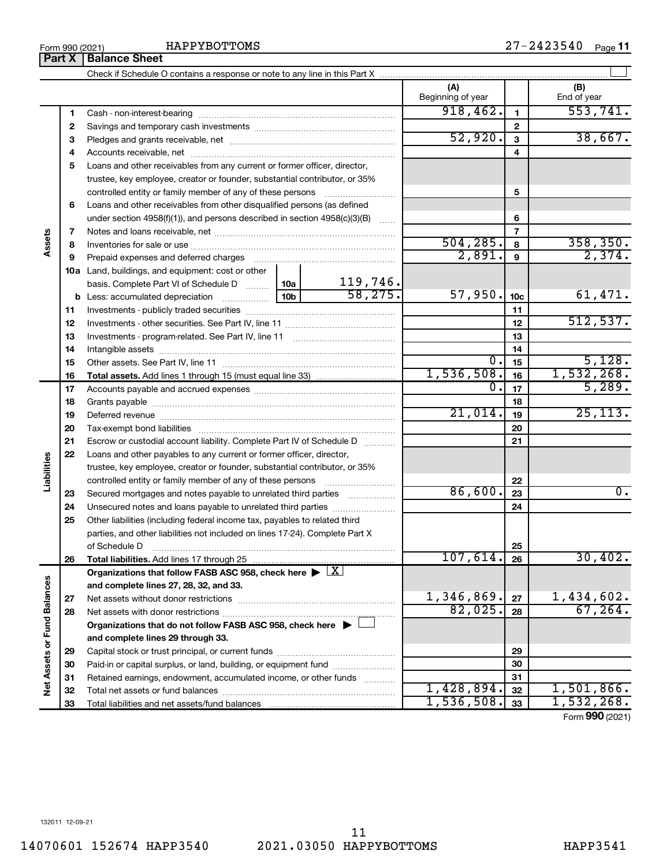|                             | Part X   | <b>Balance Sheet</b>                                                                                           |                          |                 |                         |
|-----------------------------|----------|----------------------------------------------------------------------------------------------------------------|--------------------------|-----------------|-------------------------|
|                             |          |                                                                                                                |                          |                 |                         |
|                             |          |                                                                                                                | (A)<br>Beginning of year |                 | (B)<br>End of year      |
|                             | 1        |                                                                                                                | 918,462.                 | 1               | 553,741.                |
|                             | 2        |                                                                                                                |                          | $\mathbf{2}$    |                         |
|                             | 3        |                                                                                                                | 52,920.                  | $\mathbf{3}$    | 38,667.                 |
|                             | 4        |                                                                                                                |                          | 4               |                         |
|                             | 5        | Loans and other receivables from any current or former officer, director,                                      |                          |                 |                         |
|                             |          | trustee, key employee, creator or founder, substantial contributor, or 35%                                     |                          |                 |                         |
|                             |          | controlled entity or family member of any of these persons                                                     |                          | 5               |                         |
|                             | 6        | Loans and other receivables from other disqualified persons (as defined                                        |                          |                 |                         |
|                             |          | under section $4958(f)(1)$ , and persons described in section $4958(c)(3)(B)$<br>$\sim$                        |                          | 6               |                         |
|                             | 7        |                                                                                                                |                          | 7               |                         |
| Assets                      | 8        |                                                                                                                | 504, 285.                | 8               | $\frac{358,350}{2,374}$ |
|                             | 9        | Prepaid expenses and deferred charges [11] [11] Prepaid expenses and deferred charges [11] [11] American metal | 2,891.                   | 9               |                         |
|                             |          | <b>10a</b> Land, buildings, and equipment: cost or other                                                       |                          |                 |                         |
|                             |          | $\frac{119,746}{58,275}$<br> 10a <br>basis. Complete Part VI of Schedule D                                     |                          |                 |                         |
|                             |          | 10 <sub>b</sub>                                                                                                | 57,950.                  | 10 <sub>c</sub> | 61,471.                 |
|                             | 11       |                                                                                                                |                          | 11              |                         |
|                             | 12       |                                                                                                                |                          | 12              | 512,537.                |
|                             | 13       |                                                                                                                |                          | 13              |                         |
|                             | 14       |                                                                                                                |                          | 14              |                         |
|                             | 15       |                                                                                                                | 0.1<br>1,536,508.        | 15              | 5,128.<br>1,532,268.    |
|                             | 16       |                                                                                                                | $\overline{0}$ .         | 16<br>17        | 5,289.                  |
|                             | 17       |                                                                                                                |                          | 18              |                         |
|                             | 18<br>19 |                                                                                                                | 21,014.                  | 19              | 25, 113.                |
|                             | 20       |                                                                                                                |                          | 20              |                         |
|                             | 21       | Escrow or custodial account liability. Complete Part IV of Schedule D                                          |                          | 21              |                         |
|                             | 22       | Loans and other payables to any current or former officer, director,                                           |                          |                 |                         |
| Liabilities                 |          | trustee, key employee, creator or founder, substantial contributor, or 35%                                     |                          |                 |                         |
|                             |          | controlled entity or family member of any of these persons                                                     |                          | 22              |                         |
|                             | 23       | Secured mortgages and notes payable to unrelated third parties                                                 | 86,600.                  | 23              | $\overline{0}$ .        |
|                             | 24       | Unsecured notes and loans payable to unrelated third parties                                                   |                          | 24              |                         |
|                             | 25       | Other liabilities (including federal income tax, payables to related third                                     |                          |                 |                         |
|                             |          | parties, and other liabilities not included on lines 17-24). Complete Part X                                   |                          |                 |                         |
|                             |          | of Schedule D                                                                                                  |                          | 25              |                         |
|                             | 26       | <b>Total liabilities.</b> Add lines 17 through 25                                                              | 107,614.                 | 26              | 30,402.                 |
|                             |          | Organizations that follow FASB ASC 958, check here $\blacktriangleright \lfloor \underline{X} \rfloor$         |                          |                 |                         |
|                             |          | and complete lines 27, 28, 32, and 33.                                                                         |                          |                 |                         |
|                             | 27       | Net assets without donor restrictions                                                                          | 1,346,869.               | 27              | 1,434,602.              |
|                             | 28       |                                                                                                                | 82,025.                  | 28              | 67, 264.                |
|                             |          | Organizations that do not follow FASB ASC 958, check here $\blacktriangleright$                                |                          |                 |                         |
|                             |          | and complete lines 29 through 33.                                                                              |                          |                 |                         |
| Net Assets or Fund Balances | 29       |                                                                                                                |                          | 29              |                         |
|                             | 30       | Paid-in or capital surplus, or land, building, or equipment fund                                               |                          | 30              |                         |
|                             | 31       | Retained earnings, endowment, accumulated income, or other funds                                               |                          | 31              |                         |
|                             | 32       |                                                                                                                | 1,428,894.               | 32              | $1,501,866$ .           |
|                             | 33       |                                                                                                                | 1,536,508.               | 33              | 1,532,268.              |

Form (2021) **990**

14070601 152674 HAPP3540 2021.03050 HAPPYBOTTOMS HAPP3541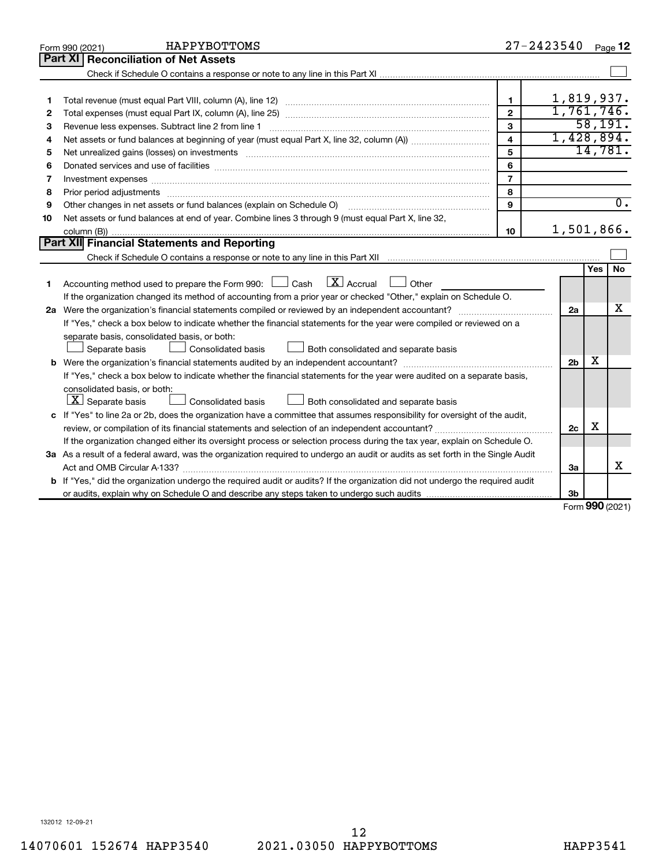|    | HAPPYBOTTOMS<br>Form 990 (2021)                                                                                                 |                         | $27 - 2423540$ |            | Page 12          |
|----|---------------------------------------------------------------------------------------------------------------------------------|-------------------------|----------------|------------|------------------|
|    | Part XI<br><b>Reconciliation of Net Assets</b>                                                                                  |                         |                |            |                  |
|    |                                                                                                                                 |                         |                |            |                  |
|    |                                                                                                                                 |                         |                |            |                  |
| 1  |                                                                                                                                 | $\mathbf{1}$            | 1,819,937.     |            |                  |
| 2  |                                                                                                                                 | $\overline{2}$          | 1,761,746.     |            |                  |
| З  | Revenue less expenses. Subtract line 2 from line 1                                                                              | 3                       |                |            | 58,191.          |
| 4  |                                                                                                                                 | $\overline{\mathbf{4}}$ | 1,428,894.     |            |                  |
| 5  | Net unrealized gains (losses) on investments [111] www.martime.community.community.community.community.communi                  | 5                       |                |            | 14,781.          |
| 6  |                                                                                                                                 | 6                       |                |            |                  |
| 7  | Investment expenses www.communication.com/www.communication.com/www.communication.com/www.com                                   | $\overline{7}$          |                |            |                  |
| 8  |                                                                                                                                 | 8                       |                |            |                  |
| 9  |                                                                                                                                 | $\mathbf{Q}$            |                |            | $\overline{0}$ . |
| 10 | Net assets or fund balances at end of year. Combine lines 3 through 9 (must equal Part X, line 32,                              |                         |                |            |                  |
|    |                                                                                                                                 | 10                      | 1,501,866.     |            |                  |
|    | <b>Part XII</b> Financial Statements and Reporting                                                                              |                         |                |            |                  |
|    |                                                                                                                                 |                         |                |            |                  |
|    |                                                                                                                                 |                         |                | <b>Yes</b> | No               |
| 1  | Accounting method used to prepare the Form 990: $\Box$ Cash $\Box X$ Accrual<br>$\Box$ Other                                    |                         |                |            |                  |
|    | If the organization changed its method of accounting from a prior year or checked "Other," explain on Schedule O.               |                         |                |            |                  |
|    |                                                                                                                                 |                         | 2a             |            | x                |
|    | If "Yes," check a box below to indicate whether the financial statements for the year were compiled or reviewed on a            |                         |                |            |                  |
|    | separate basis, consolidated basis, or both:                                                                                    |                         |                |            |                  |
|    | Both consolidated and separate basis<br>Consolidated basis<br>Separate basis                                                    |                         |                |            |                  |
| b  |                                                                                                                                 |                         | 2 <sub>b</sub> | X          |                  |
|    | If "Yes," check a box below to indicate whether the financial statements for the year were audited on a separate basis,         |                         |                |            |                  |
|    | consolidated basis, or both:                                                                                                    |                         |                |            |                  |
|    | $\lfloor \underline{X} \rfloor$ Separate basis<br>Consolidated basis<br>Both consolidated and separate basis                    |                         |                |            |                  |
|    | c If "Yes" to line 2a or 2b, does the organization have a committee that assumes responsibility for oversight of the audit,     |                         |                |            |                  |
|    | review, or compilation of its financial statements and selection of an independent accountant?                                  |                         | 2c             | х          |                  |
|    | If the organization changed either its oversight process or selection process during the tax year, explain on Schedule O.       |                         |                |            |                  |
|    | 3a As a result of a federal award, was the organization required to undergo an audit or audits as set forth in the Single Audit |                         |                |            |                  |
|    | Act and OMB Circular A-133?                                                                                                     |                         | За             |            | x                |
|    | b If "Yes," did the organization undergo the required audit or audits? If the organization did not undergo the required audit   |                         |                |            |                  |
|    |                                                                                                                                 |                         | 3b             | nnn -      |                  |

Form (2021) **990**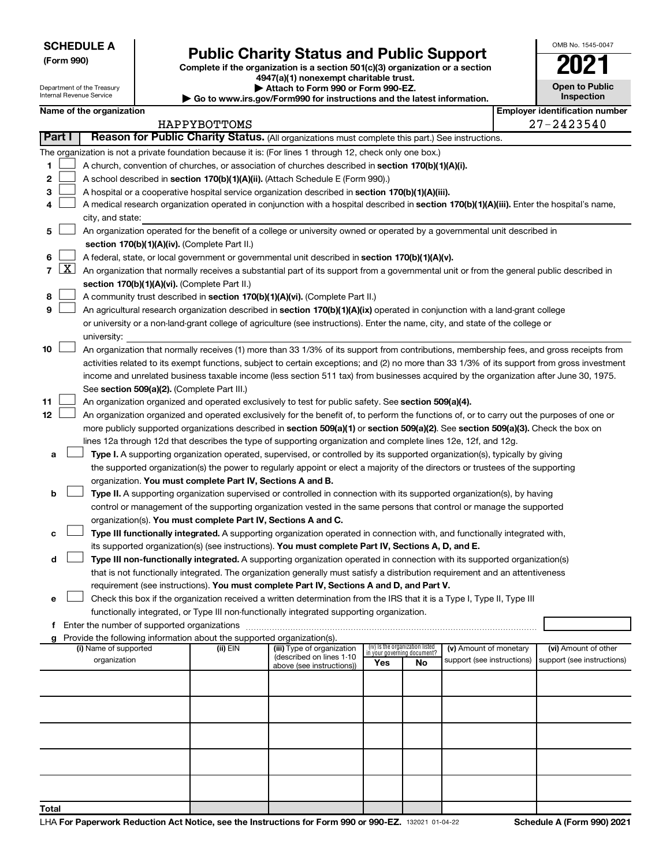Department of the Treasury

# Form 990)<br>
Complete if the organization is a section 501(c)(3) organization or a section<br> **Public Charity Status and Public Support**

**4947(a)(1) nonexempt charitable trust. | Attach to Form 990 or Form 990-EZ.** 

| OMB No 1545-0047                    |
|-------------------------------------|
| ۰                                   |
| <b>Open to Public</b><br>Inspection |
|                                     |

|                |                     | Internal Revenue Service              |                                                                        | Go to www.irs.gov/Form990 for instructions and the latest information.                                                                       |     |                                   |                                                      |  | Inspection                                         |
|----------------|---------------------|---------------------------------------|------------------------------------------------------------------------|----------------------------------------------------------------------------------------------------------------------------------------------|-----|-----------------------------------|------------------------------------------------------|--|----------------------------------------------------|
|                |                     | Name of the organization              |                                                                        |                                                                                                                                              |     |                                   |                                                      |  | <b>Employer identification number</b>              |
|                |                     |                                       | HAPPYBOTTOMS                                                           |                                                                                                                                              |     |                                   |                                                      |  | 27-2423540                                         |
|                | <b>Part I</b>       |                                       |                                                                        | Reason for Public Charity Status. (All organizations must complete this part.) See instructions.                                             |     |                                   |                                                      |  |                                                    |
|                |                     |                                       |                                                                        | The organization is not a private foundation because it is: (For lines 1 through 12, check only one box.)                                    |     |                                   |                                                      |  |                                                    |
| 1              |                     |                                       |                                                                        | A church, convention of churches, or association of churches described in section 170(b)(1)(A)(i).                                           |     |                                   |                                                      |  |                                                    |
| 2              |                     |                                       |                                                                        | A school described in section 170(b)(1)(A)(ii). (Attach Schedule E (Form 990).)                                                              |     |                                   |                                                      |  |                                                    |
| з              |                     |                                       |                                                                        | A hospital or a cooperative hospital service organization described in section 170(b)(1)(A)(iii).                                            |     |                                   |                                                      |  |                                                    |
| 4              |                     | city, and state:                      |                                                                        | A medical research organization operated in conjunction with a hospital described in section 170(b)(1)(A)(iii). Enter the hospital's name,   |     |                                   |                                                      |  |                                                    |
| 5              |                     |                                       |                                                                        | An organization operated for the benefit of a college or university owned or operated by a governmental unit described in                    |     |                                   |                                                      |  |                                                    |
|                |                     |                                       | section 170(b)(1)(A)(iv). (Complete Part II.)                          |                                                                                                                                              |     |                                   |                                                      |  |                                                    |
| 6              |                     |                                       |                                                                        | A federal, state, or local government or governmental unit described in section 170(b)(1)(A)(v).                                             |     |                                   |                                                      |  |                                                    |
| $\overline{7}$ | $\lfloor x \rfloor$ |                                       |                                                                        | An organization that normally receives a substantial part of its support from a governmental unit or from the general public described in    |     |                                   |                                                      |  |                                                    |
|                |                     |                                       | section 170(b)(1)(A)(vi). (Complete Part II.)                          |                                                                                                                                              |     |                                   |                                                      |  |                                                    |
| 8              |                     |                                       |                                                                        | A community trust described in section 170(b)(1)(A)(vi). (Complete Part II.)                                                                 |     |                                   |                                                      |  |                                                    |
| 9              |                     |                                       |                                                                        | An agricultural research organization described in section 170(b)(1)(A)(ix) operated in conjunction with a land-grant college                |     |                                   |                                                      |  |                                                    |
|                |                     |                                       |                                                                        | or university or a non-land-grant college of agriculture (see instructions). Enter the name, city, and state of the college or               |     |                                   |                                                      |  |                                                    |
|                |                     | university:                           |                                                                        |                                                                                                                                              |     |                                   |                                                      |  |                                                    |
| 10             |                     |                                       |                                                                        | An organization that normally receives (1) more than 33 1/3% of its support from contributions, membership fees, and gross receipts from     |     |                                   |                                                      |  |                                                    |
|                |                     |                                       |                                                                        | activities related to its exempt functions, subject to certain exceptions; and (2) no more than 33 1/3% of its support from gross investment |     |                                   |                                                      |  |                                                    |
|                |                     |                                       |                                                                        | income and unrelated business taxable income (less section 511 tax) from businesses acquired by the organization after June 30, 1975.        |     |                                   |                                                      |  |                                                    |
|                |                     |                                       | See section 509(a)(2). (Complete Part III.)                            |                                                                                                                                              |     |                                   |                                                      |  |                                                    |
| 11             |                     |                                       |                                                                        | An organization organized and operated exclusively to test for public safety. See section 509(a)(4).                                         |     |                                   |                                                      |  |                                                    |
| 12             |                     |                                       |                                                                        | An organization organized and operated exclusively for the benefit of, to perform the functions of, or to carry out the purposes of one or   |     |                                   |                                                      |  |                                                    |
|                |                     |                                       |                                                                        | more publicly supported organizations described in section 509(a)(1) or section 509(a)(2). See section 509(a)(3). Check the box on           |     |                                   |                                                      |  |                                                    |
|                |                     |                                       |                                                                        | lines 12a through 12d that describes the type of supporting organization and complete lines 12e, 12f, and 12g.                               |     |                                   |                                                      |  |                                                    |
| a              |                     |                                       |                                                                        | Type I. A supporting organization operated, supervised, or controlled by its supported organization(s), typically by giving                  |     |                                   |                                                      |  |                                                    |
|                |                     |                                       |                                                                        | the supported organization(s) the power to regularly appoint or elect a majority of the directors or trustees of the supporting              |     |                                   |                                                      |  |                                                    |
|                |                     |                                       | organization. You must complete Part IV, Sections A and B.             |                                                                                                                                              |     |                                   |                                                      |  |                                                    |
| b              |                     |                                       |                                                                        | Type II. A supporting organization supervised or controlled in connection with its supported organization(s), by having                      |     |                                   |                                                      |  |                                                    |
|                |                     |                                       |                                                                        | control or management of the supporting organization vested in the same persons that control or manage the supported                         |     |                                   |                                                      |  |                                                    |
|                |                     |                                       |                                                                        | organization(s). You must complete Part IV, Sections A and C.                                                                                |     |                                   |                                                      |  |                                                    |
| c              |                     |                                       |                                                                        | Type III functionally integrated. A supporting organization operated in connection with, and functionally integrated with,                   |     |                                   |                                                      |  |                                                    |
|                |                     |                                       |                                                                        | its supported organization(s) (see instructions). You must complete Part IV, Sections A, D, and E.                                           |     |                                   |                                                      |  |                                                    |
| d              |                     |                                       |                                                                        | Type III non-functionally integrated. A supporting organization operated in connection with its supported organization(s)                    |     |                                   |                                                      |  |                                                    |
|                |                     |                                       |                                                                        | that is not functionally integrated. The organization generally must satisfy a distribution requirement and an attentiveness                 |     |                                   |                                                      |  |                                                    |
|                |                     |                                       |                                                                        | requirement (see instructions). You must complete Part IV, Sections A and D, and Part V.                                                     |     |                                   |                                                      |  |                                                    |
| e              |                     |                                       |                                                                        | Check this box if the organization received a written determination from the IRS that it is a Type I, Type II, Type III                      |     |                                   |                                                      |  |                                                    |
|                |                     |                                       |                                                                        | functionally integrated, or Type III non-functionally integrated supporting organization.                                                    |     |                                   |                                                      |  |                                                    |
|                |                     |                                       |                                                                        |                                                                                                                                              |     |                                   |                                                      |  |                                                    |
| g              |                     |                                       | Provide the following information about the supported organization(s). |                                                                                                                                              |     | (iv) Is the organization listed   |                                                      |  |                                                    |
|                |                     | (i) Name of supported<br>organization | (ii) EIN                                                               | (iii) Type of organization<br>(described on lines 1-10<br>above (see instructions))                                                          | Yes | in your governing document?<br>No | (v) Amount of monetary<br>support (see instructions) |  | (vi) Amount of other<br>support (see instructions) |
|                |                     |                                       |                                                                        |                                                                                                                                              |     |                                   |                                                      |  |                                                    |
|                |                     |                                       |                                                                        |                                                                                                                                              |     |                                   |                                                      |  |                                                    |
|                |                     |                                       |                                                                        |                                                                                                                                              |     |                                   |                                                      |  |                                                    |
|                |                     |                                       |                                                                        |                                                                                                                                              |     |                                   |                                                      |  |                                                    |
|                |                     |                                       |                                                                        |                                                                                                                                              |     |                                   |                                                      |  |                                                    |
|                |                     |                                       |                                                                        |                                                                                                                                              |     |                                   |                                                      |  |                                                    |
|                |                     |                                       |                                                                        |                                                                                                                                              |     |                                   |                                                      |  |                                                    |
| Total          |                     |                                       |                                                                        |                                                                                                                                              |     |                                   |                                                      |  |                                                    |

 $\Box$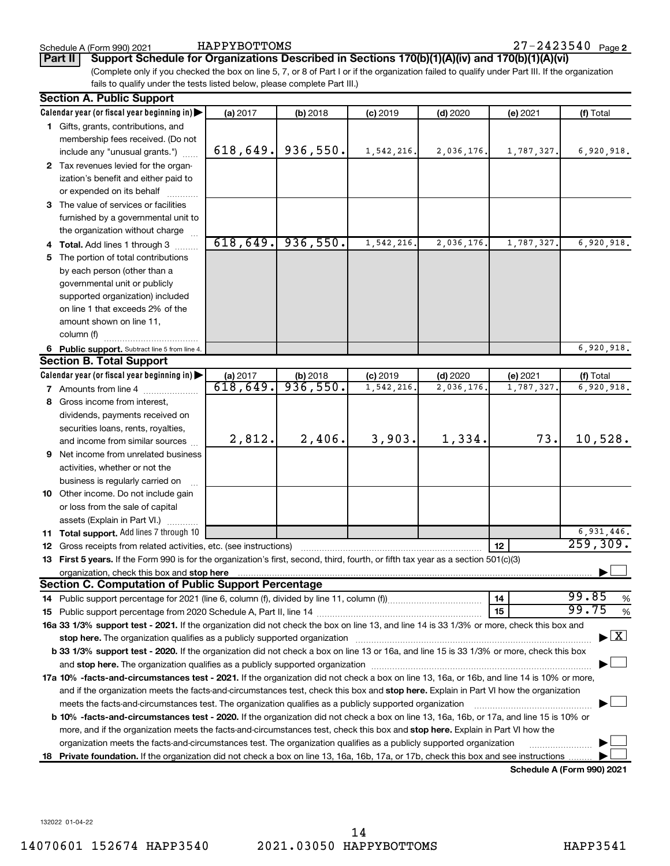#### Schedule A (Form 990) 2021

HAPPYBOTTOMS

**Part II Support Schedule for Organizations Described in Sections 170(b)(1)(A)(iv) and 170(b)(1)(A)(vi)**

(Complete only if you checked the box on line 5, 7, or 8 of Part I or if the organization failed to qualify under Part III. If the organization fails to qualify under the tests listed below, please complete Part III.)

| <b>Section A. Public Support</b>                                                                                                                                                                                               |          |          |            |            |            |                                    |
|--------------------------------------------------------------------------------------------------------------------------------------------------------------------------------------------------------------------------------|----------|----------|------------|------------|------------|------------------------------------|
| Calendar year (or fiscal year beginning in)                                                                                                                                                                                    | (a) 2017 | (b) 2018 | $(c)$ 2019 | $(d)$ 2020 | (e) 2021   | (f) Total                          |
| 1 Gifts, grants, contributions, and                                                                                                                                                                                            |          |          |            |            |            |                                    |
| membership fees received. (Do not                                                                                                                                                                                              |          |          |            |            |            |                                    |
| include any "unusual grants.")                                                                                                                                                                                                 | 618,649. | 936,550. | 1,542,216. | 2,036,176. | 1,787,327. | 6,920,918.                         |
| 2 Tax revenues levied for the organ-                                                                                                                                                                                           |          |          |            |            |            |                                    |
| ization's benefit and either paid to                                                                                                                                                                                           |          |          |            |            |            |                                    |
| or expended on its behalf                                                                                                                                                                                                      |          |          |            |            |            |                                    |
| 3 The value of services or facilities                                                                                                                                                                                          |          |          |            |            |            |                                    |
| furnished by a governmental unit to                                                                                                                                                                                            |          |          |            |            |            |                                    |
| the organization without charge                                                                                                                                                                                                |          |          |            |            |            |                                    |
| 4 Total. Add lines 1 through 3                                                                                                                                                                                                 | 618,649. | 936,550. | 1,542,216  | 2,036,176. | 1,787,327. | 6,920,918.                         |
| 5 The portion of total contributions                                                                                                                                                                                           |          |          |            |            |            |                                    |
| by each person (other than a                                                                                                                                                                                                   |          |          |            |            |            |                                    |
| governmental unit or publicly                                                                                                                                                                                                  |          |          |            |            |            |                                    |
| supported organization) included                                                                                                                                                                                               |          |          |            |            |            |                                    |
| on line 1 that exceeds 2% of the                                                                                                                                                                                               |          |          |            |            |            |                                    |
| amount shown on line 11,                                                                                                                                                                                                       |          |          |            |            |            |                                    |
| column (f)                                                                                                                                                                                                                     |          |          |            |            |            |                                    |
| 6 Public support. Subtract line 5 from line 4.                                                                                                                                                                                 |          |          |            |            |            | 6,920,918.                         |
| <b>Section B. Total Support</b>                                                                                                                                                                                                |          |          |            |            |            |                                    |
| Calendar year (or fiscal year beginning in)                                                                                                                                                                                    | (a) 2017 | (b) 2018 | $(c)$ 2019 | $(d)$ 2020 | (e) 2021   | (f) Total                          |
| 7 Amounts from line 4                                                                                                                                                                                                          | 618,649. | 936,550. | 1,542,216  | 2,036,176  | 1,787,327  | 6,920,918.                         |
| 8 Gross income from interest,                                                                                                                                                                                                  |          |          |            |            |            |                                    |
| dividends, payments received on                                                                                                                                                                                                |          |          |            |            |            |                                    |
| securities loans, rents, royalties,                                                                                                                                                                                            |          |          |            |            |            |                                    |
| and income from similar sources                                                                                                                                                                                                | 2,812.   | 2,406.   | 3,903.     | 1,334.     | 73.        | 10,528.                            |
| <b>9</b> Net income from unrelated business                                                                                                                                                                                    |          |          |            |            |            |                                    |
| activities, whether or not the                                                                                                                                                                                                 |          |          |            |            |            |                                    |
| business is regularly carried on                                                                                                                                                                                               |          |          |            |            |            |                                    |
| 10 Other income. Do not include gain                                                                                                                                                                                           |          |          |            |            |            |                                    |
| or loss from the sale of capital                                                                                                                                                                                               |          |          |            |            |            |                                    |
| assets (Explain in Part VI.)                                                                                                                                                                                                   |          |          |            |            |            |                                    |
| 11 Total support. Add lines 7 through 10                                                                                                                                                                                       |          |          |            |            |            | 6,931,446.                         |
| <b>12</b> Gross receipts from related activities, etc. (see instructions)                                                                                                                                                      |          |          |            |            | 12         | 259,309.                           |
| 13 First 5 years. If the Form 990 is for the organization's first, second, third, fourth, or fifth tax year as a section 501(c)(3)                                                                                             |          |          |            |            |            |                                    |
| organization, check this box and stop here Mathematical and the content of the state of the content of the content of the content of the content of the content of the content of the content of the content of the content of |          |          |            |            |            |                                    |
| <b>Section C. Computation of Public Support Percentage</b>                                                                                                                                                                     |          |          |            |            |            |                                    |
|                                                                                                                                                                                                                                |          |          |            |            | 14         | 99.85<br>%                         |
|                                                                                                                                                                                                                                |          |          |            |            | 15         | 99.75<br>%                         |
| 16a 33 1/3% support test - 2021. If the organization did not check the box on line 13, and line 14 is 33 1/3% or more, check this box and                                                                                      |          |          |            |            |            |                                    |
| stop here. The organization qualifies as a publicly supported organization manufaction manufacture or the organization                                                                                                         |          |          |            |            |            | $\blacktriangleright$ $\mathbf{X}$ |
| b 33 1/3% support test - 2020. If the organization did not check a box on line 13 or 16a, and line 15 is 33 1/3% or more, check this box                                                                                       |          |          |            |            |            |                                    |
|                                                                                                                                                                                                                                |          |          |            |            |            |                                    |
| 17a 10% -facts-and-circumstances test - 2021. If the organization did not check a box on line 13, 16a, or 16b, and line 14 is 10% or more,                                                                                     |          |          |            |            |            |                                    |
| and if the organization meets the facts-and-circumstances test, check this box and stop here. Explain in Part VI how the organization                                                                                          |          |          |            |            |            |                                    |
| meets the facts-and-circumstances test. The organization qualifies as a publicly supported organization                                                                                                                        |          |          |            |            |            |                                    |
| <b>b 10%</b> -facts-and-circumstances test - 2020. If the organization did not check a box on line 13, 16a, 16b, or 17a, and line 15 is 10% or                                                                                 |          |          |            |            |            |                                    |
| more, and if the organization meets the facts-and-circumstances test, check this box and stop here. Explain in Part VI how the                                                                                                 |          |          |            |            |            |                                    |
| organization meets the facts-and-circumstances test. The organization qualifies as a publicly supported organization                                                                                                           |          |          |            |            |            |                                    |
| 18 Private foundation. If the organization did not check a box on line 13, 16a, 16b, 17a, or 17b, check this box and see instructions                                                                                          |          |          |            |            |            |                                    |
|                                                                                                                                                                                                                                |          |          |            |            |            | Schodule A (Form 000) 2021         |

**Schedule A (Form 990) 2021**

132022 01-04-22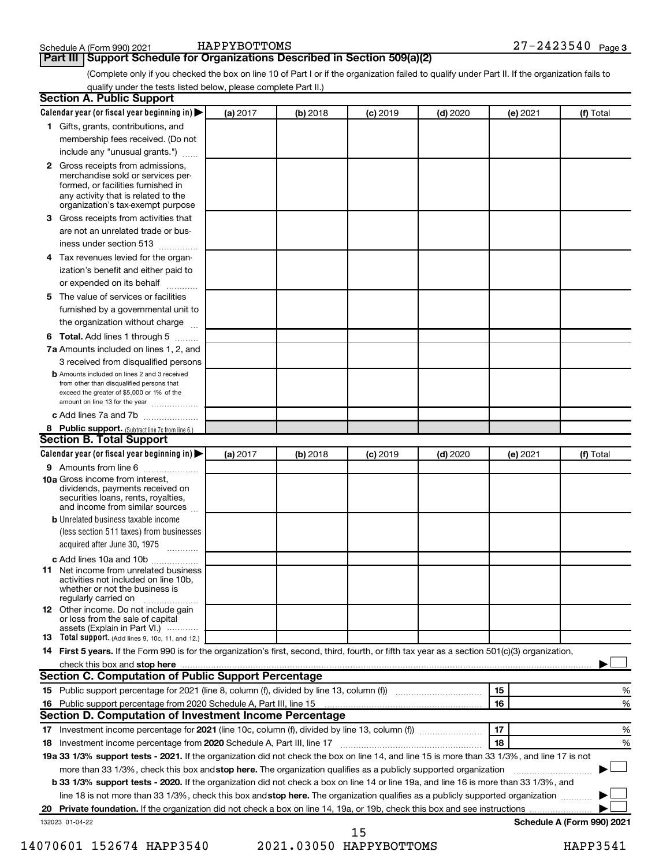#### **Part III Support Schedule for Organizations Described in Section 509(a)(2)**

(Complete only if you checked the box on line 10 of Part I or if the organization failed to qualify under Part II. If the organization fails to qualify under the tests listed below, please complete Part II.)

| <b>Section A. Public Support</b>                                                                                                                                                                |          |            |            |            |          |                            |
|-------------------------------------------------------------------------------------------------------------------------------------------------------------------------------------------------|----------|------------|------------|------------|----------|----------------------------|
| Calendar year (or fiscal year beginning in)                                                                                                                                                     | (a) 2017 | (b) 2018   | $(c)$ 2019 | $(d)$ 2020 | (e) 2021 | (f) Total                  |
| 1 Gifts, grants, contributions, and                                                                                                                                                             |          |            |            |            |          |                            |
| membership fees received. (Do not                                                                                                                                                               |          |            |            |            |          |                            |
| include any "unusual grants.")                                                                                                                                                                  |          |            |            |            |          |                            |
| <b>2</b> Gross receipts from admissions,<br>merchandise sold or services per-<br>formed, or facilities furnished in<br>any activity that is related to the<br>organization's tax-exempt purpose |          |            |            |            |          |                            |
| 3 Gross receipts from activities that<br>are not an unrelated trade or bus-                                                                                                                     |          |            |            |            |          |                            |
| iness under section 513                                                                                                                                                                         |          |            |            |            |          |                            |
| 4 Tax revenues levied for the organ-                                                                                                                                                            |          |            |            |            |          |                            |
| ization's benefit and either paid to                                                                                                                                                            |          |            |            |            |          |                            |
| or expended on its behalf                                                                                                                                                                       |          |            |            |            |          |                            |
| 5 The value of services or facilities                                                                                                                                                           |          |            |            |            |          |                            |
| furnished by a governmental unit to                                                                                                                                                             |          |            |            |            |          |                            |
| the organization without charge                                                                                                                                                                 |          |            |            |            |          |                            |
| 6 Total. Add lines 1 through 5                                                                                                                                                                  |          |            |            |            |          |                            |
| 7a Amounts included on lines 1, 2, and                                                                                                                                                          |          |            |            |            |          |                            |
| 3 received from disqualified persons                                                                                                                                                            |          |            |            |            |          |                            |
| <b>b</b> Amounts included on lines 2 and 3 received<br>from other than disqualified persons that                                                                                                |          |            |            |            |          |                            |
| exceed the greater of \$5,000 or 1% of the                                                                                                                                                      |          |            |            |            |          |                            |
| amount on line 13 for the year                                                                                                                                                                  |          |            |            |            |          |                            |
| c Add lines 7a and 7b                                                                                                                                                                           |          |            |            |            |          |                            |
| 8 Public support. (Subtract line 7c from line 6.)                                                                                                                                               |          |            |            |            |          |                            |
| <b>Section B. Total Support</b>                                                                                                                                                                 |          |            |            |            |          |                            |
| Calendar year (or fiscal year beginning in)                                                                                                                                                     | (a) 2017 | $(b)$ 2018 | $(c)$ 2019 | $(d)$ 2020 | (e) 2021 | (f) Total                  |
| 9 Amounts from line 6                                                                                                                                                                           |          |            |            |            |          |                            |
| <b>10a</b> Gross income from interest,<br>dividends, payments received on<br>securities loans, rents, royalties,<br>and income from similar sources                                             |          |            |            |            |          |                            |
| <b>b</b> Unrelated business taxable income                                                                                                                                                      |          |            |            |            |          |                            |
| (less section 511 taxes) from businesses                                                                                                                                                        |          |            |            |            |          |                            |
| acquired after June 30, 1975                                                                                                                                                                    |          |            |            |            |          |                            |
| c Add lines 10a and 10b<br><b>11</b> Net income from unrelated business<br>activities not included on line 10b.<br>whether or not the business is<br>regularly carried on                       |          |            |            |            |          |                            |
| 12 Other income. Do not include gain<br>or loss from the sale of capital<br>assets (Explain in Part VI.)                                                                                        |          |            |            |            |          |                            |
| <b>13</b> Total support. (Add lines 9, 10c, 11, and 12.)                                                                                                                                        |          |            |            |            |          |                            |
| 14 First 5 years. If the Form 990 is for the organization's first, second, third, fourth, or fifth tax year as a section 501(c)(3) organization,                                                |          |            |            |            |          |                            |
| check this box and stop here <b>contained and according to the contained and stop here</b> check this box and stop here                                                                         |          |            |            |            |          |                            |
| Section C. Computation of Public Support Percentage                                                                                                                                             |          |            |            |            |          |                            |
|                                                                                                                                                                                                 |          |            |            |            | 15       | ℅                          |
| 16 Public support percentage from 2020 Schedule A, Part III, line 15                                                                                                                            |          |            |            |            | 16       | %                          |
| Section D. Computation of Investment Income Percentage                                                                                                                                          |          |            |            |            |          |                            |
|                                                                                                                                                                                                 |          |            |            |            | 17       | %                          |
| 18 Investment income percentage from 2020 Schedule A, Part III, line 17                                                                                                                         |          |            |            |            | 18       | %                          |
| 19a 33 1/3% support tests - 2021. If the organization did not check the box on line 14, and line 15 is more than 33 1/3%, and line 17 is not                                                    |          |            |            |            |          |                            |
| more than 33 1/3%, check this box and stop here. The organization qualifies as a publicly supported organization                                                                                |          |            |            |            |          |                            |
| b 33 1/3% support tests - 2020. If the organization did not check a box on line 14 or line 19a, and line 16 is more than 33 1/3%, and                                                           |          |            |            |            |          |                            |
| line 18 is not more than 33 1/3%, check this box and stop here. The organization qualifies as a publicly supported organization                                                                 |          |            |            |            |          |                            |
|                                                                                                                                                                                                 |          |            |            |            |          |                            |
| 132023 01-04-22                                                                                                                                                                                 |          |            |            |            |          | Schedule A (Form 990) 2021 |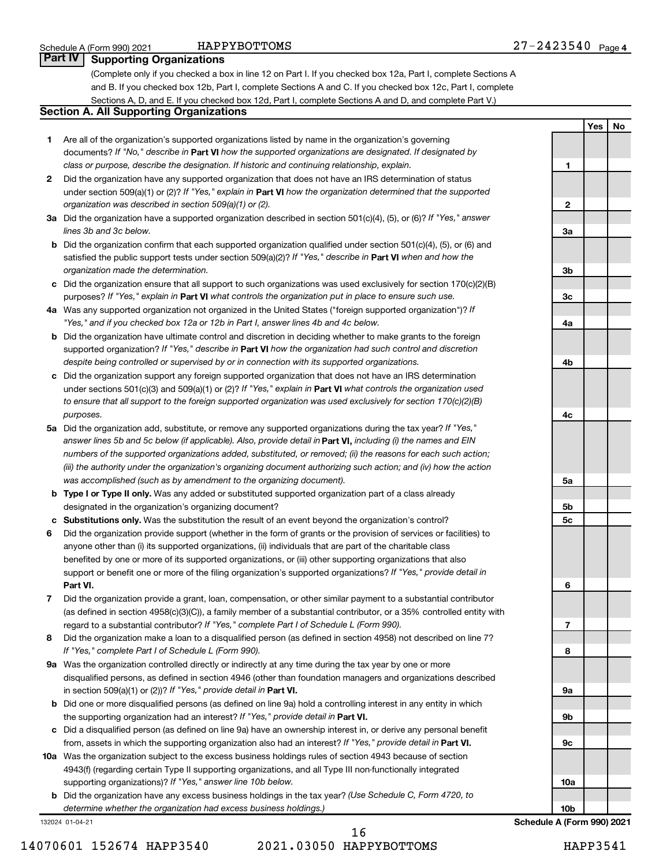**1**

**2**

**3a**

**3b**

**3c**

**4a**

**4b**

**4c**

**5a**

**5b 5c**

**6**

**7**

**8**

**9a**

**9b**

**9c**

**10a**

**10b**

**Yes No**

### **Part IV Supporting Organizations**

(Complete only if you checked a box in line 12 on Part I. If you checked box 12a, Part I, complete Sections A and B. If you checked box 12b, Part I, complete Sections A and C. If you checked box 12c, Part I, complete Sections A, D, and E. If you checked box 12d, Part I, complete Sections A and D, and complete Part V.)

#### **Section A. All Supporting Organizations**

- **1** Are all of the organization's supported organizations listed by name in the organization's governing documents? If "No," describe in Part VI how the supported organizations are designated. If designated by *class or purpose, describe the designation. If historic and continuing relationship, explain.*
- **2** Did the organization have any supported organization that does not have an IRS determination of status under section 509(a)(1) or (2)? If "Yes," explain in Part **VI** how the organization determined that the supported *organization was described in section 509(a)(1) or (2).*
- **3a** Did the organization have a supported organization described in section 501(c)(4), (5), or (6)? If "Yes," answer *lines 3b and 3c below.*
- **b** Did the organization confirm that each supported organization qualified under section 501(c)(4), (5), or (6) and satisfied the public support tests under section 509(a)(2)? If "Yes," describe in Part VI when and how the *organization made the determination.*
- **c** Did the organization ensure that all support to such organizations was used exclusively for section 170(c)(2)(B) purposes? If "Yes," explain in Part VI what controls the organization put in place to ensure such use.
- **4 a** *If* Was any supported organization not organized in the United States ("foreign supported organization")? *"Yes," and if you checked box 12a or 12b in Part I, answer lines 4b and 4c below.*
- **b** Did the organization have ultimate control and discretion in deciding whether to make grants to the foreign supported organization? If "Yes," describe in Part VI how the organization had such control and discretion *despite being controlled or supervised by or in connection with its supported organizations.*
- **c** Did the organization support any foreign supported organization that does not have an IRS determination under sections 501(c)(3) and 509(a)(1) or (2)? If "Yes," explain in Part VI what controls the organization used *to ensure that all support to the foreign supported organization was used exclusively for section 170(c)(2)(B) purposes.*
- **5a** Did the organization add, substitute, or remove any supported organizations during the tax year? If "Yes," answer lines 5b and 5c below (if applicable). Also, provide detail in **Part VI,** including (i) the names and EIN *numbers of the supported organizations added, substituted, or removed; (ii) the reasons for each such action; (iii) the authority under the organization's organizing document authorizing such action; and (iv) how the action was accomplished (such as by amendment to the organizing document).*
- **b** Type I or Type II only. Was any added or substituted supported organization part of a class already designated in the organization's organizing document?
- **c Substitutions only.**  Was the substitution the result of an event beyond the organization's control?
- **6** Did the organization provide support (whether in the form of grants or the provision of services or facilities) to **Part VI.** support or benefit one or more of the filing organization's supported organizations? If "Yes," provide detail in anyone other than (i) its supported organizations, (ii) individuals that are part of the charitable class benefited by one or more of its supported organizations, or (iii) other supporting organizations that also
- **7** Did the organization provide a grant, loan, compensation, or other similar payment to a substantial contributor regard to a substantial contributor? If "Yes," complete Part I of Schedule L (Form 990). (as defined in section 4958(c)(3)(C)), a family member of a substantial contributor, or a 35% controlled entity with
- **8** Did the organization make a loan to a disqualified person (as defined in section 4958) not described on line 7? *If "Yes," complete Part I of Schedule L (Form 990).*
- **9 a** Was the organization controlled directly or indirectly at any time during the tax year by one or more in section 509(a)(1) or (2))? If "Yes," provide detail in **Part VI.** disqualified persons, as defined in section 4946 (other than foundation managers and organizations described
- **b** Did one or more disqualified persons (as defined on line 9a) hold a controlling interest in any entity in which the supporting organization had an interest? If "Yes," provide detail in Part VI.
- **c** Did a disqualified person (as defined on line 9a) have an ownership interest in, or derive any personal benefit from, assets in which the supporting organization also had an interest? If "Yes," provide detail in Part VI.
- **10 a** Was the organization subject to the excess business holdings rules of section 4943 because of section supporting organizations)? If "Yes," answer line 10b below. 4943(f) (regarding certain Type II supporting organizations, and all Type III non-functionally integrated
	- **b** Did the organization have any excess business holdings in the tax year? (Use Schedule C, Form 4720, to *determine whether the organization had excess business holdings.)*

132024 01-04-21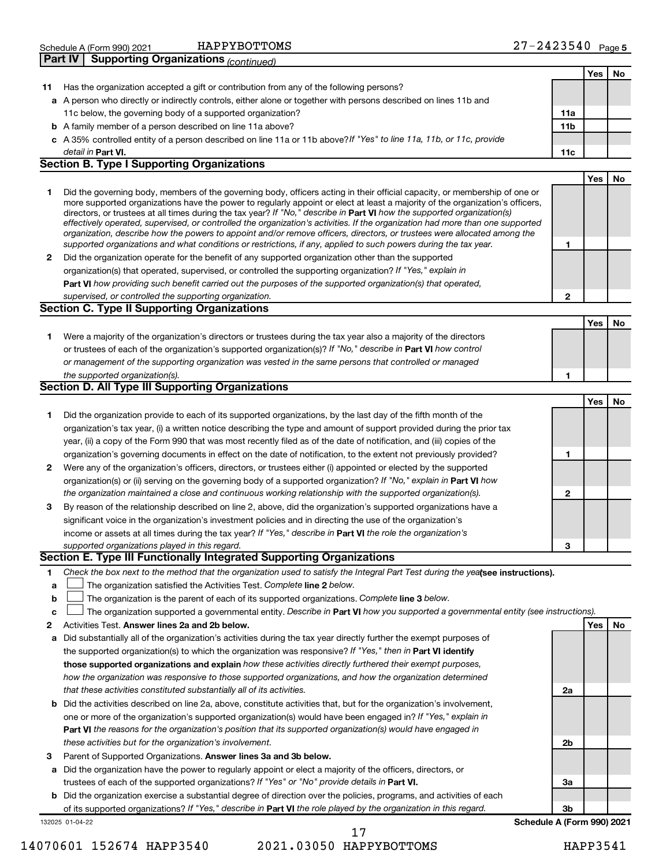|                | Schedule A (Form 990) 2021           | HAPPYBOTTOMS | 2423540 | Page 5 |
|----------------|--------------------------------------|--------------|---------|--------|
| <b>Part IV</b> | Supporting Organizations (continued) |              |         |        |

|              |                                                                                                                                                                                                                                              |                 | Yes        | No |
|--------------|----------------------------------------------------------------------------------------------------------------------------------------------------------------------------------------------------------------------------------------------|-----------------|------------|----|
|              | Has the organization accepted a gift or contribution from any of the following persons?                                                                                                                                                      |                 |            |    |
| 11           | a A person who directly or indirectly controls, either alone or together with persons described on lines 11b and                                                                                                                             |                 |            |    |
|              | 11c below, the governing body of a supported organization?                                                                                                                                                                                   | 11a             |            |    |
|              | <b>b</b> A family member of a person described on line 11a above?                                                                                                                                                                            | 11 <sub>b</sub> |            |    |
|              | c A 35% controlled entity of a person described on line 11a or 11b above?If "Yes" to line 11a, 11b, or 11c, provide                                                                                                                          |                 |            |    |
|              | detail in Part VI.                                                                                                                                                                                                                           | 11c             |            |    |
|              | <b>Section B. Type I Supporting Organizations</b>                                                                                                                                                                                            |                 |            |    |
|              |                                                                                                                                                                                                                                              |                 | <b>Yes</b> | No |
| 1            | Did the governing body, members of the governing body, officers acting in their official capacity, or membership of one or                                                                                                                   |                 |            |    |
|              | more supported organizations have the power to regularly appoint or elect at least a majority of the organization's officers,                                                                                                                |                 |            |    |
|              | directors, or trustees at all times during the tax year? If "No," describe in Part VI how the supported organization(s)                                                                                                                      |                 |            |    |
|              | effectively operated, supervised, or controlled the organization's activities. If the organization had more than one supported                                                                                                               |                 |            |    |
|              | organization, describe how the powers to appoint and/or remove officers, directors, or trustees were allocated among the<br>supported organizations and what conditions or restrictions, if any, applied to such powers during the tax year. | 1               |            |    |
| 2            | Did the organization operate for the benefit of any supported organization other than the supported                                                                                                                                          |                 |            |    |
|              | organization(s) that operated, supervised, or controlled the supporting organization? If "Yes," explain in                                                                                                                                   |                 |            |    |
|              | Part VI how providing such benefit carried out the purposes of the supported organization(s) that operated,                                                                                                                                  |                 |            |    |
|              | supervised, or controlled the supporting organization.                                                                                                                                                                                       | $\mathbf{2}$    |            |    |
|              | <b>Section C. Type II Supporting Organizations</b>                                                                                                                                                                                           |                 |            |    |
|              |                                                                                                                                                                                                                                              |                 | <b>Yes</b> | No |
|              |                                                                                                                                                                                                                                              |                 |            |    |
| 1.           | Were a majority of the organization's directors or trustees during the tax year also a majority of the directors<br>or trustees of each of the organization's supported organization(s)? If "No," describe in Part VI how control            |                 |            |    |
|              | or management of the supporting organization was vested in the same persons that controlled or managed                                                                                                                                       |                 |            |    |
|              | the supported organization(s).                                                                                                                                                                                                               | 1               |            |    |
|              | <b>Section D. All Type III Supporting Organizations</b>                                                                                                                                                                                      |                 |            |    |
|              |                                                                                                                                                                                                                                              |                 | <b>Yes</b> | No |
| 1            | Did the organization provide to each of its supported organizations, by the last day of the fifth month of the                                                                                                                               |                 |            |    |
|              | organization's tax year, (i) a written notice describing the type and amount of support provided during the prior tax                                                                                                                        |                 |            |    |
|              | year, (ii) a copy of the Form 990 that was most recently filed as of the date of notification, and (iii) copies of the                                                                                                                       |                 |            |    |
|              | organization's governing documents in effect on the date of notification, to the extent not previously provided?                                                                                                                             | 1               |            |    |
| $\mathbf{2}$ | Were any of the organization's officers, directors, or trustees either (i) appointed or elected by the supported                                                                                                                             |                 |            |    |
|              | organization(s) or (ii) serving on the governing body of a supported organization? If "No," explain in Part VI how                                                                                                                           |                 |            |    |
|              | the organization maintained a close and continuous working relationship with the supported organization(s).                                                                                                                                  | $\mathbf{2}$    |            |    |
| 3            | By reason of the relationship described on line 2, above, did the organization's supported organizations have a                                                                                                                              |                 |            |    |
|              | significant voice in the organization's investment policies and in directing the use of the organization's                                                                                                                                   |                 |            |    |
|              | income or assets at all times during the tax year? If "Yes," describe in Part VI the role the organization's                                                                                                                                 |                 |            |    |
|              | supported organizations played in this regard.                                                                                                                                                                                               | 3               |            |    |
|              | Section E. Type III Functionally Integrated Supporting Organizations                                                                                                                                                                         |                 |            |    |
| 1            | Check the box next to the method that the organization used to satisfy the Integral Part Test during the yeafsee instructions).                                                                                                              |                 |            |    |
| a            | The organization satisfied the Activities Test. Complete line 2 below.                                                                                                                                                                       |                 |            |    |
| b            | The organization is the parent of each of its supported organizations. Complete line 3 below.                                                                                                                                                |                 |            |    |
| c            | The organization supported a governmental entity. Describe in Part VI how you supported a governmental entity (see instructions).                                                                                                            |                 |            |    |
| 2            | Activities Test. Answer lines 2a and 2b below.                                                                                                                                                                                               |                 | Yes        | No |
| а            | Did substantially all of the organization's activities during the tax year directly further the exempt purposes of                                                                                                                           |                 |            |    |
|              | the supported organization(s) to which the organization was responsive? If "Yes," then in Part VI identify                                                                                                                                   |                 |            |    |
|              | those supported organizations and explain how these activities directly furthered their exempt purposes,                                                                                                                                     |                 |            |    |
|              | how the organization was responsive to those supported organizations, and how the organization determined                                                                                                                                    |                 |            |    |
|              | that these activities constituted substantially all of its activities.                                                                                                                                                                       | 2a              |            |    |
|              | <b>b</b> Did the activities described on line 2a, above, constitute activities that, but for the organization's involvement,                                                                                                                 |                 |            |    |
|              | one or more of the organization's supported organization(s) would have been engaged in? If "Yes," explain in                                                                                                                                 |                 |            |    |
|              | Part VI the reasons for the organization's position that its supported organization(s) would have engaged in                                                                                                                                 |                 |            |    |
|              | these activities but for the organization's involvement.                                                                                                                                                                                     | 2b              |            |    |
| З            | Parent of Supported Organizations. Answer lines 3a and 3b below.                                                                                                                                                                             |                 |            |    |
|              | a Did the organization have the power to regularly appoint or elect a majority of the officers, directors, or                                                                                                                                |                 |            |    |
|              | trustees of each of the supported organizations? If "Yes" or "No" provide details in Part VI.                                                                                                                                                | За              |            |    |
|              | <b>b</b> Did the organization exercise a substantial degree of direction over the policies, programs, and activities of each                                                                                                                 |                 |            |    |
|              | of its supported organizations? If "Yes," describe in Part VI the role played by the organization in this regard.                                                                                                                            | 3b              |            |    |

132025 01-04-22

#### 14070601 152674 HAPP3540 2021.03050 HAPPYBOTTOMS HAPP3541 17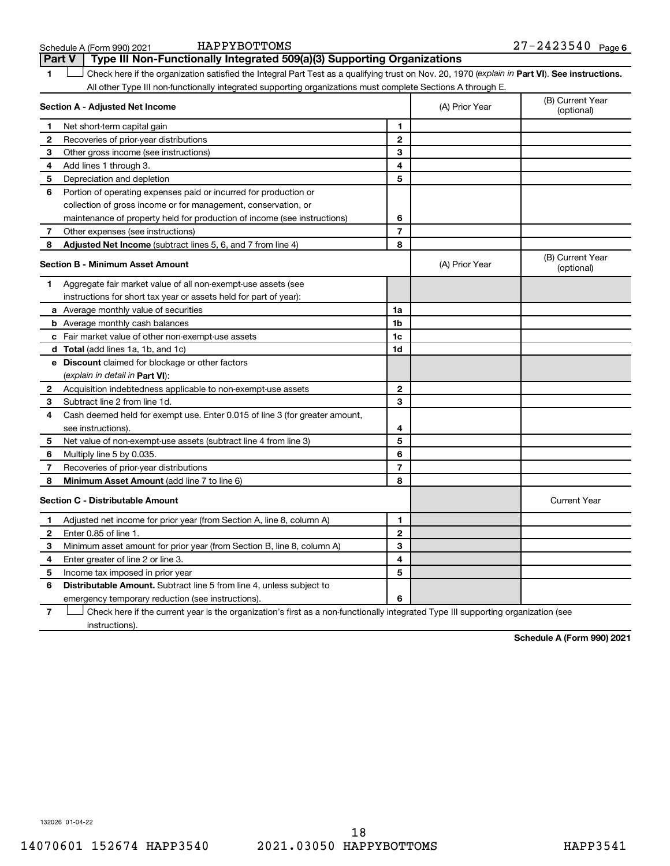|                | HAPPYBOTTOMS<br>Schedule A (Form 990) 2021                                                                                                     |                |                | $27 - 2423540$ Page 6          |
|----------------|------------------------------------------------------------------------------------------------------------------------------------------------|----------------|----------------|--------------------------------|
|                | Type III Non-Functionally Integrated 509(a)(3) Supporting Organizations<br><b>Part V</b>                                                       |                |                |                                |
| 1              | Check here if the organization satisfied the Integral Part Test as a qualifying trust on Nov. 20, 1970 (explain in Part VI). See instructions. |                |                |                                |
|                | All other Type III non-functionally integrated supporting organizations must complete Sections A through E.                                    |                |                |                                |
|                | Section A - Adjusted Net Income                                                                                                                |                | (A) Prior Year | (B) Current Year<br>(optional) |
| 1              | Net short-term capital gain                                                                                                                    | 1              |                |                                |
| 2              | Recoveries of prior-year distributions                                                                                                         | 2              |                |                                |
| 3              | Other gross income (see instructions)                                                                                                          | 3              |                |                                |
| 4              | Add lines 1 through 3.                                                                                                                         | 4              |                |                                |
| 5              | Depreciation and depletion                                                                                                                     | 5              |                |                                |
| 6              | Portion of operating expenses paid or incurred for production or                                                                               |                |                |                                |
|                | collection of gross income or for management, conservation, or                                                                                 |                |                |                                |
|                | maintenance of property held for production of income (see instructions)                                                                       | 6              |                |                                |
| $7\phantom{.}$ | Other expenses (see instructions)                                                                                                              | $\overline{7}$ |                |                                |
| 8              | Adjusted Net Income (subtract lines 5, 6, and 7 from line 4)                                                                                   | 8              |                |                                |
|                | <b>Section B - Minimum Asset Amount</b>                                                                                                        |                | (A) Prior Year | (B) Current Year<br>(optional) |
| 1              | Aggregate fair market value of all non-exempt-use assets (see                                                                                  |                |                |                                |
|                | instructions for short tax year or assets held for part of year):                                                                              |                |                |                                |
|                | a Average monthly value of securities                                                                                                          | 1a             |                |                                |
|                | <b>b</b> Average monthly cash balances                                                                                                         | 1b             |                |                                |
|                | c Fair market value of other non-exempt-use assets                                                                                             | 1c             |                |                                |
|                | d Total (add lines 1a, 1b, and 1c)                                                                                                             | 1d             |                |                                |
|                | e Discount claimed for blockage or other factors                                                                                               |                |                |                                |
|                | (explain in detail in Part VI):                                                                                                                |                |                |                                |
|                | 2 Acquisition indebtedness applicable to non-exempt-use assets                                                                                 | 2              |                |                                |
| З              | Subtract line 2 from line 1d.                                                                                                                  | 3              |                |                                |
| 4              | Cash deemed held for exempt use. Enter 0.015 of line 3 (for greater amount,                                                                    |                |                |                                |
|                | see instructions).                                                                                                                             | 4              |                |                                |
| 5              | Net value of non-exempt-use assets (subtract line 4 from line 3)                                                                               | 5              |                |                                |
| 6              | Multiply line 5 by 0.035.                                                                                                                      | 6              |                |                                |
| 7              | Recoveries of prior-year distributions                                                                                                         | $\overline{7}$ |                |                                |
| 8              | Minimum Asset Amount (add line 7 to line 6)                                                                                                    | 8              |                |                                |
|                | <b>Section C - Distributable Amount</b>                                                                                                        |                |                | <b>Current Year</b>            |
| 1.             | Adjusted net income for prior year (from Section A, line 8, column A)                                                                          | 1              |                |                                |
| 2              | Enter 0.85 of line 1.                                                                                                                          | 2              |                |                                |
| З              | Minimum asset amount for prior year (from Section B, line 8, column A)                                                                         | 3              |                |                                |
| 4              | Enter greater of line 2 or line 3.                                                                                                             | 4              |                |                                |
| 5              | Income tax imposed in prior year                                                                                                               | 5              |                |                                |
| 6              | Distributable Amount. Subtract line 5 from line 4, unless subject to                                                                           |                |                |                                |
|                | emergency temporary reduction (see instructions).                                                                                              | 6              |                |                                |
| $\overline{7}$ | Check here if the current year is the organization's first as a non-functionally integrated Type III supporting organization (see              |                |                |                                |

**Schedule A (Form 990) 2021**

132026 01-04-22

instructions).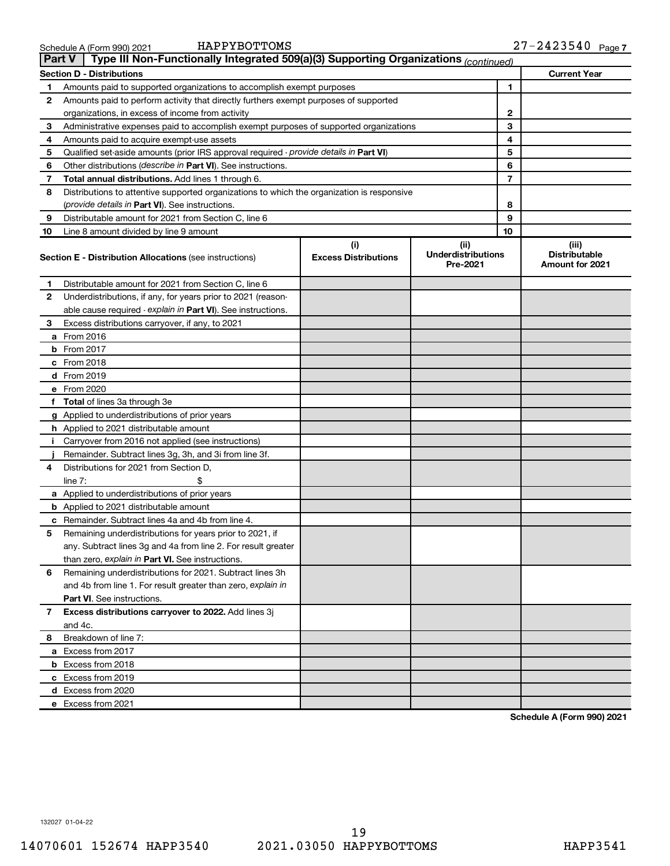| <b>Part V</b>                                           | Type III Non-Functionally Integrated 509(a)(3) Supporting Organizations (continued)        |                             |                                       |                |                                                |  |  |  |  |
|---------------------------------------------------------|--------------------------------------------------------------------------------------------|-----------------------------|---------------------------------------|----------------|------------------------------------------------|--|--|--|--|
| <b>Section D - Distributions</b><br><b>Current Year</b> |                                                                                            |                             |                                       |                |                                                |  |  |  |  |
| 1.                                                      | 1<br>Amounts paid to supported organizations to accomplish exempt purposes                 |                             |                                       |                |                                                |  |  |  |  |
| 2                                                       | Amounts paid to perform activity that directly furthers exempt purposes of supported       |                             |                                       |                |                                                |  |  |  |  |
|                                                         | organizations, in excess of income from activity                                           |                             |                                       | 2              |                                                |  |  |  |  |
| 3                                                       | Administrative expenses paid to accomplish exempt purposes of supported organizations      |                             |                                       | 3              |                                                |  |  |  |  |
| 4                                                       | Amounts paid to acquire exempt-use assets                                                  |                             |                                       | 4              |                                                |  |  |  |  |
| 5                                                       | Qualified set-aside amounts (prior IRS approval required - provide details in Part VI)     |                             |                                       | 5              |                                                |  |  |  |  |
| 6                                                       | Other distributions ( <i>describe in Part VI</i> ). See instructions.                      |                             |                                       | 6              |                                                |  |  |  |  |
| 7                                                       | Total annual distributions. Add lines 1 through 6.                                         |                             |                                       | $\overline{7}$ |                                                |  |  |  |  |
| 8                                                       | Distributions to attentive supported organizations to which the organization is responsive |                             |                                       |                |                                                |  |  |  |  |
|                                                         | ( <i>provide details in Part VI</i> ). See instructions.                                   |                             |                                       | 8              |                                                |  |  |  |  |
| 9                                                       | Distributable amount for 2021 from Section C, line 6                                       |                             |                                       | 9              |                                                |  |  |  |  |
| 10                                                      | Line 8 amount divided by line 9 amount                                                     |                             |                                       | 10             |                                                |  |  |  |  |
|                                                         |                                                                                            | (i)                         | (ii)                                  |                | (iii)                                          |  |  |  |  |
|                                                         | <b>Section E - Distribution Allocations (see instructions)</b>                             | <b>Excess Distributions</b> | <b>Underdistributions</b><br>Pre-2021 |                | <b>Distributable</b><br><b>Amount for 2021</b> |  |  |  |  |
| 1                                                       | Distributable amount for 2021 from Section C, line 6                                       |                             |                                       |                |                                                |  |  |  |  |
| 2                                                       | Underdistributions, if any, for years prior to 2021 (reason-                               |                             |                                       |                |                                                |  |  |  |  |
|                                                         | able cause required - explain in Part VI). See instructions.                               |                             |                                       |                |                                                |  |  |  |  |
| З                                                       | Excess distributions carryover, if any, to 2021                                            |                             |                                       |                |                                                |  |  |  |  |
|                                                         | <b>a</b> From 2016                                                                         |                             |                                       |                |                                                |  |  |  |  |
|                                                         | <b>b</b> From 2017                                                                         |                             |                                       |                |                                                |  |  |  |  |
|                                                         | $c$ From 2018                                                                              |                             |                                       |                |                                                |  |  |  |  |
|                                                         | d From 2019                                                                                |                             |                                       |                |                                                |  |  |  |  |
|                                                         | e From 2020                                                                                |                             |                                       |                |                                                |  |  |  |  |
|                                                         | f Total of lines 3a through 3e                                                             |                             |                                       |                |                                                |  |  |  |  |
|                                                         | g Applied to underdistributions of prior years                                             |                             |                                       |                |                                                |  |  |  |  |
|                                                         | <b>h</b> Applied to 2021 distributable amount                                              |                             |                                       |                |                                                |  |  |  |  |
| Ť.                                                      | Carryover from 2016 not applied (see instructions)                                         |                             |                                       |                |                                                |  |  |  |  |
|                                                         | Remainder. Subtract lines 3g, 3h, and 3i from line 3f.                                     |                             |                                       |                |                                                |  |  |  |  |
| 4                                                       | Distributions for 2021 from Section D,                                                     |                             |                                       |                |                                                |  |  |  |  |
|                                                         | line $7:$                                                                                  |                             |                                       |                |                                                |  |  |  |  |
|                                                         | a Applied to underdistributions of prior years                                             |                             |                                       |                |                                                |  |  |  |  |
|                                                         | <b>b</b> Applied to 2021 distributable amount                                              |                             |                                       |                |                                                |  |  |  |  |
|                                                         | <b>c</b> Remainder. Subtract lines 4a and 4b from line 4.                                  |                             |                                       |                |                                                |  |  |  |  |
| 5                                                       | Remaining underdistributions for years prior to 2021, if                                   |                             |                                       |                |                                                |  |  |  |  |
|                                                         | any. Subtract lines 3g and 4a from line 2. For result greater                              |                             |                                       |                |                                                |  |  |  |  |
|                                                         | than zero, explain in Part VI. See instructions.                                           |                             |                                       |                |                                                |  |  |  |  |
| 6                                                       | Remaining underdistributions for 2021. Subtract lines 3h                                   |                             |                                       |                |                                                |  |  |  |  |
|                                                         | and 4b from line 1. For result greater than zero, explain in                               |                             |                                       |                |                                                |  |  |  |  |
|                                                         | <b>Part VI.</b> See instructions.                                                          |                             |                                       |                |                                                |  |  |  |  |
| $\mathbf{7}$                                            | Excess distributions carryover to 2022. Add lines 3j                                       |                             |                                       |                |                                                |  |  |  |  |
|                                                         | and 4c.                                                                                    |                             |                                       |                |                                                |  |  |  |  |
| 8                                                       | Breakdown of line 7:                                                                       |                             |                                       |                |                                                |  |  |  |  |
|                                                         | a Excess from 2017                                                                         |                             |                                       |                |                                                |  |  |  |  |
|                                                         | <b>b</b> Excess from 2018                                                                  |                             |                                       |                |                                                |  |  |  |  |
|                                                         | c Excess from 2019                                                                         |                             |                                       |                |                                                |  |  |  |  |
|                                                         | d Excess from 2020                                                                         |                             |                                       |                |                                                |  |  |  |  |
|                                                         | e Excess from 2021                                                                         |                             |                                       |                |                                                |  |  |  |  |

**Schedule A (Form 990) 2021**

132027 01-04-22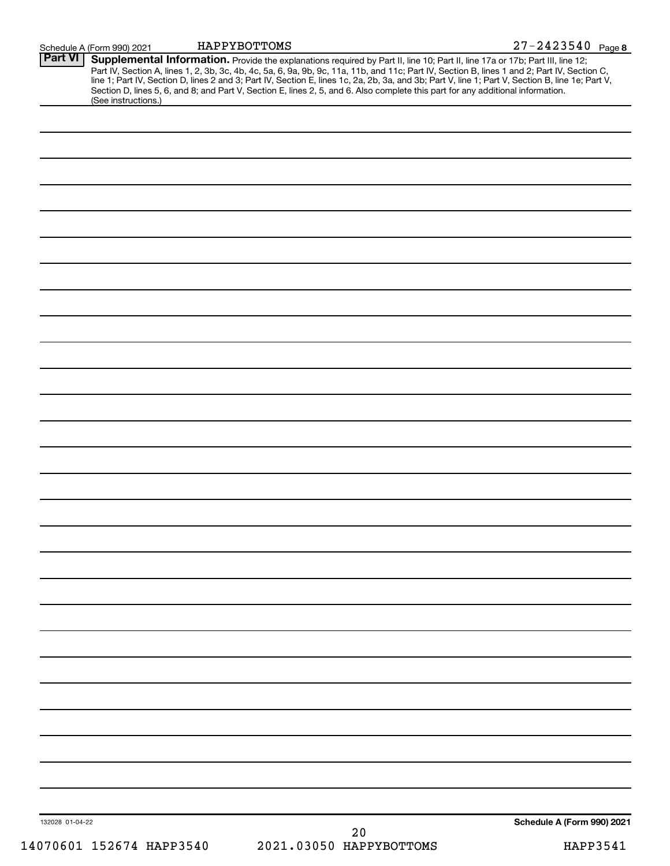|                 | Schedule A (Form 990) 2021 | HAPPYBOTTOMS |                                                                                                                                                                                                                                                                                                                                                                                                                                                                                                                                                                      | $27 - 2423540$ Page 8      |  |
|-----------------|----------------------------|--------------|----------------------------------------------------------------------------------------------------------------------------------------------------------------------------------------------------------------------------------------------------------------------------------------------------------------------------------------------------------------------------------------------------------------------------------------------------------------------------------------------------------------------------------------------------------------------|----------------------------|--|
| <b>Part VI</b>  | (See instructions.)        |              | Supplemental Information. Provide the explanations required by Part II, line 10; Part II, line 17a or 17b; Part III, line 12;<br>Part IV, Section A, lines 1, 2, 3b, 3c, 4b, 4c, 5a, 6, 9a, 9b, 9c, 11a, 11b, and 11c; Part IV, Section B, lines 1 and 2; Part IV, Section C,<br>line 1; Part IV, Section D, lines 2 and 3; Part IV, Section E, lines 1c, 2a, 2b, 3a, and 3b; Part V, line 1; Part V, Section B, line 1e; Part V,<br>Section D, lines 5, 6, and 8; and Part V, Section E, lines 2, 5, and 6. Also complete this part for any additional information. |                            |  |
|                 |                            |              |                                                                                                                                                                                                                                                                                                                                                                                                                                                                                                                                                                      |                            |  |
|                 |                            |              |                                                                                                                                                                                                                                                                                                                                                                                                                                                                                                                                                                      |                            |  |
|                 |                            |              |                                                                                                                                                                                                                                                                                                                                                                                                                                                                                                                                                                      |                            |  |
|                 |                            |              |                                                                                                                                                                                                                                                                                                                                                                                                                                                                                                                                                                      |                            |  |
|                 |                            |              |                                                                                                                                                                                                                                                                                                                                                                                                                                                                                                                                                                      |                            |  |
|                 |                            |              |                                                                                                                                                                                                                                                                                                                                                                                                                                                                                                                                                                      |                            |  |
|                 |                            |              |                                                                                                                                                                                                                                                                                                                                                                                                                                                                                                                                                                      |                            |  |
|                 |                            |              |                                                                                                                                                                                                                                                                                                                                                                                                                                                                                                                                                                      |                            |  |
|                 |                            |              |                                                                                                                                                                                                                                                                                                                                                                                                                                                                                                                                                                      |                            |  |
|                 |                            |              |                                                                                                                                                                                                                                                                                                                                                                                                                                                                                                                                                                      |                            |  |
|                 |                            |              |                                                                                                                                                                                                                                                                                                                                                                                                                                                                                                                                                                      |                            |  |
|                 |                            |              |                                                                                                                                                                                                                                                                                                                                                                                                                                                                                                                                                                      |                            |  |
|                 |                            |              |                                                                                                                                                                                                                                                                                                                                                                                                                                                                                                                                                                      |                            |  |
|                 |                            |              |                                                                                                                                                                                                                                                                                                                                                                                                                                                                                                                                                                      |                            |  |
|                 |                            |              |                                                                                                                                                                                                                                                                                                                                                                                                                                                                                                                                                                      |                            |  |
|                 |                            |              |                                                                                                                                                                                                                                                                                                                                                                                                                                                                                                                                                                      |                            |  |
|                 |                            |              |                                                                                                                                                                                                                                                                                                                                                                                                                                                                                                                                                                      |                            |  |
|                 |                            |              |                                                                                                                                                                                                                                                                                                                                                                                                                                                                                                                                                                      |                            |  |
|                 |                            |              |                                                                                                                                                                                                                                                                                                                                                                                                                                                                                                                                                                      |                            |  |
|                 |                            |              |                                                                                                                                                                                                                                                                                                                                                                                                                                                                                                                                                                      |                            |  |
|                 |                            |              |                                                                                                                                                                                                                                                                                                                                                                                                                                                                                                                                                                      |                            |  |
|                 |                            |              |                                                                                                                                                                                                                                                                                                                                                                                                                                                                                                                                                                      |                            |  |
|                 |                            |              |                                                                                                                                                                                                                                                                                                                                                                                                                                                                                                                                                                      |                            |  |
|                 |                            |              |                                                                                                                                                                                                                                                                                                                                                                                                                                                                                                                                                                      |                            |  |
|                 |                            |              |                                                                                                                                                                                                                                                                                                                                                                                                                                                                                                                                                                      |                            |  |
|                 |                            |              |                                                                                                                                                                                                                                                                                                                                                                                                                                                                                                                                                                      |                            |  |
|                 |                            |              |                                                                                                                                                                                                                                                                                                                                                                                                                                                                                                                                                                      |                            |  |
|                 |                            |              |                                                                                                                                                                                                                                                                                                                                                                                                                                                                                                                                                                      |                            |  |
|                 |                            |              |                                                                                                                                                                                                                                                                                                                                                                                                                                                                                                                                                                      |                            |  |
|                 |                            |              |                                                                                                                                                                                                                                                                                                                                                                                                                                                                                                                                                                      |                            |  |
|                 |                            |              |                                                                                                                                                                                                                                                                                                                                                                                                                                                                                                                                                                      |                            |  |
| 132028 01-04-22 |                            |              |                                                                                                                                                                                                                                                                                                                                                                                                                                                                                                                                                                      | Schedule A (Form 990) 2021 |  |
|                 | 14070601 152674 HAPP3540   |              | 20<br>2021.03050 HAPPYBOTTOMS                                                                                                                                                                                                                                                                                                                                                                                                                                                                                                                                        | <b>HAPP3541</b>            |  |
|                 |                            |              |                                                                                                                                                                                                                                                                                                                                                                                                                                                                                                                                                                      |                            |  |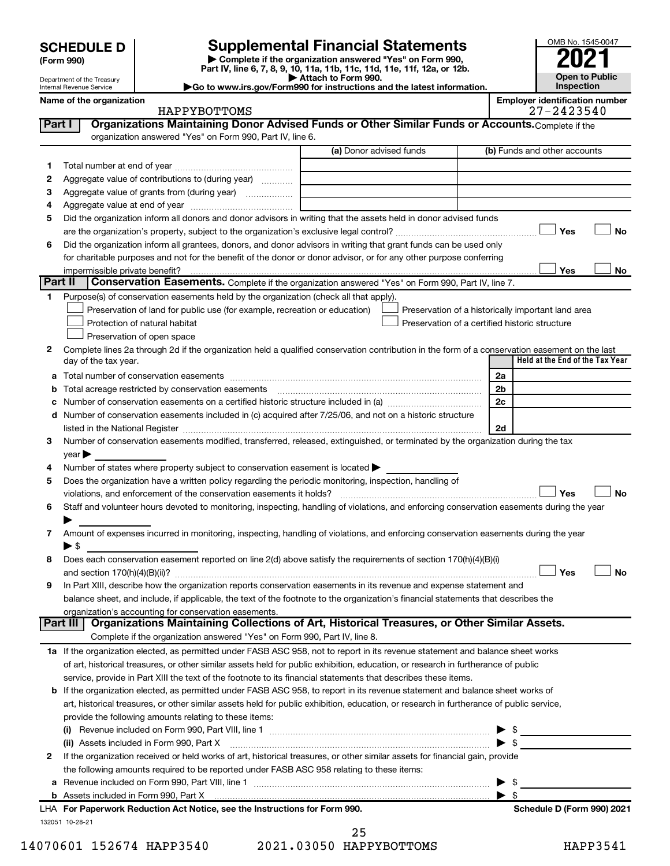Department of the Treasury Internal Revenue Service

**(Form 990)**

**| Complete if the organization answered "Yes" on Form 990, Part IV, line 6, 7, 8, 9, 10, 11a, 11b, 11c, 11d, 11e, 11f, 12a, or 12b. SCHEDULE D Supplemental Financial Statements**<br> **Form 990 Example 5 2021**<br>
Part IV. line 6, 7, 8, 9, 10, 11a, 11b, 11c, 11d, 11e, 11f, 12a, or 12b.

**| Attach to Form 990.**



**|Go to www.irs.gov/Form990 for instructions and the latest information. Name of the organization** 

|         | ivallie of the organization<br>HAPPYBOTTOMS                                                                                                                                                                                   |                         | Employer luentincation number<br>27-2423540        |
|---------|-------------------------------------------------------------------------------------------------------------------------------------------------------------------------------------------------------------------------------|-------------------------|----------------------------------------------------|
| Part I  | Organizations Maintaining Donor Advised Funds or Other Similar Funds or Accounts. Complete if the                                                                                                                             |                         |                                                    |
|         | organization answered "Yes" on Form 990, Part IV, line 6.                                                                                                                                                                     |                         |                                                    |
|         |                                                                                                                                                                                                                               | (a) Donor advised funds | (b) Funds and other accounts                       |
| 1       |                                                                                                                                                                                                                               |                         |                                                    |
| 2       | Aggregate value of contributions to (during year)                                                                                                                                                                             |                         |                                                    |
| 3       | Aggregate value of grants from (during year)                                                                                                                                                                                  |                         |                                                    |
| 4       |                                                                                                                                                                                                                               |                         |                                                    |
| 5       | Did the organization inform all donors and donor advisors in writing that the assets held in donor advised funds                                                                                                              |                         |                                                    |
|         |                                                                                                                                                                                                                               |                         | Yes<br>No                                          |
| 6       | Did the organization inform all grantees, donors, and donor advisors in writing that grant funds can be used only                                                                                                             |                         |                                                    |
|         | for charitable purposes and not for the benefit of the donor or donor advisor, or for any other purpose conferring                                                                                                            |                         |                                                    |
|         | impermissible private benefit?                                                                                                                                                                                                |                         | Yes<br>No                                          |
| Part II | Conservation Easements. Complete if the organization answered "Yes" on Form 990, Part IV, line 7.                                                                                                                             |                         |                                                    |
| 1       | Purpose(s) of conservation easements held by the organization (check all that apply).                                                                                                                                         |                         |                                                    |
|         | Preservation of land for public use (for example, recreation or education)                                                                                                                                                    |                         | Preservation of a historically important land area |
|         | Protection of natural habitat                                                                                                                                                                                                 |                         | Preservation of a certified historic structure     |
|         | Preservation of open space                                                                                                                                                                                                    |                         |                                                    |
| 2       | Complete lines 2a through 2d if the organization held a qualified conservation contribution in the form of a conservation easement on the last                                                                                |                         |                                                    |
|         | day of the tax year.                                                                                                                                                                                                          |                         | Held at the End of the Tax Year                    |
|         |                                                                                                                                                                                                                               |                         | 2a                                                 |
|         | <b>b</b> Total acreage restricted by conservation easements                                                                                                                                                                   |                         | 2 <sub>b</sub>                                     |
|         |                                                                                                                                                                                                                               |                         | 2c                                                 |
|         | d Number of conservation easements included in (c) acquired after 7/25/06, and not on a historic structure                                                                                                                    |                         |                                                    |
|         | listed in the National Register [111] Marshall Register [11] Marshall Register [11] Marshall Register [11] Marshall Register [11] Marshall Register [11] Marshall Register [11] Marshall Register [11] Marshall Register [11] |                         | 2d                                                 |
| 3       | Number of conservation easements modified, transferred, released, extinguished, or terminated by the organization during the tax                                                                                              |                         |                                                    |
|         | year                                                                                                                                                                                                                          |                         |                                                    |
| 4       | Number of states where property subject to conservation easement is located >                                                                                                                                                 |                         |                                                    |
| 5       | Does the organization have a written policy regarding the periodic monitoring, inspection, handling of                                                                                                                        |                         |                                                    |
|         | violations, and enforcement of the conservation easements it holds?                                                                                                                                                           |                         | Yes<br>No                                          |
| 6       | Staff and volunteer hours devoted to monitoring, inspecting, handling of violations, and enforcing conservation easements during the year                                                                                     |                         |                                                    |
|         |                                                                                                                                                                                                                               |                         |                                                    |
|         | Amount of expenses incurred in monitoring, inspecting, handling of violations, and enforcing conservation easements during the year                                                                                           |                         |                                                    |
|         | $\blacktriangleright$ \$                                                                                                                                                                                                      |                         |                                                    |
| 8       | Does each conservation easement reported on line 2(d) above satisfy the requirements of section 170(h)(4)(B)(i)                                                                                                               |                         |                                                    |
|         |                                                                                                                                                                                                                               |                         | Yes<br>No                                          |
| 9       | In Part XIII, describe how the organization reports conservation easements in its revenue and expense statement and                                                                                                           |                         |                                                    |
|         | balance sheet, and include, if applicable, the text of the footnote to the organization's financial statements that describes the                                                                                             |                         |                                                    |
|         | organization's accounting for conservation easements.                                                                                                                                                                         |                         |                                                    |
|         | Part III   Organizations Maintaining Collections of Art, Historical Treasures, or Other Similar Assets.                                                                                                                       |                         |                                                    |
|         | Complete if the organization answered "Yes" on Form 990, Part IV, line 8.                                                                                                                                                     |                         |                                                    |
|         | 1a If the organization elected, as permitted under FASB ASC 958, not to report in its revenue statement and balance sheet works                                                                                               |                         |                                                    |
|         | of art, historical treasures, or other similar assets held for public exhibition, education, or research in furtherance of public                                                                                             |                         |                                                    |
|         | service, provide in Part XIII the text of the footnote to its financial statements that describes these items.                                                                                                                |                         |                                                    |
|         | <b>b</b> If the organization elected, as permitted under FASB ASC 958, to report in its revenue statement and balance sheet works of                                                                                          |                         |                                                    |
|         | art, historical treasures, or other similar assets held for public exhibition, education, or research in furtherance of public service,                                                                                       |                         |                                                    |
|         | provide the following amounts relating to these items:                                                                                                                                                                        |                         |                                                    |
|         |                                                                                                                                                                                                                               |                         | $\triangleright$ \$                                |
|         | (ii) Assets included in Form 990, Part X [11] [2000] [2010] Assets included in Form 990, Part X [11] [11] [200                                                                                                                |                         |                                                    |
| 2       | If the organization received or held works of art, historical treasures, or other similar assets for financial gain, provide                                                                                                  |                         |                                                    |
|         | the following amounts required to be reported under FASB ASC 958 relating to these items:                                                                                                                                     |                         |                                                    |
|         |                                                                                                                                                                                                                               |                         | $\blacktriangleright$ \$                           |
|         |                                                                                                                                                                                                                               |                         |                                                    |
|         | LHA For Paperwork Reduction Act Notice, see the Instructions for Form 990.                                                                                                                                                    |                         | Schedule D (Form 990) 2021                         |
|         | 132051 10-28-21                                                                                                                                                                                                               |                         |                                                    |
|         |                                                                                                                                                                                                                               |                         |                                                    |

14070601 152674 HAPP3540 2021.03050 HAPPYBOTTOMS HAPP3541 25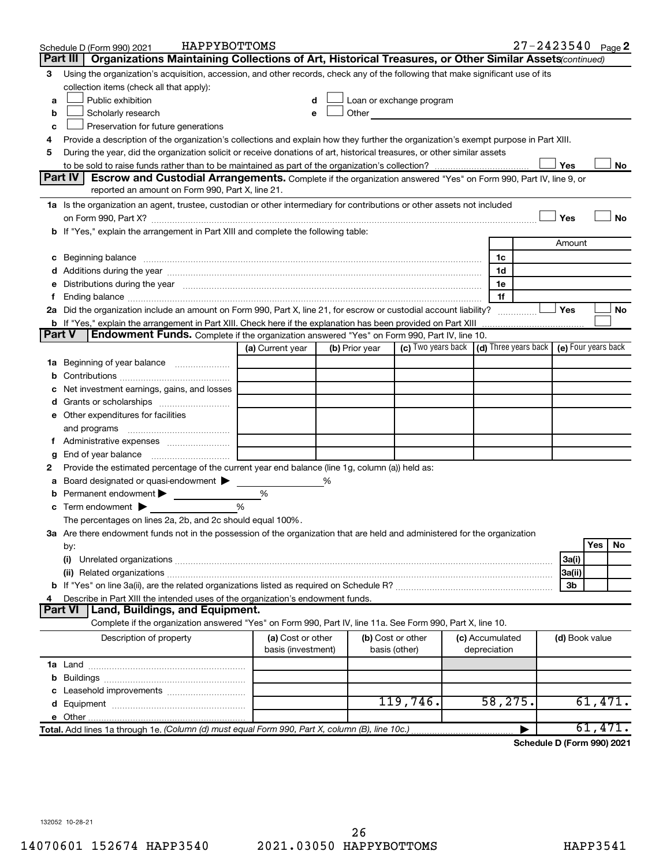|        | HAPPYBOTTOMS<br>Schedule D (Form 990) 2021                                                                                                                                                                                                          |                                         |   |                |                                                                             |  |                                 | $27 - 2423540$ Page 2 |                |         |    |
|--------|-----------------------------------------------------------------------------------------------------------------------------------------------------------------------------------------------------------------------------------------------------|-----------------------------------------|---|----------------|-----------------------------------------------------------------------------|--|---------------------------------|-----------------------|----------------|---------|----|
|        | Organizations Maintaining Collections of Art, Historical Treasures, or Other Similar Assets (continued)<br>Part III                                                                                                                                 |                                         |   |                |                                                                             |  |                                 |                       |                |         |    |
| 3      | Using the organization's acquisition, accession, and other records, check any of the following that make significant use of its                                                                                                                     |                                         |   |                |                                                                             |  |                                 |                       |                |         |    |
|        | collection items (check all that apply):                                                                                                                                                                                                            |                                         |   |                |                                                                             |  |                                 |                       |                |         |    |
| a      | Public exhibition                                                                                                                                                                                                                                   |                                         |   |                | Loan or exchange program                                                    |  |                                 |                       |                |         |    |
| b      | Other and the contract of the contract of the contract of the contract of the contract of the contract of the contract of the contract of the contract of the contract of the contract of the contract of the contract of the<br>Scholarly research |                                         |   |                |                                                                             |  |                                 |                       |                |         |    |
| c      | Preservation for future generations                                                                                                                                                                                                                 |                                         |   |                |                                                                             |  |                                 |                       |                |         |    |
| 4      | Provide a description of the organization's collections and explain how they further the organization's exempt purpose in Part XIII.                                                                                                                |                                         |   |                |                                                                             |  |                                 |                       |                |         |    |
| 5      | During the year, did the organization solicit or receive donations of art, historical treasures, or other similar assets                                                                                                                            |                                         |   |                |                                                                             |  |                                 |                       |                |         |    |
|        | Part IV                                                                                                                                                                                                                                             |                                         |   |                |                                                                             |  |                                 |                       | Yes            |         | No |
|        | <b>Escrow and Custodial Arrangements.</b> Complete if the organization answered "Yes" on Form 990, Part IV, line 9, or<br>reported an amount on Form 990, Part X, line 21.                                                                          |                                         |   |                |                                                                             |  |                                 |                       |                |         |    |
|        | 1a Is the organization an agent, trustee, custodian or other intermediary for contributions or other assets not included                                                                                                                            |                                         |   |                |                                                                             |  |                                 |                       |                |         |    |
|        |                                                                                                                                                                                                                                                     |                                         |   |                |                                                                             |  |                                 |                       | Yes            |         | No |
|        | on Form 990, Part X? [[[[[[[[[[[[[[[[[[[]]]]]]]]]]]] on Form 990, Part X?<br>b If "Yes," explain the arrangement in Part XIII and complete the following table:                                                                                     |                                         |   |                |                                                                             |  |                                 |                       |                |         |    |
|        |                                                                                                                                                                                                                                                     |                                         |   |                |                                                                             |  |                                 |                       | Amount         |         |    |
|        |                                                                                                                                                                                                                                                     |                                         |   |                |                                                                             |  | 1c                              |                       |                |         |    |
|        |                                                                                                                                                                                                                                                     |                                         |   |                |                                                                             |  | 1d                              |                       |                |         |    |
|        | e Distributions during the year manufactured and contained and contained and contained and contained and contained and contained and contained and contained and contained and contained and contained and contained and conta                      |                                         |   |                |                                                                             |  | 1е                              |                       |                |         |    |
| Ť.     |                                                                                                                                                                                                                                                     |                                         |   |                |                                                                             |  | 1f                              |                       |                |         |    |
|        | 2a Did the organization include an amount on Form 990, Part X, line 21, for escrow or custodial account liability?                                                                                                                                  |                                         |   |                |                                                                             |  |                                 |                       | Yes            |         | No |
|        |                                                                                                                                                                                                                                                     |                                         |   |                |                                                                             |  |                                 |                       |                |         |    |
| Part V | Endowment Funds. Complete if the organization answered "Yes" on Form 990, Part IV, line 10.                                                                                                                                                         |                                         |   |                |                                                                             |  |                                 |                       |                |         |    |
|        |                                                                                                                                                                                                                                                     | (a) Current year                        |   | (b) Prior year | (c) Two years back $\vert$ (d) Three years back $\vert$ (e) Four years back |  |                                 |                       |                |         |    |
|        | 1a Beginning of year balance                                                                                                                                                                                                                        |                                         |   |                |                                                                             |  |                                 |                       |                |         |    |
| b      |                                                                                                                                                                                                                                                     |                                         |   |                |                                                                             |  |                                 |                       |                |         |    |
|        | Net investment earnings, gains, and losses                                                                                                                                                                                                          |                                         |   |                |                                                                             |  |                                 |                       |                |         |    |
| d      | Grants or scholarships                                                                                                                                                                                                                              |                                         |   |                |                                                                             |  |                                 |                       |                |         |    |
|        | e Other expenditures for facilities                                                                                                                                                                                                                 |                                         |   |                |                                                                             |  |                                 |                       |                |         |    |
|        | and programs                                                                                                                                                                                                                                        |                                         |   |                |                                                                             |  |                                 |                       |                |         |    |
|        |                                                                                                                                                                                                                                                     |                                         |   |                |                                                                             |  |                                 |                       |                |         |    |
| g      |                                                                                                                                                                                                                                                     |                                         |   |                |                                                                             |  |                                 |                       |                |         |    |
| 2      | Provide the estimated percentage of the current year end balance (line 1g, column (a)) held as:                                                                                                                                                     |                                         |   |                |                                                                             |  |                                 |                       |                |         |    |
| а      | Board designated or quasi-endowment                                                                                                                                                                                                                 |                                         | % |                |                                                                             |  |                                 |                       |                |         |    |
| b      | Permanent endowment                                                                                                                                                                                                                                 | %                                       |   |                |                                                                             |  |                                 |                       |                |         |    |
|        | $\mathbf c$ Term endowment $\blacktriangleright$                                                                                                                                                                                                    | %                                       |   |                |                                                                             |  |                                 |                       |                |         |    |
|        | The percentages on lines 2a, 2b, and 2c should equal 100%.                                                                                                                                                                                          |                                         |   |                |                                                                             |  |                                 |                       |                |         |    |
|        | 3a Are there endowment funds not in the possession of the organization that are held and administered for the organization                                                                                                                          |                                         |   |                |                                                                             |  |                                 |                       |                | Yes     | No |
|        | by:                                                                                                                                                                                                                                                 |                                         |   |                |                                                                             |  |                                 |                       |                |         |    |
|        | (i)                                                                                                                                                                                                                                                 |                                         |   |                |                                                                             |  |                                 |                       | 3a(i)          |         |    |
|        | (ii) Related organizations [11] Related organizations [11] Maximum material contract to the contract of the contract of the contract of the contract of the contract of the contract of the contract of the contract of the co                      |                                         |   |                |                                                                             |  |                                 |                       | 3a(ii)<br>3b   |         |    |
| 4      | Describe in Part XIII the intended uses of the organization's endowment funds.                                                                                                                                                                      |                                         |   |                |                                                                             |  |                                 |                       |                |         |    |
|        | Land, Buildings, and Equipment.<br><b>Part VI</b>                                                                                                                                                                                                   |                                         |   |                |                                                                             |  |                                 |                       |                |         |    |
|        | Complete if the organization answered "Yes" on Form 990, Part IV, line 11a. See Form 990, Part X, line 10.                                                                                                                                          |                                         |   |                |                                                                             |  |                                 |                       |                |         |    |
|        | Description of property                                                                                                                                                                                                                             | (a) Cost or other<br>basis (investment) |   |                | (b) Cost or other<br>basis (other)                                          |  | (c) Accumulated<br>depreciation |                       | (d) Book value |         |    |
|        |                                                                                                                                                                                                                                                     |                                         |   |                |                                                                             |  |                                 |                       |                |         |    |
|        |                                                                                                                                                                                                                                                     |                                         |   |                |                                                                             |  |                                 |                       |                |         |    |
|        |                                                                                                                                                                                                                                                     |                                         |   |                |                                                                             |  |                                 |                       |                |         |    |
|        |                                                                                                                                                                                                                                                     |                                         |   |                | 119,746.                                                                    |  | 58, 275.                        |                       |                | 61,471. |    |
|        |                                                                                                                                                                                                                                                     |                                         |   |                |                                                                             |  |                                 |                       |                |         |    |
|        | Total. Add lines 1a through 1e. (Column (d) must equal Form 990, Part X, column (B), line 10c.)                                                                                                                                                     |                                         |   |                |                                                                             |  |                                 |                       |                | 61,471. |    |
|        |                                                                                                                                                                                                                                                     |                                         |   |                |                                                                             |  |                                 |                       |                |         |    |

**Schedule D (Form 990) 2021**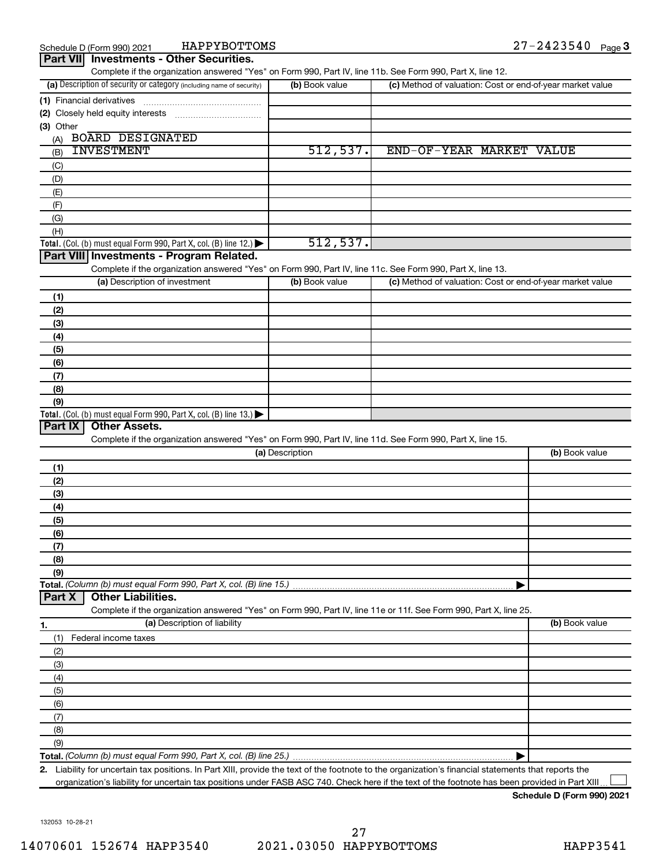| Part VII Investments - Other Securities.                                                                                                             |                 |                                                           | . ugo –        |
|------------------------------------------------------------------------------------------------------------------------------------------------------|-----------------|-----------------------------------------------------------|----------------|
| Complete if the organization answered "Yes" on Form 990, Part IV, line 11b. See Form 990, Part X, line 12.                                           |                 |                                                           |                |
| (a) Description of security or category (including name of security)                                                                                 | (b) Book value  | (c) Method of valuation: Cost or end-of-year market value |                |
| (1) Financial derivatives                                                                                                                            |                 |                                                           |                |
| (2) Closely held equity interests                                                                                                                    |                 |                                                           |                |
| (3) Other                                                                                                                                            |                 |                                                           |                |
| <b>BOARD DESIGNATED</b><br>(A)<br><b>INVESTMENT</b>                                                                                                  |                 |                                                           |                |
| (B)                                                                                                                                                  | 512,537.        | END-OF-YEAR MARKET VALUE                                  |                |
| (C)                                                                                                                                                  |                 |                                                           |                |
| (D)                                                                                                                                                  |                 |                                                           |                |
| (E)                                                                                                                                                  |                 |                                                           |                |
| (F)                                                                                                                                                  |                 |                                                           |                |
| (G)<br>(H)                                                                                                                                           |                 |                                                           |                |
| Total. (Col. (b) must equal Form 990, Part X, col. (B) line 12.) $\blacktriangleright$                                                               | 512,537.        |                                                           |                |
| Part VIII Investments - Program Related.                                                                                                             |                 |                                                           |                |
| Complete if the organization answered "Yes" on Form 990, Part IV, line 11c. See Form 990, Part X, line 13.                                           |                 |                                                           |                |
| (a) Description of investment                                                                                                                        | (b) Book value  | (c) Method of valuation: Cost or end-of-year market value |                |
| (1)                                                                                                                                                  |                 |                                                           |                |
| (2)                                                                                                                                                  |                 |                                                           |                |
| (3)                                                                                                                                                  |                 |                                                           |                |
| (4)                                                                                                                                                  |                 |                                                           |                |
| (5)                                                                                                                                                  |                 |                                                           |                |
| (6)                                                                                                                                                  |                 |                                                           |                |
| (7)                                                                                                                                                  |                 |                                                           |                |
| (8)                                                                                                                                                  |                 |                                                           |                |
| (9)                                                                                                                                                  |                 |                                                           |                |
| Total. (Col. (b) must equal Form 990, Part X, col. (B) line 13.) $\blacktriangleright$                                                               |                 |                                                           |                |
| <b>Other Assets.</b><br>Part IX                                                                                                                      |                 |                                                           |                |
| Complete if the organization answered "Yes" on Form 990, Part IV, line 11d. See Form 990, Part X, line 15.                                           |                 |                                                           |                |
|                                                                                                                                                      | (a) Description |                                                           | (b) Book value |
| (1)                                                                                                                                                  |                 |                                                           |                |
| (2)                                                                                                                                                  |                 |                                                           |                |
| (3)                                                                                                                                                  |                 |                                                           |                |
| (4)                                                                                                                                                  |                 |                                                           |                |
| (5)                                                                                                                                                  |                 |                                                           |                |
| (6)                                                                                                                                                  |                 |                                                           |                |
| (7)                                                                                                                                                  |                 |                                                           |                |
| (8)                                                                                                                                                  |                 |                                                           |                |
| (9)                                                                                                                                                  |                 |                                                           |                |
| Total. (Column (b) must equal Form 990, Part X, col. (B) line 15.)<br><b>Other Liabilities.</b><br>Part X                                            |                 |                                                           |                |
| Complete if the organization answered "Yes" on Form 990, Part IV, line 11e or 11f. See Form 990, Part X, line 25.                                    |                 |                                                           |                |
| (a) Description of liability                                                                                                                         |                 |                                                           | (b) Book value |
| 1.                                                                                                                                                   |                 |                                                           |                |
| (1)<br>Federal income taxes                                                                                                                          |                 |                                                           |                |
| (2)                                                                                                                                                  |                 |                                                           |                |
| (3)                                                                                                                                                  |                 |                                                           |                |
| (4)                                                                                                                                                  |                 |                                                           |                |
| (5)                                                                                                                                                  |                 |                                                           |                |
| (6)<br>(7)                                                                                                                                           |                 |                                                           |                |
| (8)                                                                                                                                                  |                 |                                                           |                |
| (9)                                                                                                                                                  |                 |                                                           |                |
|                                                                                                                                                      |                 |                                                           |                |
| 2. Liability for uncertain tax positions. In Part XIII, provide the text of the footnote to the organization's financial statements that reports the |                 |                                                           |                |

organization's liability for uncertain tax positions under FASB ASC 740. Check here if the text of the footnote has been provided in Part XIII...

**Schedule D (Form 990) 2021**

132053 10-28-21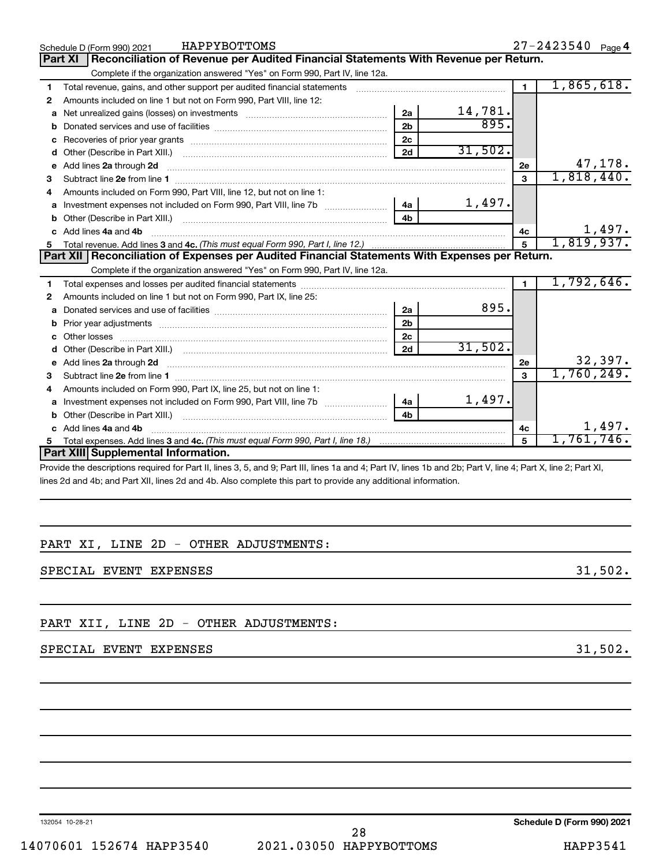|    | HAPPYBOTTOMS<br>Schedule D (Form 990) 2021                                                                                                                                                 |                |         |                | $27 - 2423540$ Page 4 |
|----|--------------------------------------------------------------------------------------------------------------------------------------------------------------------------------------------|----------------|---------|----------------|-----------------------|
|    | Reconciliation of Revenue per Audited Financial Statements With Revenue per Return.<br><b>Part XI</b>                                                                                      |                |         |                |                       |
|    | Complete if the organization answered "Yes" on Form 990, Part IV, line 12a.                                                                                                                |                |         |                |                       |
| 1  | Total revenue, gains, and other support per audited financial statements [[[[[[[[[[[[[[[[[[[[[[[[]]]]]]]]]]]]                                                                              |                |         | $\blacksquare$ | 1,865,618.            |
| 2  | Amounts included on line 1 but not on Form 990, Part VIII, line 12:                                                                                                                        |                |         |                |                       |
| a  |                                                                                                                                                                                            | 2a             | 14,781. |                |                       |
|    |                                                                                                                                                                                            | 2 <sub>b</sub> | 895.    |                |                       |
| c  |                                                                                                                                                                                            | 2 <sub>c</sub> |         |                |                       |
| d  |                                                                                                                                                                                            | 2d             | 31,502. |                |                       |
|    | e Add lines 2a through 2d                                                                                                                                                                  |                |         | 2e             | 47,178.               |
| 3  |                                                                                                                                                                                            |                |         | 3              | 1,818,440.            |
| 4  | Amounts included on Form 990, Part VIII, line 12, but not on line 1:                                                                                                                       |                |         |                |                       |
|    | Investment expenses not included on Form 990, Part VIII, line 7b [11, 111, 111, 111]                                                                                                       | 4a             | 1,497.  |                |                       |
|    |                                                                                                                                                                                            | 4b             |         |                |                       |
|    | c Add lines 4a and 4b                                                                                                                                                                      |                |         | 4с             | 1,497.                |
|    |                                                                                                                                                                                            |                |         | 5              | 1,819,937.            |
|    | Part XII   Reconciliation of Expenses per Audited Financial Statements With Expenses per Return.                                                                                           |                |         |                |                       |
|    | Complete if the organization answered "Yes" on Form 990, Part IV, line 12a.                                                                                                                |                |         |                |                       |
| 1. |                                                                                                                                                                                            |                |         |                | 1,792,646.            |
| 2  | Amounts included on line 1 but not on Form 990, Part IX, line 25:                                                                                                                          |                |         |                |                       |
| a  |                                                                                                                                                                                            | 2a             | 895.    |                |                       |
| b  |                                                                                                                                                                                            | 2 <sub>b</sub> |         |                |                       |
|    | Other losses                                                                                                                                                                               | 2 <sub>c</sub> |         |                |                       |
|    |                                                                                                                                                                                            | 2d             | 31,502. |                |                       |
|    |                                                                                                                                                                                            |                |         | 2e             | 32,397.               |
| з  |                                                                                                                                                                                            |                |         | 3              | 1,760,249.            |
| 4  | Amounts included on Form 990, Part IX, line 25, but not on line 1:                                                                                                                         |                |         |                |                       |
| a  | Investment expenses not included on Form 990, Part VIII, line 7b [100] [100] [100] [100] [100] [100] [100] [10                                                                             | 4a             | 1,497.  |                |                       |
|    |                                                                                                                                                                                            | 4 <sub>b</sub> |         |                |                       |
|    | c Add lines 4a and 4b                                                                                                                                                                      |                |         | 4c             | 1,497.                |
| 5  |                                                                                                                                                                                            |                |         | 5              | 1,761,746.            |
|    | Part XIII Supplemental Information.                                                                                                                                                        |                |         |                |                       |
|    | . Martin Joseph House of collect from Death Rose O. R. Fred O. Death House of a seal of Death Rose of Observative Collection Collection Or Death Village O. Death Village O. Death Village |                |         |                |                       |

Provide the descriptions required for Part II, lines 3, 5, and 9; Part III, lines 1a and 4; Part IV, lines 1b and 2b; Part V, line 4; Part X, line 2; Part XI, lines 2d and 4b; and Part XII, lines 2d and 4b. Also complete this part to provide any additional information.

#### PART XI, LINE 2D - OTHER ADJUSTMENTS:

SPECIAL EVENT EXPENSES 31,502.

#### PART XII, LINE 2D - OTHER ADJUSTMENTS:

#### SPECIAL EVENT EXPENSES 31,502.

132054 10-28-21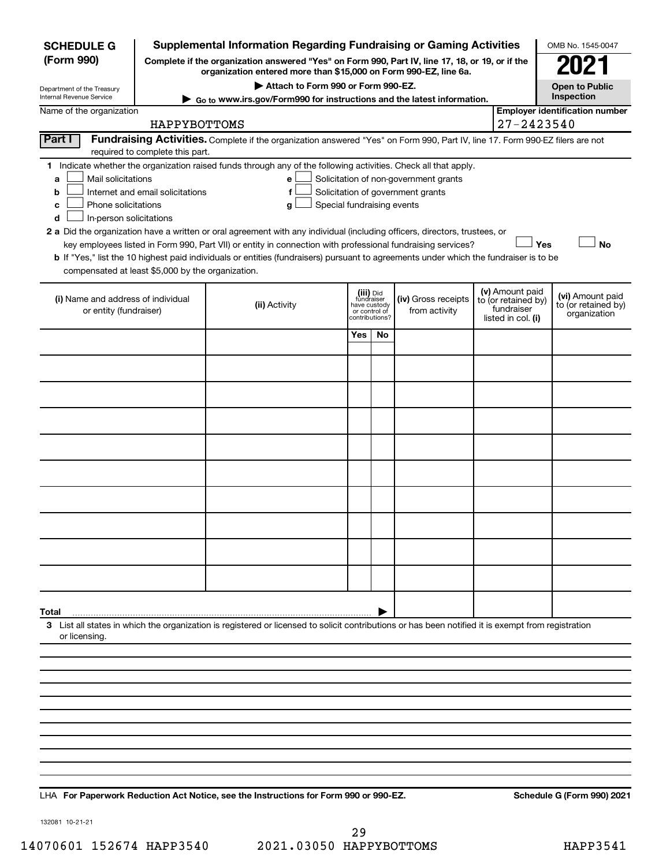| <b>SCHEDULE G</b>                                                                        |                                                                                                                                                                     | <b>Supplemental Information Regarding Fundraising or Gaming Activities</b>                                                                                                                                                                                                                 |                                         |                                 |                                                                            |  |                                                                            | OMB No. 1545-0047                                       |
|------------------------------------------------------------------------------------------|---------------------------------------------------------------------------------------------------------------------------------------------------------------------|--------------------------------------------------------------------------------------------------------------------------------------------------------------------------------------------------------------------------------------------------------------------------------------------|-----------------------------------------|---------------------------------|----------------------------------------------------------------------------|--|----------------------------------------------------------------------------|---------------------------------------------------------|
| (Form 990)                                                                               | Complete if the organization answered "Yes" on Form 990, Part IV, line 17, 18, or 19, or if the<br>organization entered more than \$15,000 on Form 990-EZ, line 6a. |                                                                                                                                                                                                                                                                                            |                                         |                                 |                                                                            |  |                                                                            |                                                         |
| Department of the Treasury                                                               | Attach to Form 990 or Form 990-EZ.                                                                                                                                  |                                                                                                                                                                                                                                                                                            |                                         |                                 |                                                                            |  |                                                                            | <b>Open to Public</b>                                   |
| Internal Revenue Service                                                                 |                                                                                                                                                                     | Go to www.irs.gov/Form990 for instructions and the latest information.                                                                                                                                                                                                                     |                                         |                                 |                                                                            |  |                                                                            | Inspection                                              |
| Name of the organization                                                                 |                                                                                                                                                                     |                                                                                                                                                                                                                                                                                            |                                         |                                 |                                                                            |  | 27-2423540                                                                 | <b>Employer identification number</b>                   |
| Part I                                                                                   | HAPPYBOTTOMS                                                                                                                                                        | Fundraising Activities. Complete if the organization answered "Yes" on Form 990, Part IV, line 17. Form 990-EZ filers are not                                                                                                                                                              |                                         |                                 |                                                                            |  |                                                                            |                                                         |
|                                                                                          | required to complete this part.                                                                                                                                     |                                                                                                                                                                                                                                                                                            |                                         |                                 |                                                                            |  |                                                                            |                                                         |
| Mail solicitations<br>a<br>b<br>Phone solicitations<br>с<br>In-person solicitations<br>d | Internet and email solicitations                                                                                                                                    | 1 Indicate whether the organization raised funds through any of the following activities. Check all that apply.<br>е<br>f<br>Special fundraising events<br>g<br>2 a Did the organization have a written or oral agreement with any individual (including officers, directors, trustees, or |                                         |                                 | Solicitation of non-government grants<br>Solicitation of government grants |  |                                                                            |                                                         |
| compensated at least \$5,000 by the organization.                                        |                                                                                                                                                                     | key employees listed in Form 990, Part VII) or entity in connection with professional fundraising services?<br>b If "Yes," list the 10 highest paid individuals or entities (fundraisers) pursuant to agreements under which the fundraiser is to be                                       |                                         |                                 |                                                                            |  | Yes                                                                        | <b>No</b>                                               |
| (i) Name and address of individual<br>or entity (fundraiser)                             |                                                                                                                                                                     | (ii) Activity                                                                                                                                                                                                                                                                              | (iii) Did<br>fundraiser<br>have custody | or control of<br>contributions? | (iv) Gross receipts<br>from activity                                       |  | (v) Amount paid<br>to (or retained by)<br>fundraiser<br>listed in col. (i) | (vi) Amount paid<br>to (or retained by)<br>organization |
|                                                                                          |                                                                                                                                                                     |                                                                                                                                                                                                                                                                                            | Yes                                     | No                              |                                                                            |  |                                                                            |                                                         |
|                                                                                          |                                                                                                                                                                     |                                                                                                                                                                                                                                                                                            |                                         |                                 |                                                                            |  |                                                                            |                                                         |
|                                                                                          |                                                                                                                                                                     |                                                                                                                                                                                                                                                                                            |                                         |                                 |                                                                            |  |                                                                            |                                                         |
|                                                                                          |                                                                                                                                                                     |                                                                                                                                                                                                                                                                                            |                                         |                                 |                                                                            |  |                                                                            |                                                         |
|                                                                                          |                                                                                                                                                                     |                                                                                                                                                                                                                                                                                            |                                         |                                 |                                                                            |  |                                                                            |                                                         |
|                                                                                          |                                                                                                                                                                     |                                                                                                                                                                                                                                                                                            |                                         |                                 |                                                                            |  |                                                                            |                                                         |
|                                                                                          |                                                                                                                                                                     |                                                                                                                                                                                                                                                                                            |                                         |                                 |                                                                            |  |                                                                            |                                                         |
|                                                                                          |                                                                                                                                                                     |                                                                                                                                                                                                                                                                                            |                                         |                                 |                                                                            |  |                                                                            |                                                         |
|                                                                                          |                                                                                                                                                                     |                                                                                                                                                                                                                                                                                            |                                         |                                 |                                                                            |  |                                                                            |                                                         |
|                                                                                          |                                                                                                                                                                     |                                                                                                                                                                                                                                                                                            |                                         |                                 |                                                                            |  |                                                                            |                                                         |
|                                                                                          |                                                                                                                                                                     |                                                                                                                                                                                                                                                                                            |                                         |                                 |                                                                            |  |                                                                            |                                                         |
| Total                                                                                    |                                                                                                                                                                     |                                                                                                                                                                                                                                                                                            |                                         |                                 |                                                                            |  |                                                                            |                                                         |
| or licensing.                                                                            |                                                                                                                                                                     | 3 List all states in which the organization is registered or licensed to solicit contributions or has been notified it is exempt from registration                                                                                                                                         |                                         |                                 |                                                                            |  |                                                                            |                                                         |
|                                                                                          |                                                                                                                                                                     |                                                                                                                                                                                                                                                                                            |                                         |                                 |                                                                            |  |                                                                            |                                                         |
|                                                                                          |                                                                                                                                                                     |                                                                                                                                                                                                                                                                                            |                                         |                                 |                                                                            |  |                                                                            |                                                         |
|                                                                                          |                                                                                                                                                                     |                                                                                                                                                                                                                                                                                            |                                         |                                 |                                                                            |  |                                                                            |                                                         |
|                                                                                          |                                                                                                                                                                     |                                                                                                                                                                                                                                                                                            |                                         |                                 |                                                                            |  |                                                                            |                                                         |
|                                                                                          |                                                                                                                                                                     |                                                                                                                                                                                                                                                                                            |                                         |                                 |                                                                            |  |                                                                            |                                                         |
|                                                                                          |                                                                                                                                                                     |                                                                                                                                                                                                                                                                                            |                                         |                                 |                                                                            |  |                                                                            |                                                         |
|                                                                                          |                                                                                                                                                                     |                                                                                                                                                                                                                                                                                            |                                         |                                 |                                                                            |  |                                                                            |                                                         |
|                                                                                          |                                                                                                                                                                     |                                                                                                                                                                                                                                                                                            |                                         |                                 |                                                                            |  |                                                                            |                                                         |

LHA For Paperwork Reduction Act Notice, see the Instructions for Form 990 or 990-EZ. Schedule G (Form 990) 2021

132081 10-21-21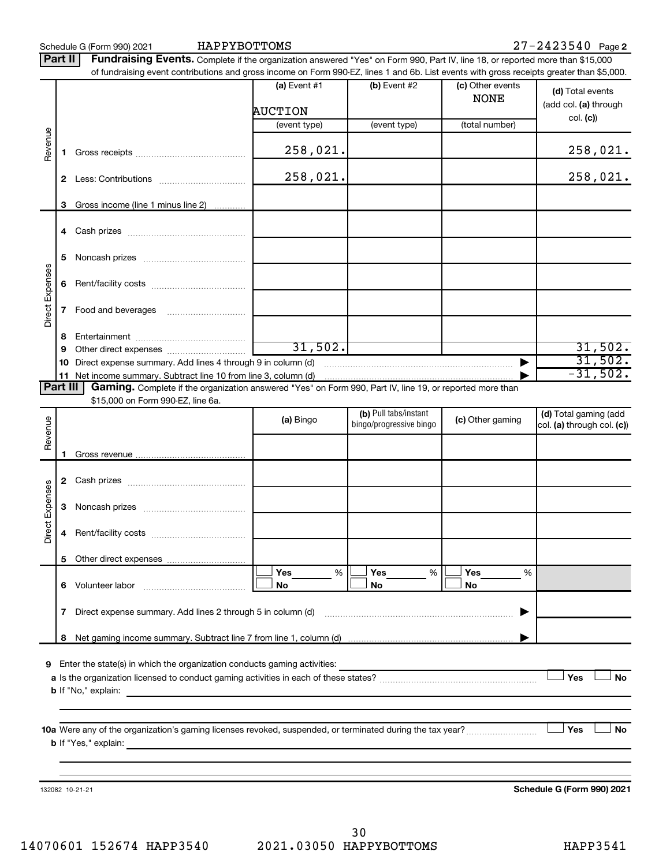|                        | $27 - 2423540$ Page 2<br>HAPPYBOTTOMS<br>Schedule G (Form 990) 2021<br>Part II<br>Fundraising Events. Complete if the organization answered "Yes" on Form 990, Part IV, line 18, or reported more than \$15,000 |                                                                                                                                                                          |                                  |                                                  |                                 |                                                     |  |  |  |  |  |  |
|------------------------|-----------------------------------------------------------------------------------------------------------------------------------------------------------------------------------------------------------------|--------------------------------------------------------------------------------------------------------------------------------------------------------------------------|----------------------------------|--------------------------------------------------|---------------------------------|-----------------------------------------------------|--|--|--|--|--|--|
|                        |                                                                                                                                                                                                                 | of fundraising event contributions and gross income on Form 990-EZ, lines 1 and 6b. List events with gross receipts greater than \$5,000.                                |                                  |                                                  |                                 |                                                     |  |  |  |  |  |  |
|                        |                                                                                                                                                                                                                 |                                                                                                                                                                          | (a) Event $#1$<br><b>AUCTION</b> | (b) Event #2                                     | (c) Other events<br><b>NONE</b> | (d) Total events<br>(add col. (a) through           |  |  |  |  |  |  |
|                        |                                                                                                                                                                                                                 |                                                                                                                                                                          | (event type)                     | (event type)                                     | (total number)                  | col. (c)                                            |  |  |  |  |  |  |
| Revenue                | 1                                                                                                                                                                                                               |                                                                                                                                                                          | 258,021.                         |                                                  |                                 | 258,021.                                            |  |  |  |  |  |  |
|                        |                                                                                                                                                                                                                 |                                                                                                                                                                          | 258,021.                         |                                                  |                                 | 258,021.                                            |  |  |  |  |  |  |
|                        | З                                                                                                                                                                                                               | Gross income (line 1 minus line 2)                                                                                                                                       |                                  |                                                  |                                 |                                                     |  |  |  |  |  |  |
|                        |                                                                                                                                                                                                                 |                                                                                                                                                                          |                                  |                                                  |                                 |                                                     |  |  |  |  |  |  |
|                        | 4                                                                                                                                                                                                               |                                                                                                                                                                          |                                  |                                                  |                                 |                                                     |  |  |  |  |  |  |
|                        | 5                                                                                                                                                                                                               |                                                                                                                                                                          |                                  |                                                  |                                 |                                                     |  |  |  |  |  |  |
| <b>Direct Expenses</b> | 6                                                                                                                                                                                                               |                                                                                                                                                                          |                                  |                                                  |                                 |                                                     |  |  |  |  |  |  |
|                        | 7                                                                                                                                                                                                               | Food and beverages                                                                                                                                                       |                                  |                                                  |                                 |                                                     |  |  |  |  |  |  |
|                        | 8                                                                                                                                                                                                               |                                                                                                                                                                          |                                  |                                                  |                                 |                                                     |  |  |  |  |  |  |
|                        | 9                                                                                                                                                                                                               |                                                                                                                                                                          | 31,502.                          |                                                  |                                 | 31,502.                                             |  |  |  |  |  |  |
|                        | 10                                                                                                                                                                                                              | Direct expense summary. Add lines 4 through 9 in column (d)                                                                                                              |                                  |                                                  | ▶                               | 31,502.                                             |  |  |  |  |  |  |
|                        | 11<br>Part III                                                                                                                                                                                                  | Net income summary. Subtract line 10 from line 3, column (d)<br>Gaming. Complete if the organization answered "Yes" on Form 990, Part IV, line 19, or reported more than |                                  |                                                  |                                 | $-31,502.$                                          |  |  |  |  |  |  |
|                        |                                                                                                                                                                                                                 | \$15,000 on Form 990-EZ, line 6a.                                                                                                                                        |                                  |                                                  |                                 |                                                     |  |  |  |  |  |  |
| Revenue                |                                                                                                                                                                                                                 |                                                                                                                                                                          | (a) Bingo                        | (b) Pull tabs/instant<br>bingo/progressive bingo | (c) Other gaming                | (d) Total gaming (add<br>col. (a) through col. (c)) |  |  |  |  |  |  |
|                        |                                                                                                                                                                                                                 |                                                                                                                                                                          |                                  |                                                  |                                 |                                                     |  |  |  |  |  |  |
|                        | 2                                                                                                                                                                                                               |                                                                                                                                                                          |                                  |                                                  |                                 |                                                     |  |  |  |  |  |  |
| Direct Expenses        | З                                                                                                                                                                                                               |                                                                                                                                                                          |                                  |                                                  |                                 |                                                     |  |  |  |  |  |  |
|                        | 4                                                                                                                                                                                                               |                                                                                                                                                                          |                                  |                                                  |                                 |                                                     |  |  |  |  |  |  |
|                        | 5                                                                                                                                                                                                               |                                                                                                                                                                          |                                  |                                                  |                                 |                                                     |  |  |  |  |  |  |
|                        | 6                                                                                                                                                                                                               | Volunteer labor                                                                                                                                                          | Yes<br>%<br>No                   | Yes<br>%<br>No                                   | Yes<br>%<br>No                  |                                                     |  |  |  |  |  |  |
|                        | 7                                                                                                                                                                                                               | Direct expense summary. Add lines 2 through 5 in column (d)                                                                                                              |                                  |                                                  |                                 |                                                     |  |  |  |  |  |  |

**9** Enter the state(s) in which the organization conducts gaming activities:

**8** Net gaming income summary. Subtract line 7 from line 1, column (d)

**a** Is the organization licensed to conduct gaming activities in each of these states? ~~~~~~~~~~~~~~~~~~~~ **b** If "No," explain:  $\Box$  Yes  $\Box$  No

|

**10 a** Were any of the organization's gaming licenses revoked, suspended, or terminated during the tax year? ~~~~~~~~~ **b** If "Yes," explain:  $\Box$  Yes

132082 10-21-21

**Schedule G (Form 990) 2021**

**Yes No**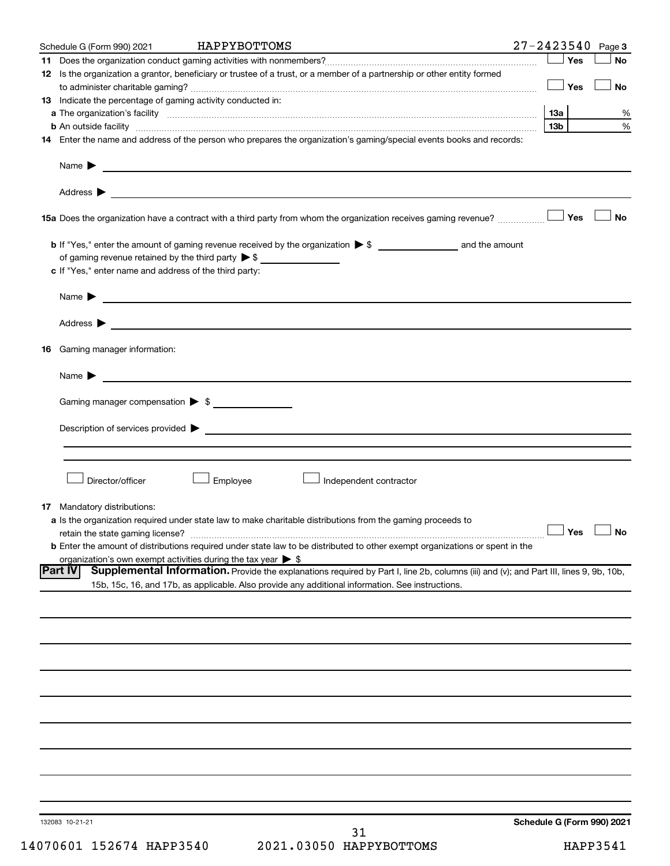| Schedule G (Form 990) 2021                                                   | HAPPYBOTTOMS                                                                                                                                                  | $27 - 2423540$<br>Page 3   |
|------------------------------------------------------------------------------|---------------------------------------------------------------------------------------------------------------------------------------------------------------|----------------------------|
|                                                                              |                                                                                                                                                               | Yes<br>No                  |
|                                                                              | 12 Is the organization a grantor, beneficiary or trustee of a trust, or a member of a partnership or other entity formed                                      |                            |
|                                                                              |                                                                                                                                                               | Yes<br>No                  |
| 13 Indicate the percentage of gaming activity conducted in:                  |                                                                                                                                                               |                            |
|                                                                              |                                                                                                                                                               | %                          |
|                                                                              | <b>b</b> An outside facility <i>www.communicality www.communicality.communicality www.communicality www.communicality.communicality www.communicality.com</i> | 13 <sub>b</sub><br>%       |
|                                                                              | 14 Enter the name and address of the person who prepares the organization's gaming/special events books and records:                                          |                            |
|                                                                              |                                                                                                                                                               |                            |
|                                                                              |                                                                                                                                                               |                            |
|                                                                              |                                                                                                                                                               |                            |
|                                                                              |                                                                                                                                                               |                            |
|                                                                              |                                                                                                                                                               |                            |
|                                                                              | 15a Does the organization have a contract with a third party from whom the organization receives gaming revenue?                                              | Yes<br><b>No</b>           |
|                                                                              |                                                                                                                                                               |                            |
|                                                                              |                                                                                                                                                               |                            |
|                                                                              |                                                                                                                                                               |                            |
| c If "Yes," enter name and address of the third party:                       |                                                                                                                                                               |                            |
|                                                                              |                                                                                                                                                               |                            |
|                                                                              | Name $\blacktriangleright$ $\_\_\_\_\_\_\_\_\_\$                                                                                                              |                            |
|                                                                              |                                                                                                                                                               |                            |
|                                                                              |                                                                                                                                                               |                            |
|                                                                              |                                                                                                                                                               |                            |
| <b>16</b> Gaming manager information:                                        |                                                                                                                                                               |                            |
|                                                                              |                                                                                                                                                               |                            |
|                                                                              | Name $\blacktriangleright$ $\lrcorner$                                                                                                                        |                            |
| Gaming manager compensation > \$                                             |                                                                                                                                                               |                            |
|                                                                              |                                                                                                                                                               |                            |
|                                                                              |                                                                                                                                                               |                            |
|                                                                              |                                                                                                                                                               |                            |
|                                                                              |                                                                                                                                                               |                            |
|                                                                              |                                                                                                                                                               |                            |
| Director/officer                                                             | Employee<br>Independent contractor                                                                                                                            |                            |
|                                                                              |                                                                                                                                                               |                            |
| <b>17</b> Mandatory distributions:                                           |                                                                                                                                                               |                            |
|                                                                              | a Is the organization required under state law to make charitable distributions from the gaming proceeds to                                                   |                            |
| retain the state gaming license?                                             | $\overline{\phantom{a}}$ Yes $\overline{\phantom{a}}$ No                                                                                                      |                            |
|                                                                              | <b>b</b> Enter the amount of distributions required under state law to be distributed to other exempt organizations or spent in the                           |                            |
| organization's own exempt activities during the tax year $\triangleright$ \$ |                                                                                                                                                               |                            |
| <b>Part IV</b>                                                               | Supplemental Information. Provide the explanations required by Part I, line 2b, columns (iii) and (v); and Part III, lines 9, 9b, 10b,                        |                            |
|                                                                              | 15b, 15c, 16, and 17b, as applicable. Also provide any additional information. See instructions.                                                              |                            |
|                                                                              |                                                                                                                                                               |                            |
|                                                                              |                                                                                                                                                               |                            |
|                                                                              |                                                                                                                                                               |                            |
|                                                                              |                                                                                                                                                               |                            |
|                                                                              |                                                                                                                                                               |                            |
|                                                                              |                                                                                                                                                               |                            |
|                                                                              |                                                                                                                                                               |                            |
|                                                                              |                                                                                                                                                               |                            |
|                                                                              |                                                                                                                                                               |                            |
|                                                                              |                                                                                                                                                               |                            |
|                                                                              |                                                                                                                                                               |                            |
|                                                                              |                                                                                                                                                               |                            |
|                                                                              |                                                                                                                                                               |                            |
|                                                                              |                                                                                                                                                               |                            |
|                                                                              |                                                                                                                                                               |                            |
|                                                                              |                                                                                                                                                               |                            |
| 132083 10-21-21                                                              |                                                                                                                                                               | Schedule G (Form 990) 2021 |
|                                                                              | 21                                                                                                                                                            |                            |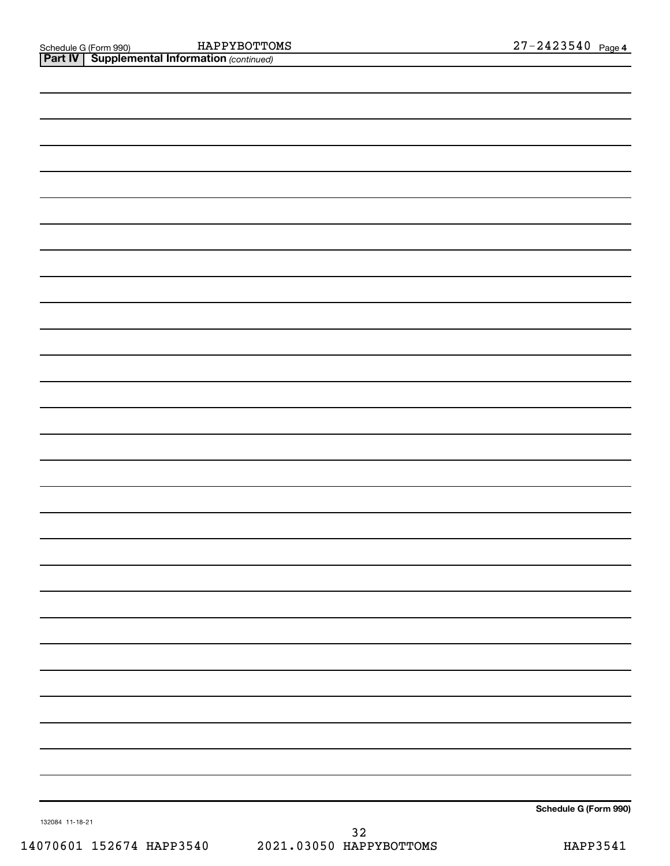*(continued)* Schedule G (Form 990) HAPP Y BO'I"I'OMS Z 7 - Z 4 Z 3 5 4 U Page HAPPYBOTTOMS

| <b>Part IV   Supplemental Information (continued)</b> |  |  |                       |
|-------------------------------------------------------|--|--|-----------------------|
|                                                       |  |  |                       |
|                                                       |  |  |                       |
|                                                       |  |  |                       |
|                                                       |  |  |                       |
|                                                       |  |  |                       |
|                                                       |  |  |                       |
|                                                       |  |  |                       |
|                                                       |  |  |                       |
|                                                       |  |  |                       |
|                                                       |  |  |                       |
|                                                       |  |  |                       |
|                                                       |  |  |                       |
|                                                       |  |  |                       |
|                                                       |  |  |                       |
|                                                       |  |  |                       |
|                                                       |  |  |                       |
|                                                       |  |  |                       |
|                                                       |  |  |                       |
|                                                       |  |  |                       |
|                                                       |  |  |                       |
|                                                       |  |  |                       |
|                                                       |  |  |                       |
|                                                       |  |  |                       |
|                                                       |  |  |                       |
|                                                       |  |  |                       |
|                                                       |  |  |                       |
|                                                       |  |  |                       |
|                                                       |  |  |                       |
|                                                       |  |  |                       |
|                                                       |  |  |                       |
|                                                       |  |  |                       |
|                                                       |  |  |                       |
|                                                       |  |  |                       |
|                                                       |  |  |                       |
|                                                       |  |  |                       |
|                                                       |  |  |                       |
|                                                       |  |  | Schedule G (Form 990) |
|                                                       |  |  |                       |

132084 11-18-21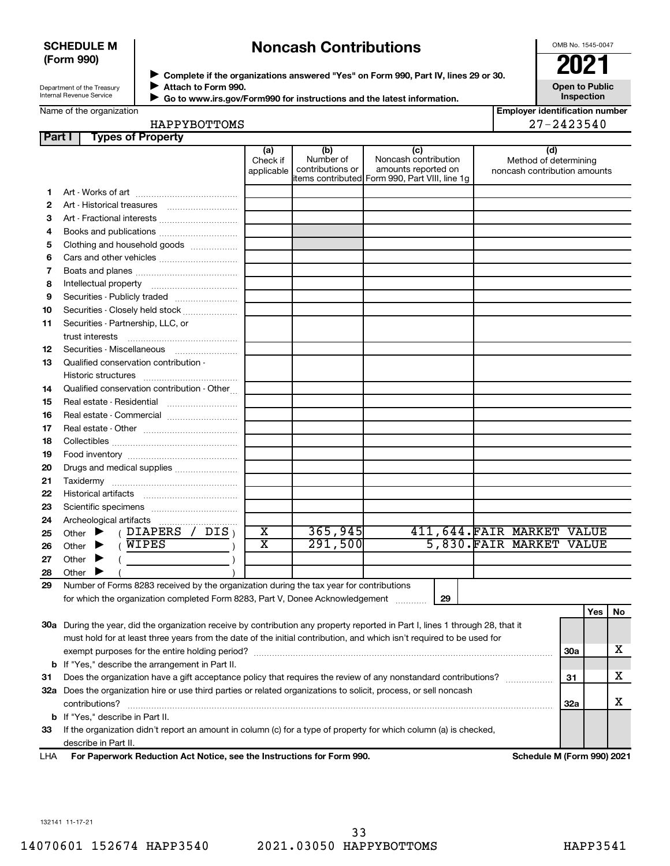#### **SCHEDULE M (Form 990)**

## **Noncash Contributions**

OMB No. 1545-0047

| Department of the Treasury      |  |
|---------------------------------|--|
| <b>Internal Revenue Service</b> |  |

◆ Complete if the organizations answered "Yes" on Form 990, Part IV, lines 29 or 30.<br>▶ Complete if the organizations answered "Yes" on Form 990, Part IV, lines 29 or 30. **Attach to Form 990.**  $\blacktriangleright$ 

 **Go to www.irs.gov/Form990 for instructions and the latest information.** J

**Open to Public Inspection**

Name of the organization

| HAPPYBOTTOMS |  |
|--------------|--|
|--------------|--|

| HAPPYBOTTOMS | $27 - 2423540$ |
|--------------|----------------|
| -----        |                |

| Part I | <b>Types of Property</b>                                                                                                            |                               |                                      |                                                                                                      |                                                              |            |     |    |
|--------|-------------------------------------------------------------------------------------------------------------------------------------|-------------------------------|--------------------------------------|------------------------------------------------------------------------------------------------------|--------------------------------------------------------------|------------|-----|----|
|        |                                                                                                                                     | (a)<br>Check if<br>applicable | (b)<br>Number of<br>contributions or | (c)<br>Noncash contribution<br>amounts reported on<br>items contributed Form 990, Part VIII, line 1g | (d)<br>Method of determining<br>noncash contribution amounts |            |     |    |
| 1.     |                                                                                                                                     |                               |                                      |                                                                                                      |                                                              |            |     |    |
| 2      |                                                                                                                                     |                               |                                      |                                                                                                      |                                                              |            |     |    |
| З      | Art - Fractional interests                                                                                                          |                               |                                      |                                                                                                      |                                                              |            |     |    |
| 4      | Books and publications                                                                                                              |                               |                                      |                                                                                                      |                                                              |            |     |    |
| 5      | Clothing and household goods                                                                                                        |                               |                                      |                                                                                                      |                                                              |            |     |    |
| 6      | Cars and other vehicles                                                                                                             |                               |                                      |                                                                                                      |                                                              |            |     |    |
| 7      |                                                                                                                                     |                               |                                      |                                                                                                      |                                                              |            |     |    |
| 8      |                                                                                                                                     |                               |                                      |                                                                                                      |                                                              |            |     |    |
| 9      | Securities - Publicly traded                                                                                                        |                               |                                      |                                                                                                      |                                                              |            |     |    |
| 10     | Securities - Closely held stock                                                                                                     |                               |                                      |                                                                                                      |                                                              |            |     |    |
| 11     | Securities - Partnership, LLC, or                                                                                                   |                               |                                      |                                                                                                      |                                                              |            |     |    |
|        | trust interests                                                                                                                     |                               |                                      |                                                                                                      |                                                              |            |     |    |
| 12     | Securities - Miscellaneous                                                                                                          |                               |                                      |                                                                                                      |                                                              |            |     |    |
| 13     | Qualified conservation contribution -                                                                                               |                               |                                      |                                                                                                      |                                                              |            |     |    |
|        |                                                                                                                                     |                               |                                      |                                                                                                      |                                                              |            |     |    |
| 14     | Qualified conservation contribution - Other                                                                                         |                               |                                      |                                                                                                      |                                                              |            |     |    |
| 15     | Real estate - Residential                                                                                                           |                               |                                      |                                                                                                      |                                                              |            |     |    |
| 16     | Real estate - Commercial                                                                                                            |                               |                                      |                                                                                                      |                                                              |            |     |    |
| 17     | Real estate - Other New York Channels                                                                                               |                               |                                      |                                                                                                      |                                                              |            |     |    |
| 18     |                                                                                                                                     |                               |                                      |                                                                                                      |                                                              |            |     |    |
| 19     |                                                                                                                                     |                               |                                      |                                                                                                      |                                                              |            |     |    |
| 20     | Drugs and medical supplies                                                                                                          |                               |                                      |                                                                                                      |                                                              |            |     |    |
| 21     |                                                                                                                                     |                               |                                      |                                                                                                      |                                                              |            |     |    |
| 22     |                                                                                                                                     |                               |                                      |                                                                                                      |                                                              |            |     |    |
| 23     |                                                                                                                                     |                               |                                      |                                                                                                      |                                                              |            |     |    |
| 24     | Archeological artifacts                                                                                                             |                               |                                      |                                                                                                      |                                                              |            |     |    |
| 25     | (DIAPERS / DIS)<br>Other $\blacktriangleright$                                                                                      | $\overline{\textbf{x}}$       | 365,945                              |                                                                                                      | 411,644.FAIR MARKET VALUE                                    |            |     |    |
| 26     | (WIPES<br>Other $\blacktriangleright$                                                                                               | $\overline{\textbf{x}}$       | 291,500                              |                                                                                                      | 5,830. FAIR MARKET VALUE                                     |            |     |    |
| 27     | Other $\blacktriangleright$                                                                                                         |                               |                                      |                                                                                                      |                                                              |            |     |    |
| 28     | Other $\blacktriangleright$                                                                                                         |                               |                                      |                                                                                                      |                                                              |            |     |    |
| 29     | Number of Forms 8283 received by the organization during the tax year for contributions                                             |                               |                                      |                                                                                                      |                                                              |            |     |    |
|        | for which the organization completed Form 8283, Part V, Donee Acknowledgement                                                       |                               |                                      | 29                                                                                                   |                                                              |            |     |    |
|        |                                                                                                                                     |                               |                                      |                                                                                                      |                                                              |            | Yes | No |
|        | 30a During the year, did the organization receive by contribution any property reported in Part I, lines 1 through 28, that it      |                               |                                      |                                                                                                      |                                                              |            |     |    |
|        | must hold for at least three years from the date of the initial contribution, and which isn't required to be used for               |                               |                                      |                                                                                                      |                                                              |            |     |    |
|        |                                                                                                                                     |                               |                                      |                                                                                                      |                                                              | <b>30a</b> |     | x  |
|        | <b>b</b> If "Yes," describe the arrangement in Part II.                                                                             |                               |                                      |                                                                                                      |                                                              |            |     |    |
| 31     | Does the organization have a gift acceptance policy that requires the review of any nonstandard contributions?                      |                               |                                      |                                                                                                      |                                                              | 31         |     | x  |
|        | 32a Does the organization hire or use third parties or related organizations to solicit, process, or sell noncash<br>contributions? |                               |                                      |                                                                                                      |                                                              | <b>32a</b> |     | X  |
|        | <b>b</b> If "Yes," describe in Part II.                                                                                             |                               |                                      |                                                                                                      |                                                              |            |     |    |

**For Paperwork Reduction Act Notice, see the Instructions for Form 990. Schedule M (Form 990) 2021** LHA describe in Part II.

**33** If the organization didn't report an amount in column (c) for a type of property for which column (a) is checked,

132141 11-17-21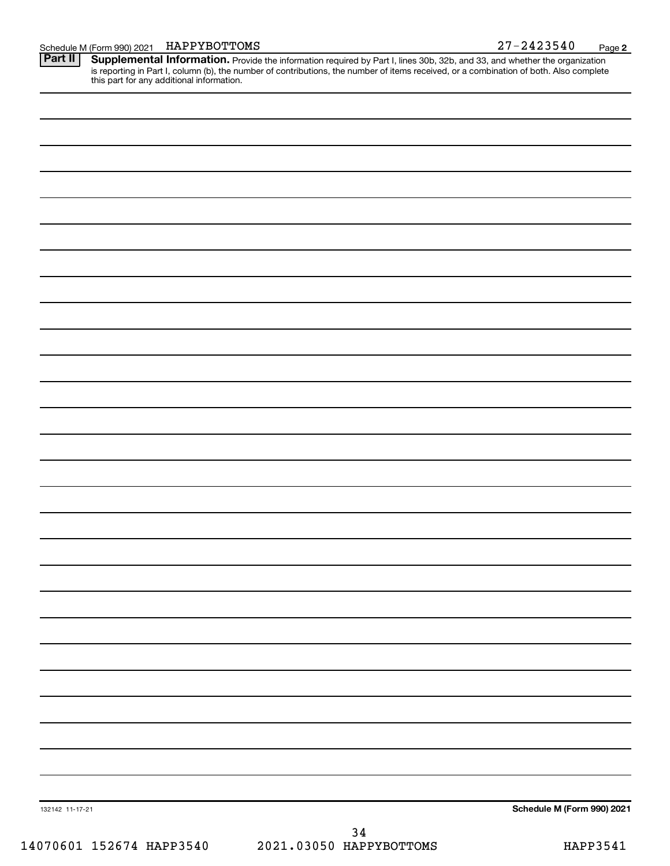**2**

Schedule M (Form 990) 2021 HAPPYBOTTOMS<br>**Part II** Supplemental Information. Provide the information required by Part I. lines 30b. 32b. and 33. and whether the orga Provide the information required by Part I, lines 30b, 32b, and 33, and whether the organization is reporting in Part I, column (b), the number of contributions, the number of items received, or a combination of both. Also complete this part for any additional information. **Part II Supplemental Information.** 

| 132142 11-17-21 | Schedule M (Form 990) 2021 |
|-----------------|----------------------------|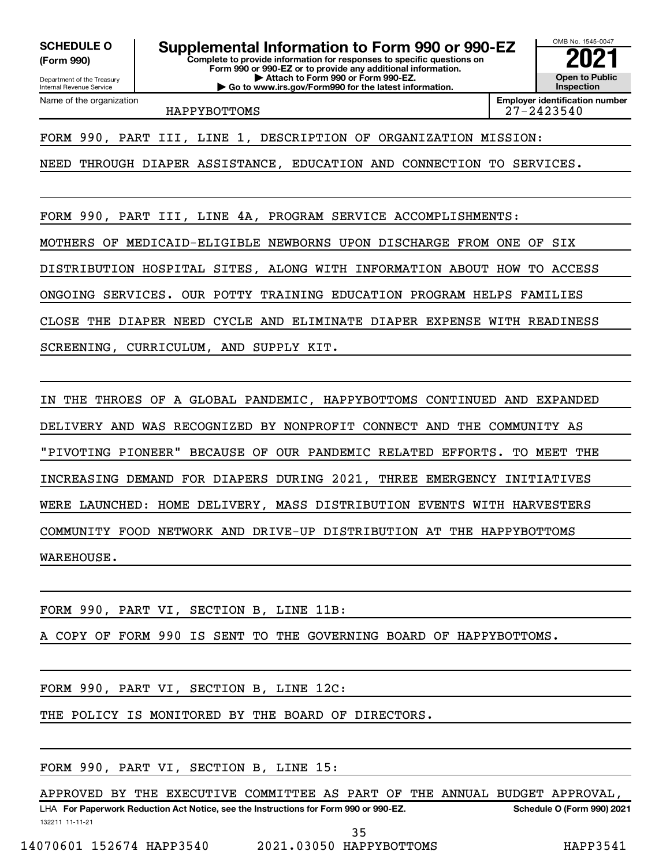**(Form 990)**

**Complete to provide information for responses to specific questions on Form 990 or 990-EZ or to provide any additional information. | Attach to Form 990 or Form 990-EZ. | Go to www.irs.gov/Form990 for the latest information. SCHEDULE O Supplemental Information to Form 990 or 990-EZ**  $\frac{1000000}{202}$ 

OMB No. 1545-0047 **Open to Public Inspection**

HAPPYBOTTOMS 27-2423540

**Employer identification number**

FORM 990, PART III, LINE 1, DESCRIPTION OF ORGANIZATION MISSION:

NEED THROUGH DIAPER ASSISTANCE, EDUCATION AND CONNECTION TO SERVICES.

FORM 990, PART III, LINE 4A, PROGRAM SERVICE ACCOMPLISHMENTS: MOTHERS OF MEDICAID-ELIGIBLE NEWBORNS UPON DISCHARGE FROM ONE OF SIX DISTRIBUTION HOSPITAL SITES, ALONG WITH INFORMATION ABOUT HOW TO ACCESS ONGOING SERVICES. OUR POTTY TRAINING EDUCATION PROGRAM HELPS FAMILIES CLOSE THE DIAPER NEED CYCLE AND ELIMINATE DIAPER EXPENSE WITH READINESS SCREENING, CURRICULUM, AND SUPPLY KIT.

IN THE THROES OF A GLOBAL PANDEMIC, HAPPYBOTTOMS CONTINUED AND EXPANDED DELIVERY AND WAS RECOGNIZED BY NONPROFIT CONNECT AND THE COMMUNITY AS "PIVOTING PIONEER" BECAUSE OF OUR PANDEMIC RELATED EFFORTS. TO MEET THE INCREASING DEMAND FOR DIAPERS DURING 2021, THREE EMERGENCY INITIATIVES WERE LAUNCHED: HOME DELIVERY, MASS DISTRIBUTION EVENTS WITH HARVESTERS COMMUNITY FOOD NETWORK AND DRIVE-UP DISTRIBUTION AT THE HAPPYBOTTOMS WAREHOUSE.

FORM 990, PART VI, SECTION B, LINE 11B:

COPY OF FORM 990 IS SENT TO THE GOVERNING BOARD OF HAPPYBOTTOMS.

FORM 990, PART VI, SECTION B, LINE 12C:

THE POLICY IS MONITORED BY THE BOARD OF DIRECTORS.

FORM 990, PART VI, SECTION B, LINE 15:

LHA For Paperwork Reduction Act Notice, see the Instructions for Form 990 or 990-EZ. Schedule O (Form 990) 2021 APPROVED BY THE EXECUTIVE COMMITTEE AS PART OF THE ANNUAL BUDGET APPROVAL,

132211 11-11-21